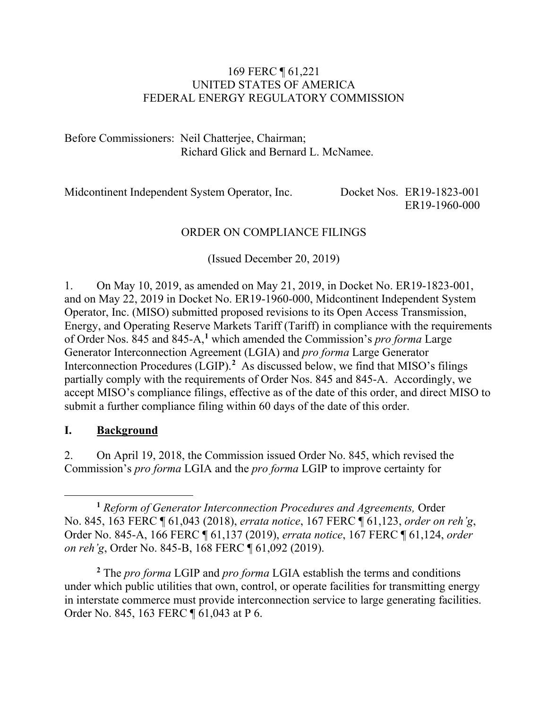#### 169 FERC ¶ 61,221 UNITED STATES OF AMERICA FEDERAL ENERGY REGULATORY COMMISSION

Before Commissioners: Neil Chatterjee, Chairman; Richard Glick and Bernard L. McNamee.

Midcontinent Independent System Operator, Inc. Docket Nos. ER19-1823-001 ER19-1960-000

#### ORDER ON COMPLIANCE FILINGS

(Issued December 20, 2019)

1. On May 10, 2019, as amended on May 21, 2019, in Docket No. ER19-1823-001, and on May 22, 2019 in Docket No. ER19-1960-000, Midcontinent Independent System Operator, Inc. (MISO) submitted proposed revisions to its Open Access Transmission, Energy, and Operating Reserve Markets Tariff (Tariff) in compliance with the requirements of Order Nos. 845 and 845-A,**[1](#page-0-0)** which amended the Commission's *pro forma* Large Generator Interconnection Agreement (LGIA) and *pro forma* Large Generator Interconnection Procedures (LGIP).**[2](#page-0-1)** As discussed below, we find that MISO's filings partially comply with the requirements of Order Nos. 845 and 845-A. Accordingly, we accept MISO's compliance filings, effective as of the date of this order, and direct MISO to submit a further compliance filing within 60 days of the date of this order.

#### **I. Background**

2. On April 19, 2018, the Commission issued Order No. 845, which revised the Commission's *pro forma* LGIA and the *pro forma* LGIP to improve certainty for

<span id="page-0-1"></span>**<sup>2</sup>** The *pro forma* LGIP and *pro forma* LGIA establish the terms and conditions under which public utilities that own, control, or operate facilities for transmitting energy in interstate commerce must provide interconnection service to large generating facilities. Order No. 845, 163 FERC ¶ 61,043 at P 6.

<span id="page-0-0"></span> $\overline{a}$ **<sup>1</sup>** *Reform of Generator Interconnection Procedures and Agreements,* Order No. 845, 163 FERC ¶ 61,043 (2018), *errata notice*, 167 FERC ¶ 61,123, *order on reh'g*, Order No. 845-A, 166 FERC ¶ 61,137 (2019), *errata notice*, 167 FERC ¶ 61,124, *order on reh'g*, Order No. 845-B, 168 FERC ¶ 61,092 (2019).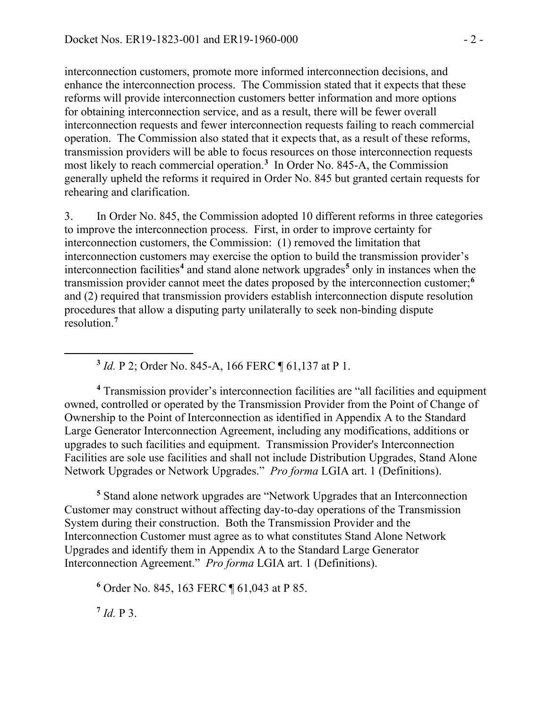interconnection customers, promote more informed interconnection decisions, and enhance the interconnection process. The Commission stated that it expects that these reforms will provide interconnection customers better information and more options for obtaining interconnection service, and as a result, there will be fewer overall interconnection requests and fewer interconnection requests failing to reach commercial operation. The Commission also stated that it expects that, as a result of these reforms, transmission providers will be able to focus resources on those interconnection requests most likely to reach commercial operation.**[3](#page-1-0)** In Order No. 845-A, the Commission generally upheld the reforms it required in Order No. 845 but granted certain requests for rehearing and clarification.

3. In Order No. 845, the Commission adopted 10 different reforms in three categories to improve the interconnection process. First, in order to improve certainty for interconnection customers, the Commission: (1) removed the limitation that interconnection customers may exercise the option to build the transmission provider's interconnection facilities**[4](#page-1-1)** and stand alone network upgrades**[5](#page-1-2)** only in instances when the transmission provider cannot meet the dates proposed by the interconnection customer;**[6](#page-1-3)** and (2) required that transmission providers establish interconnection dispute resolution procedures that allow a disputing party unilaterally to seek non-binding dispute resolution.**[7](#page-1-4)**

**<sup>3</sup>** *Id.* P 2; Order No. 845-A, 166 FERC ¶ 61,137 at P 1.

<span id="page-1-1"></span>**<sup>4</sup>** Transmission provider's interconnection facilities are "all facilities and equipment owned, controlled or operated by the Transmission Provider from the Point of Change of Ownership to the Point of Interconnection as identified in Appendix A to the Standard Large Generator Interconnection Agreement, including any modifications, additions or upgrades to such facilities and equipment. Transmission Provider's Interconnection Facilities are sole use facilities and shall not include Distribution Upgrades, Stand Alone Network Upgrades or Network Upgrades." *Pro forma* LGIA art. 1 (Definitions).

<span id="page-1-2"></span>**<sup>5</sup>** Stand alone network upgrades are "Network Upgrades that an Interconnection Customer may construct without affecting day-to-day operations of the Transmission System during their construction. Both the Transmission Provider and the Interconnection Customer must agree as to what constitutes Stand Alone Network Upgrades and identify them in Appendix A to the Standard Large Generator Interconnection Agreement." *Pro forma* LGIA art. 1 (Definitions).

<span id="page-1-3"></span>**<sup>6</sup>** Order No. 845, 163 FERC ¶ 61,043 at P 85.

<span id="page-1-4"></span>**<sup>7</sup>** *Id.* P 3.

<span id="page-1-0"></span> $\overline{a}$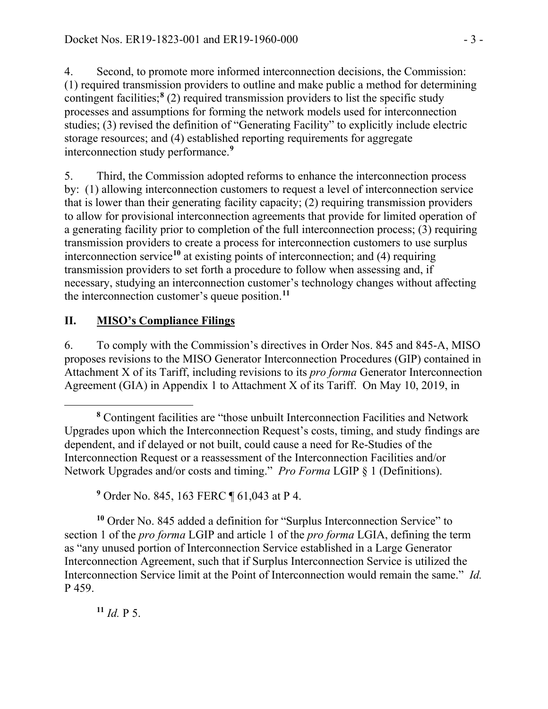4. Second, to promote more informed interconnection decisions, the Commission: (1) required transmission providers to outline and make public a method for determining contingent facilities;**[8](#page-2-0)** (2) required transmission providers to list the specific study processes and assumptions for forming the network models used for interconnection studies; (3) revised the definition of "Generating Facility" to explicitly include electric storage resources; and (4) established reporting requirements for aggregate interconnection study performance.**[9](#page-2-1)**

5. Third, the Commission adopted reforms to enhance the interconnection process by: (1) allowing interconnection customers to request a level of interconnection service that is lower than their generating facility capacity; (2) requiring transmission providers to allow for provisional interconnection agreements that provide for limited operation of a generating facility prior to completion of the full interconnection process; (3) requiring transmission providers to create a process for interconnection customers to use surplus interconnection service**[10](#page-2-2)** at existing points of interconnection; and (4) requiring transmission providers to set forth a procedure to follow when assessing and, if necessary, studying an interconnection customer's technology changes without affecting the interconnection customer's queue position.**[11](#page-2-3)**

# **II. MISO's Compliance Filings**

6. To comply with the Commission's directives in Order Nos. 845 and 845-A, MISO proposes revisions to the MISO Generator Interconnection Procedures (GIP) contained in Attachment X of its Tariff, including revisions to its *pro forma* Generator Interconnection Agreement (GIA) in Appendix 1 to Attachment X of its Tariff. On May 10, 2019, in

<span id="page-2-2"></span><span id="page-2-1"></span>**<sup>10</sup>** Order No. 845 added a definition for "Surplus Interconnection Service" to section 1 of the *pro forma* LGIP and article 1 of the *pro forma* LGIA, defining the term as "any unused portion of Interconnection Service established in a Large Generator Interconnection Agreement, such that if Surplus Interconnection Service is utilized the Interconnection Service limit at the Point of Interconnection would remain the same." *Id.* P 459.

<span id="page-2-3"></span>**<sup>11</sup>** *Id.* P 5.

<span id="page-2-0"></span>**<sup>8</sup>** Contingent facilities are "those unbuilt Interconnection Facilities and Network Upgrades upon which the Interconnection Request's costs, timing, and study findings are dependent, and if delayed or not built, could cause a need for Re-Studies of the Interconnection Request or a reassessment of the Interconnection Facilities and/or Network Upgrades and/or costs and timing." *Pro Forma* LGIP § 1 (Definitions).

**<sup>9</sup>** Order No. 845, 163 FERC ¶ 61,043 at P 4.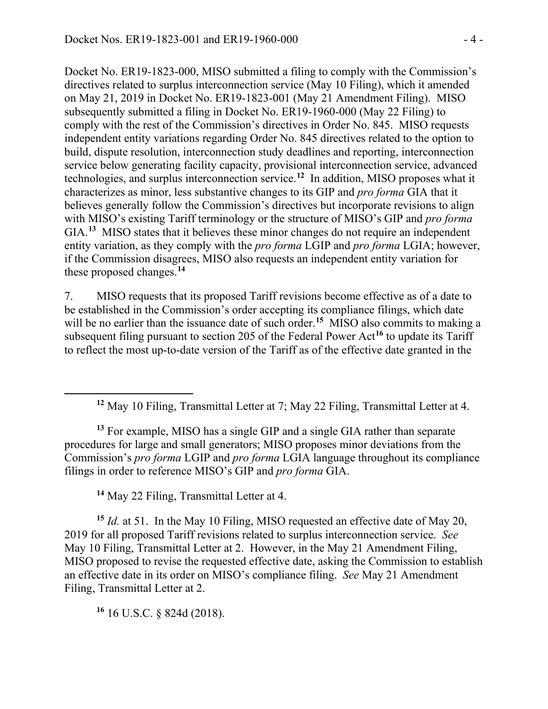Docket No. ER19-1823-000, MISO submitted a filing to comply with the Commission's directives related to surplus interconnection service (May 10 Filing), which it amended on May 21, 2019 in Docket No. ER19-1823-001 (May 21 Amendment Filing). MISO subsequently submitted a filing in Docket No. ER19-1960-000 (May 22 Filing) to comply with the rest of the Commission's directives in Order No. 845. MISO requests independent entity variations regarding Order No. 845 directives related to the option to build, dispute resolution, interconnection study deadlines and reporting, interconnection service below generating facility capacity, provisional interconnection service, advanced technologies, and surplus interconnection service.**[12](#page-3-0)** In addition, MISO proposes what it characterizes as minor, less substantive changes to its GIP and *pro forma* GIA that it believes generally follow the Commission's directives but incorporate revisions to align with MISO's existing Tariff terminology or the structure of MISO's GIP and *pro forma* GIA.<sup>[13](#page-3-1)</sup> MISO states that it believes these minor changes do not require an independent entity variation, as they comply with the *pro forma* LGIP and *pro forma* LGIA; however, if the Commission disagrees, MISO also requests an independent entity variation for these proposed changes. **[14](#page-3-2)**

7. MISO requests that its proposed Tariff revisions become effective as of a date to be established in the Commission's order accepting its compliance filings, which date will be no earlier than the issuance date of such order.<sup>[15](#page-3-3)</sup> MISO also commits to making a subsequent filing pursuant to section 205 of the Federal Power Act**[16](#page-3-4)** to update its Tariff to reflect the most up-to-date version of the Tariff as of the effective date granted in the

<span id="page-3-1"></span>**<sup>13</sup>** For example, MISO has a single GIP and a single GIA rather than separate procedures for large and small generators; MISO proposes minor deviations from the Commission's *pro forma* LGIP and *pro forma* LGIA language throughout its compliance filings in order to reference MISO's GIP and *pro forma* GIA.

**<sup>14</sup>** May 22 Filing, Transmittal Letter at 4.

<span id="page-3-3"></span><span id="page-3-2"></span>**<sup>15</sup>** *Id.* at 51. In the May 10 Filing, MISO requested an effective date of May 20, 2019 for all proposed Tariff revisions related to surplus interconnection service. *See* May 10 Filing, Transmittal Letter at 2. However, in the May 21 Amendment Filing, MISO proposed to revise the requested effective date, asking the Commission to establish an effective date in its order on MISO's compliance filing. *See* May 21 Amendment Filing, Transmittal Letter at 2.

<span id="page-3-4"></span>**<sup>16</sup>** 16 U.S.C. § 824d (2018).

<span id="page-3-0"></span> $\overline{a}$ 

**<sup>12</sup>** May 10 Filing, Transmittal Letter at 7; May 22 Filing, Transmittal Letter at 4.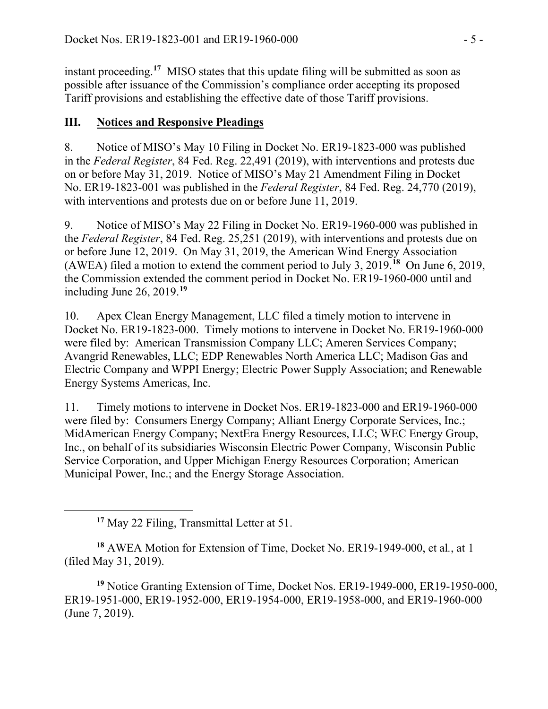instant proceeding. **[17](#page-4-0)** MISO states that this update filing will be submitted as soon as possible after issuance of the Commission's compliance order accepting its proposed Tariff provisions and establishing the effective date of those Tariff provisions.

# **III. Notices and Responsive Pleadings**

8. Notice of MISO's May 10 Filing in Docket No. ER19-1823-000 was published in the *Federal Register*, 84 Fed. Reg. 22,491 (2019), with interventions and protests due on or before May 31, 2019. Notice of MISO's May 21 Amendment Filing in Docket No. ER19-1823-001 was published in the *Federal Register*, 84 Fed. Reg. 24,770 (2019), with interventions and protests due on or before June 11, 2019.

9. Notice of MISO's May 22 Filing in Docket No. ER19-1960-000 was published in the *Federal Register*, 84 Fed. Reg. 25,251 (2019), with interventions and protests due on or before June 12, 2019. On May 31, 2019, the American Wind Energy Association (AWEA) filed a motion to extend the comment period to July 3, 2019.**[18](#page-4-1)** On June 6, 2019, the Commission extended the comment period in Docket No. ER19-1960-000 until and including June 26, 2019.**[19](#page-4-2)**

10. Apex Clean Energy Management, LLC filed a timely motion to intervene in Docket No. ER19-1823-000. Timely motions to intervene in Docket No. ER19-1960-000 were filed by: American Transmission Company LLC; Ameren Services Company; Avangrid Renewables, LLC; EDP Renewables North America LLC; Madison Gas and Electric Company and WPPI Energy; Electric Power Supply Association; and Renewable Energy Systems Americas, Inc.

11. Timely motions to intervene in Docket Nos. ER19-1823-000 and ER19-1960-000 were filed by: Consumers Energy Company; Alliant Energy Corporate Services, Inc.; MidAmerican Energy Company; NextEra Energy Resources, LLC; WEC Energy Group, Inc., on behalf of its subsidiaries Wisconsin Electric Power Company, Wisconsin Public Service Corporation, and Upper Michigan Energy Resources Corporation; American Municipal Power, Inc.; and the Energy Storage Association.

<span id="page-4-0"></span> $\overline{a}$ 

<span id="page-4-1"></span>**<sup>18</sup>** AWEA Motion for Extension of Time, Docket No. ER19-1949-000, et al*.*, at 1 (filed May 31, 2019).

<span id="page-4-2"></span>**<sup>19</sup>** Notice Granting Extension of Time, Docket Nos. ER19-1949-000, ER19-1950-000, ER19-1951-000, ER19-1952-000, ER19-1954-000, ER19-1958-000, and ER19-1960-000 (June 7, 2019).

**<sup>17</sup>** May 22 Filing, Transmittal Letter at 51.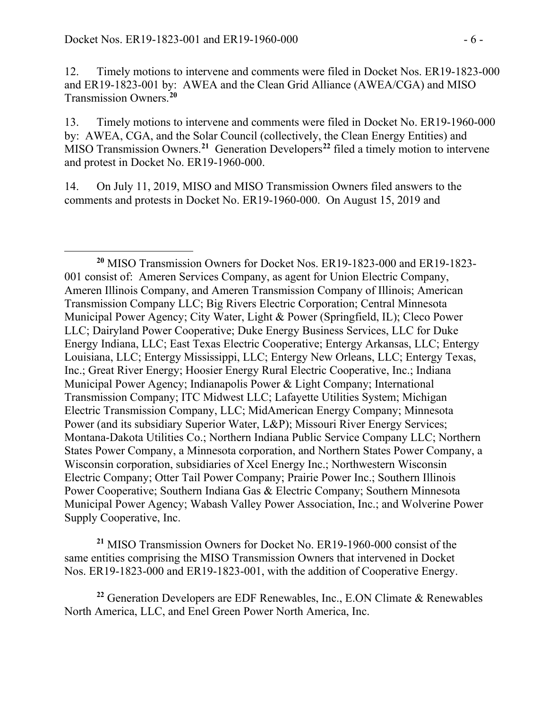$\overline{a}$ 

12. Timely motions to intervene and comments were filed in Docket Nos. ER19-1823-000 and ER19-1823-001 by: AWEA and the Clean Grid Alliance (AWEA/CGA) and MISO Transmission Owners.**[20](#page-5-0)**

13. Timely motions to intervene and comments were filed in Docket No. ER19-1960-000 by: AWEA, CGA, and the Solar Council (collectively, the Clean Energy Entities) and MISO Transmission Owners.**[21](#page-5-1)** Generation Developers**[22](#page-5-2)** filed a timely motion to intervene and protest in Docket No. ER19-1960-000.

14. On July 11, 2019, MISO and MISO Transmission Owners filed answers to the comments and protests in Docket No. ER19-1960-000. On August 15, 2019 and

<span id="page-5-1"></span>**<sup>21</sup>** MISO Transmission Owners for Docket No. ER19-1960-000 consist of the same entities comprising the MISO Transmission Owners that intervened in Docket Nos. ER19-1823-000 and ER19-1823-001, with the addition of Cooperative Energy.

<span id="page-5-2"></span>**<sup>22</sup>** Generation Developers are EDF Renewables, Inc., E.ON Climate & Renewables North America, LLC, and Enel Green Power North America, Inc.

<span id="page-5-0"></span>**<sup>20</sup>** MISO Transmission Owners for Docket Nos. ER19-1823-000 and ER19-1823- 001 consist of: Ameren Services Company, as agent for Union Electric Company, Ameren Illinois Company, and Ameren Transmission Company of Illinois; American Transmission Company LLC; Big Rivers Electric Corporation; Central Minnesota Municipal Power Agency; City Water, Light & Power (Springfield, IL); Cleco Power LLC; Dairyland Power Cooperative; Duke Energy Business Services, LLC for Duke Energy Indiana, LLC; East Texas Electric Cooperative; Entergy Arkansas, LLC; Entergy Louisiana, LLC; Entergy Mississippi, LLC; Entergy New Orleans, LLC; Entergy Texas, Inc.; Great River Energy; Hoosier Energy Rural Electric Cooperative, Inc.; Indiana Municipal Power Agency; Indianapolis Power & Light Company; International Transmission Company; ITC Midwest LLC; Lafayette Utilities System; Michigan Electric Transmission Company, LLC; MidAmerican Energy Company; Minnesota Power (and its subsidiary Superior Water, L&P); Missouri River Energy Services; Montana-Dakota Utilities Co.; Northern Indiana Public Service Company LLC; Northern States Power Company, a Minnesota corporation, and Northern States Power Company, a Wisconsin corporation, subsidiaries of Xcel Energy Inc.; Northwestern Wisconsin Electric Company; Otter Tail Power Company; Prairie Power Inc.; Southern Illinois Power Cooperative; Southern Indiana Gas & Electric Company; Southern Minnesota Municipal Power Agency; Wabash Valley Power Association, Inc.; and Wolverine Power Supply Cooperative, Inc.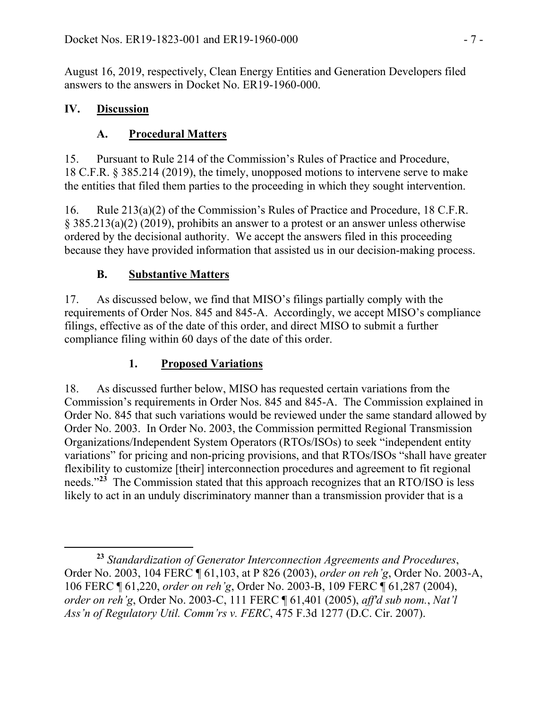August 16, 2019, respectively, Clean Energy Entities and Generation Developers filed answers to the answers in Docket No. ER19-1960-000.

### **IV. Discussion**

 $\overline{a}$ 

## **A. Procedural Matters**

15. Pursuant to Rule 214 of the Commission's Rules of Practice and Procedure, 18 C.F.R. § 385.214 (2019), the timely, unopposed motions to intervene serve to make the entities that filed them parties to the proceeding in which they sought intervention.

16. Rule 213(a)(2) of the Commission's Rules of Practice and Procedure, 18 C.F.R. § 385.213(a)(2) (2019), prohibits an answer to a protest or an answer unless otherwise ordered by the decisional authority. We accept the answers filed in this proceeding because they have provided information that assisted us in our decision-making process.

# **B. Substantive Matters**

17. As discussed below, we find that MISO's filings partially comply with the requirements of Order Nos. 845 and 845-A. Accordingly, we accept MISO's compliance filings, effective as of the date of this order, and direct MISO to submit a further compliance filing within 60 days of the date of this order.

## **1. Proposed Variations**

18. As discussed further below, MISO has requested certain variations from the Commission's requirements in Order Nos. 845 and 845-A. The Commission explained in Order No. 845 that such variations would be reviewed under the same standard allowed by Order No. 2003. In Order No. 2003, the Commission permitted Regional Transmission Organizations/Independent System Operators (RTOs/ISOs) to seek "independent entity variations" for pricing and non-pricing provisions, and that RTOs/ISOs "shall have greater flexibility to customize [their] interconnection procedures and agreement to fit regional needs."**[23](#page-6-0)** The Commission stated that this approach recognizes that an RTO/ISO is less likely to act in an unduly discriminatory manner than a transmission provider that is a

<span id="page-6-0"></span>**<sup>23</sup>** *Standardization of Generator Interconnection Agreements and Procedures*, Order No. 2003, 104 FERC ¶ 61,103, at P 826 (2003), *order on reh'g*, Order No. 2003-A, 106 FERC ¶ 61,220, *order on reh'g*, Order No. 2003-B, 109 FERC ¶ 61,287 (2004), *order on reh'g*, Order No. 2003-C, 111 FERC ¶ 61,401 (2005), *aff'd sub nom.*, *Nat'l Ass'n of Regulatory Util. Comm'rs v. FERC*, 475 F.3d 1277 (D.C. Cir. 2007).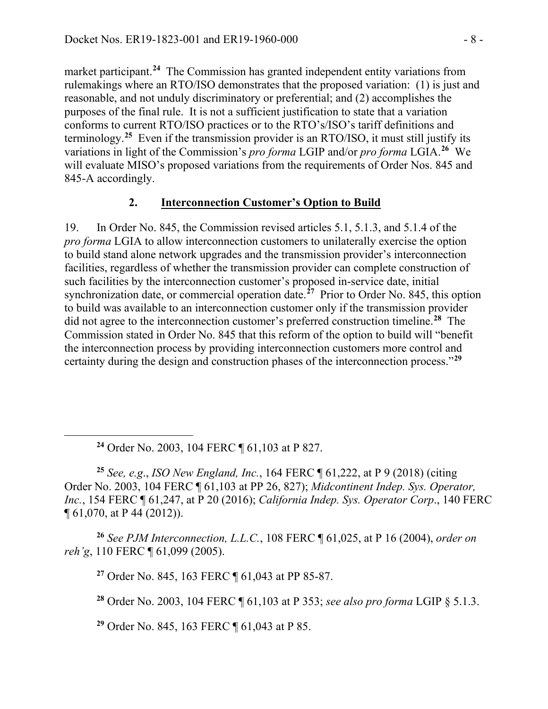market participant. **[24](#page-7-0)** The Commission has granted independent entity variations from rulemakings where an RTO/ISO demonstrates that the proposed variation: (1) is just and reasonable, and not unduly discriminatory or preferential; and (2) accomplishes the purposes of the final rule. It is not a sufficient justification to state that a variation conforms to current RTO/ISO practices or to the RTO's/ISO's tariff definitions and terminology.**[25](#page-7-1)** Even if the transmission provider is an RTO/ISO, it must still justify its variations in light of the Commission's *pro forma* LGIP and/or *pro forma* LGIA.**[26](#page-7-2)** We will evaluate MISO's proposed variations from the requirements of Order Nos. 845 and 845-A accordingly.

#### **2. Interconnection Customer's Option to Build**

19. In Order No. 845, the Commission revised articles 5.1, 5.1.3, and 5.1.4 of the *pro forma* LGIA to allow interconnection customers to unilaterally exercise the option to build stand alone network upgrades and the transmission provider's interconnection facilities, regardless of whether the transmission provider can complete construction of such facilities by the interconnection customer's proposed in-service date, initial synchronization date, or commercial operation date.**[27](#page-7-3)** Prior to Order No. 845, this option to build was available to an interconnection customer only if the transmission provider did not agree to the interconnection customer's preferred construction timeline.**[28](#page-7-4)** The Commission stated in Order No. 845 that this reform of the option to build will "benefit the interconnection process by providing interconnection customers more control and certainty during the design and construction phases of the interconnection process."**[29](#page-7-5)**

**<sup>24</sup>** Order No. 2003, 104 FERC ¶ 61,103 at P 827.

<span id="page-7-0"></span>

<span id="page-7-1"></span>**<sup>25</sup>** *See, e.g*., *ISO New England, Inc.*, 164 FERC ¶ 61,222, at P 9 (2018) (citing Order No. 2003, 104 FERC ¶ 61,103 at PP 26, 827); *Midcontinent Indep. Sys. Operator, Inc.*, 154 FERC ¶ 61,247, at P 20 (2016); *California Indep. Sys. Operator Corp*., 140 FERC ¶ 61,070, at P 44 (2012)).

<span id="page-7-4"></span><span id="page-7-3"></span><span id="page-7-2"></span>**<sup>26</sup>** *See PJM Interconnection, L.L.C.*, 108 FERC ¶ 61,025, at P 16 (2004), *order on reh'g*, 110 FERC ¶ 61,099 (2005).

**<sup>27</sup>** Order No. 845, 163 FERC ¶ 61,043 at PP 85-87.

**<sup>28</sup>** Order No. 2003, 104 FERC ¶ 61,103 at P 353; *see also pro forma* LGIP § 5.1.3.

<span id="page-7-5"></span>**<sup>29</sup>** Order No. 845, 163 FERC ¶ 61,043 at P 85.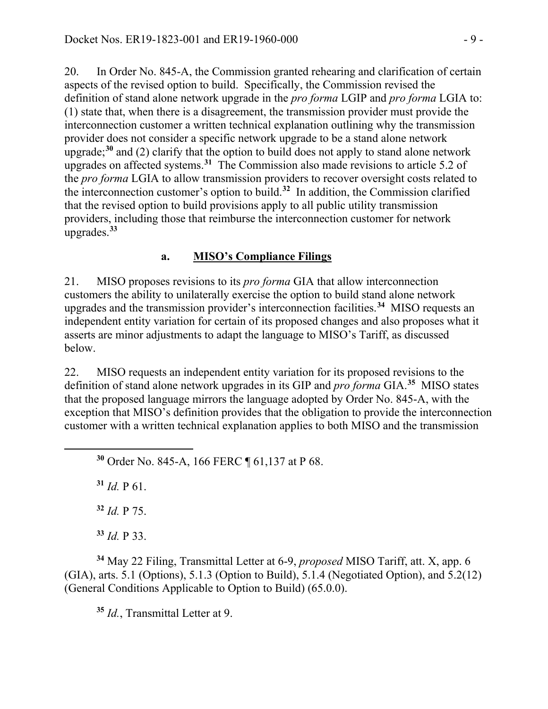20. In Order No. 845-A, the Commission granted rehearing and clarification of certain aspects of the revised option to build. Specifically, the Commission revised the definition of stand alone network upgrade in the *pro forma* LGIP and *pro forma* LGIA to: (1) state that, when there is a disagreement, the transmission provider must provide the interconnection customer a written technical explanation outlining why the transmission provider does not consider a specific network upgrade to be a stand alone network upgrade; **[30](#page-8-0)** and (2) clarify that the option to build does not apply to stand alone network upgrades on affected systems.**[31](#page-8-1)** The Commission also made revisions to article 5.2 of the *pro forma* LGIA to allow transmission providers to recover oversight costs related to the interconnection customer's option to build.**[32](#page-8-2)** In addition, the Commission clarified that the revised option to build provisions apply to all public utility transmission providers, including those that reimburse the interconnection customer for network upgrades. **[33](#page-8-3)**

### **a. MISO's Compliance Filings**

21. MISO proposes revisions to its *pro forma* GIA that allow interconnection customers the ability to unilaterally exercise the option to build stand alone network upgrades and the transmission provider's interconnection facilities. **[34](#page-8-4)** MISO requests an independent entity variation for certain of its proposed changes and also proposes what it asserts are minor adjustments to adapt the language to MISO's Tariff, as discussed below.

22. MISO requests an independent entity variation for its proposed revisions to the definition of stand alone network upgrades in its GIP and *pro forma* GIA.**[35](#page-8-5)** MISO states that the proposed language mirrors the language adopted by Order No. 845-A, with the exception that MISO's definition provides that the obligation to provide the interconnection customer with a written technical explanation applies to both MISO and the transmission

**<sup>30</sup>** Order No. 845-A, 166 FERC ¶ 61,137 at P 68.

 $31$  *Id.* P 61.

<span id="page-8-1"></span><span id="page-8-0"></span>

**<sup>32</sup>** *Id.* P 75.

**<sup>33</sup>** *Id.* P 33.

<span id="page-8-5"></span><span id="page-8-4"></span><span id="page-8-3"></span><span id="page-8-2"></span>**<sup>34</sup>** May 22 Filing, Transmittal Letter at 6-9, *proposed* MISO Tariff, att. X, app. 6 (GIA), arts. 5.1 (Options), 5.1.3 (Option to Build), 5.1.4 (Negotiated Option), and 5.2(12) (General Conditions Applicable to Option to Build) (65.0.0).

**<sup>35</sup>** *Id.*, Transmittal Letter at 9.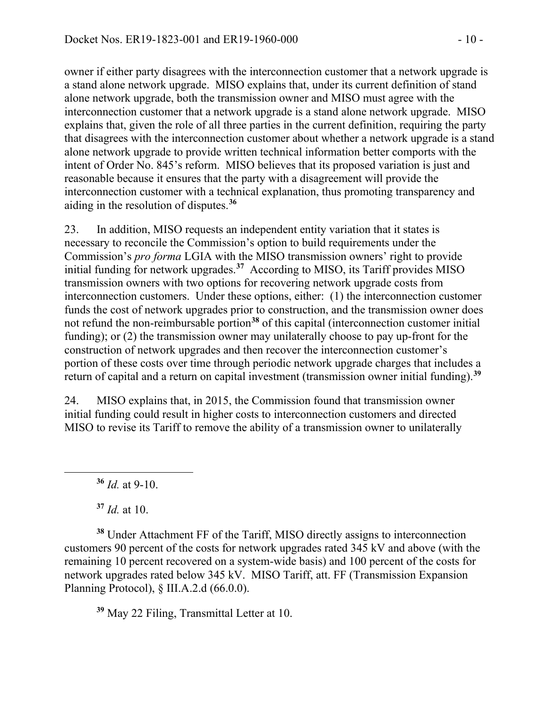owner if either party disagrees with the interconnection customer that a network upgrade is a stand alone network upgrade. MISO explains that, under its current definition of stand alone network upgrade, both the transmission owner and MISO must agree with the interconnection customer that a network upgrade is a stand alone network upgrade. MISO explains that, given the role of all three parties in the current definition, requiring the party that disagrees with the interconnection customer about whether a network upgrade is a stand alone network upgrade to provide written technical information better comports with the intent of Order No. 845's reform. MISO believes that its proposed variation is just and reasonable because it ensures that the party with a disagreement will provide the interconnection customer with a technical explanation, thus promoting transparency and aiding in the resolution of disputes.**[36](#page-9-0)**

23. In addition, MISO requests an independent entity variation that it states is necessary to reconcile the Commission's option to build requirements under the Commission's *pro forma* LGIA with the MISO transmission owners' right to provide initial funding for network upgrades.**[37](#page-9-1)** According to MISO, its Tariff provides MISO transmission owners with two options for recovering network upgrade costs from interconnection customers. Under these options, either: (1) the interconnection customer funds the cost of network upgrades prior to construction, and the transmission owner does not refund the non-reimbursable portion**[38](#page-9-2)** of this capital (interconnection customer initial funding); or (2) the transmission owner may unilaterally choose to pay up-front for the construction of network upgrades and then recover the interconnection customer's portion of these costs over time through periodic network upgrade charges that includes a return of capital and a return on capital investment (transmission owner initial funding).**[39](#page-9-3)**

24. MISO explains that, in 2015, the Commission found that transmission owner initial funding could result in higher costs to interconnection customers and directed MISO to revise its Tariff to remove the ability of a transmission owner to unilaterally

**<sup>36</sup>** *Id.* at 9-10.

**<sup>37</sup>** *Id.* at 10.

<span id="page-9-0"></span> $\overline{a}$ 

<span id="page-9-2"></span><span id="page-9-1"></span>**<sup>38</sup>** Under Attachment FF of the Tariff, MISO directly assigns to interconnection customers 90 percent of the costs for network upgrades rated 345 kV and above (with the remaining 10 percent recovered on a system-wide basis) and 100 percent of the costs for network upgrades rated below 345 kV. MISO Tariff, att. FF (Transmission Expansion Planning Protocol), § III.A.2.d (66.0.0).

<span id="page-9-3"></span>**<sup>39</sup>** May 22 Filing, Transmittal Letter at 10.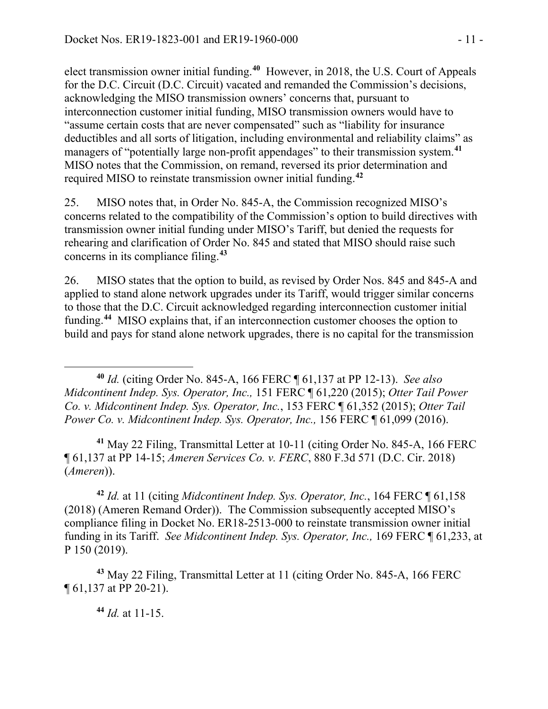elect transmission owner initial funding. **[40](#page-10-0)** However, in 2018, the U.S. Court of Appeals for the D.C. Circuit (D.C. Circuit) vacated and remanded the Commission's decisions, acknowledging the MISO transmission owners' concerns that, pursuant to interconnection customer initial funding, MISO transmission owners would have to "assume certain costs that are never compensated" such as "liability for insurance deductibles and all sorts of litigation, including environmental and reliability claims" as managers of "potentially large non-profit appendages" to their transmission system.**[41](#page-10-1)** MISO notes that the Commission, on remand, reversed its prior determination and required MISO to reinstate transmission owner initial funding. **[42](#page-10-2)**

25. MISO notes that, in Order No. 845-A, the Commission recognized MISO's concerns related to the compatibility of the Commission's option to build directives with transmission owner initial funding under MISO's Tariff, but denied the requests for rehearing and clarification of Order No. 845 and stated that MISO should raise such concerns in its compliance filing.**[43](#page-10-3)**

26. MISO states that the option to build, as revised by Order Nos. 845 and 845-A and applied to stand alone network upgrades under its Tariff, would trigger similar concerns to those that the D.C. Circuit acknowledged regarding interconnection customer initial funding.<sup>[44](#page-10-4)</sup> MISO explains that, if an interconnection customer chooses the option to build and pays for stand alone network upgrades, there is no capital for the transmission

<span id="page-10-0"></span>**<sup>40</sup>** *Id.* (citing Order No. 845-A, 166 FERC ¶ 61,137 at PP 12-13). *See also Midcontinent Indep. Sys. Operator, Inc.,* 151 FERC ¶ 61,220 (2015); *Otter Tail Power Co. v. Midcontinent Indep. Sys. Operator, Inc.*, 153 FERC ¶ 61,352 (2015); *Otter Tail Power Co. v. Midcontinent Indep. Sys. Operator, Inc.,* 156 FERC ¶ 61,099 (2016).

<span id="page-10-1"></span>**<sup>41</sup>** May 22 Filing, Transmittal Letter at 10-11 (citing Order No. 845-A, 166 FERC ¶ 61,137 at PP 14-15; *Ameren Services Co. v. FERC*, 880 F.3d 571 (D.C. Cir. 2018) (*Ameren*)).

<span id="page-10-2"></span>**<sup>42</sup>** *Id.* at 11 (citing *Midcontinent Indep. Sys. Operator, Inc.*, 164 FERC ¶ 61,158 (2018) (Ameren Remand Order)). The Commission subsequently accepted MISO's compliance filing in Docket No. ER18-2513-000 to reinstate transmission owner initial funding in its Tariff. *See Midcontinent Indep. Sys. Operator, Inc.,* 169 FERC ¶ 61,233, at P 150 (2019).

<span id="page-10-4"></span><span id="page-10-3"></span>**<sup>43</sup>** May 22 Filing, Transmittal Letter at 11 (citing Order No. 845-A, 166 FERC ¶ 61,137 at PP 20-21).

**<sup>44</sup>** *Id.* at 11-15.

 $\overline{a}$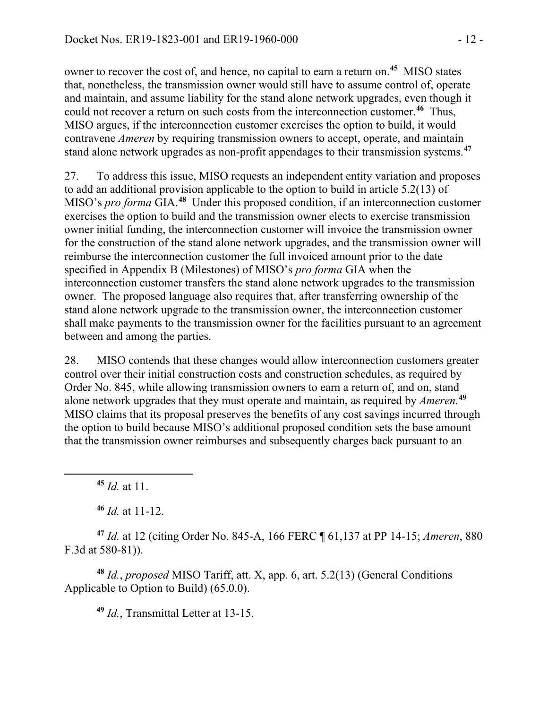owner to recover the cost of, and hence, no capital to earn a return on.**[45](#page-11-0)** MISO states that, nonetheless, the transmission owner would still have to assume control of, operate and maintain, and assume liability for the stand alone network upgrades, even though it could not recover a return on such costs from the interconnection customer.**[46](#page-11-1)** Thus, MISO argues, if the interconnection customer exercises the option to build, it would contravene *Ameren* by requiring transmission owners to accept, operate, and maintain stand alone network upgrades as non-profit appendages to their transmission systems.**[47](#page-11-2)**

27. To address this issue, MISO requests an independent entity variation and proposes to add an additional provision applicable to the option to build in article 5.2(13) of MISO's *pro forma* GIA. **[48](#page-11-3)** Under this proposed condition, if an interconnection customer exercises the option to build and the transmission owner elects to exercise transmission owner initial funding, the interconnection customer will invoice the transmission owner for the construction of the stand alone network upgrades, and the transmission owner will reimburse the interconnection customer the full invoiced amount prior to the date specified in Appendix B (Milestones) of MISO's *pro forma* GIA when the interconnection customer transfers the stand alone network upgrades to the transmission owner. The proposed language also requires that, after transferring ownership of the stand alone network upgrade to the transmission owner, the interconnection customer shall make payments to the transmission owner for the facilities pursuant to an agreement between and among the parties.

28. MISO contends that these changes would allow interconnection customers greater control over their initial construction costs and construction schedules, as required by Order No. 845, while allowing transmission owners to earn a return of, and on, stand alone network upgrades that they must operate and maintain, as required by *Ameren.* **[49](#page-11-4)** MISO claims that its proposal preserves the benefits of any cost savings incurred through the option to build because MISO's additional proposed condition sets the base amount that the transmission owner reimburses and subsequently charges back pursuant to an

**<sup>45</sup>** *Id.* at 11.

<span id="page-11-0"></span> $\overline{a}$ 

**<sup>46</sup>** *Id.* at 11-12.

<span id="page-11-2"></span><span id="page-11-1"></span>**<sup>47</sup>** *Id.* at 12 (citing Order No. 845-A, 166 FERC ¶ 61,137 at PP 14-15; *Ameren*, 880 F.3d at 580-81)).

<span id="page-11-4"></span><span id="page-11-3"></span>**<sup>48</sup>** *Id.*, *proposed* MISO Tariff, att. X, app. 6, art. 5.2(13) (General Conditions Applicable to Option to Build) (65.0.0).

**<sup>49</sup>** *Id.*, Transmittal Letter at 13-15.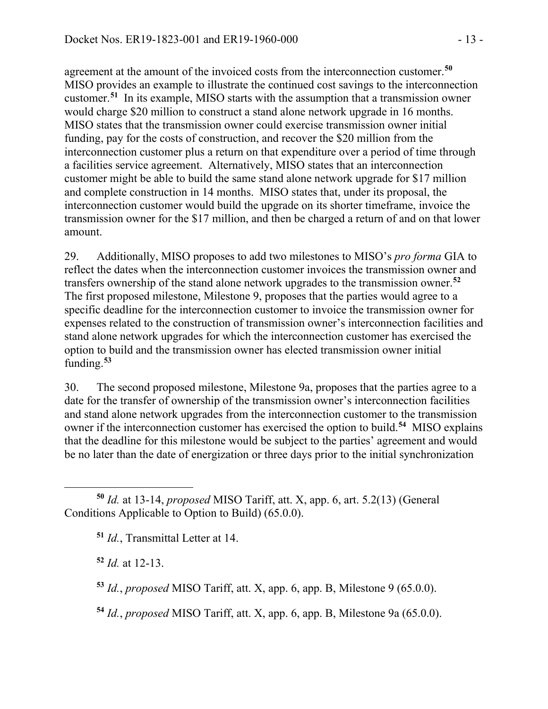agreement at the amount of the invoiced costs from the interconnection customer. **[50](#page-12-0)** MISO provides an example to illustrate the continued cost savings to the interconnection customer.**[51](#page-12-1)** In its example, MISO starts with the assumption that a transmission owner would charge \$20 million to construct a stand alone network upgrade in 16 months. MISO states that the transmission owner could exercise transmission owner initial funding, pay for the costs of construction, and recover the \$20 million from the interconnection customer plus a return on that expenditure over a period of time through a facilities service agreement. Alternatively, MISO states that an interconnection customer might be able to build the same stand alone network upgrade for \$17 million and complete construction in 14 months. MISO states that, under its proposal, the interconnection customer would build the upgrade on its shorter timeframe, invoice the transmission owner for the \$17 million, and then be charged a return of and on that lower amount.

29. Additionally, MISO proposes to add two milestones to MISO's *pro forma* GIA to reflect the dates when the interconnection customer invoices the transmission owner and transfers ownership of the stand alone network upgrades to the transmission owner.**[52](#page-12-2)** The first proposed milestone, Milestone 9, proposes that the parties would agree to a specific deadline for the interconnection customer to invoice the transmission owner for expenses related to the construction of transmission owner's interconnection facilities and stand alone network upgrades for which the interconnection customer has exercised the option to build and the transmission owner has elected transmission owner initial funding. **[53](#page-12-3)**

30. The second proposed milestone, Milestone 9a, proposes that the parties agree to a date for the transfer of ownership of the transmission owner's interconnection facilities and stand alone network upgrades from the interconnection customer to the transmission owner if the interconnection customer has exercised the option to build.**[54](#page-12-4)** MISO explains that the deadline for this milestone would be subject to the parties' agreement and would be no later than the date of energization or three days prior to the initial synchronization

**<sup>51</sup>** *Id.*, Transmittal Letter at 14.

<span id="page-12-2"></span>**<sup>52</sup>** *Id.* at 12-13.

<span id="page-12-3"></span>**<sup>53</sup>** *Id.*, *proposed* MISO Tariff, att. X, app. 6, app. B, Milestone 9 (65.0.0).

<span id="page-12-4"></span>**<sup>54</sup>** *Id.*, *proposed* MISO Tariff, att. X, app. 6, app. B, Milestone 9a (65.0.0).

<span id="page-12-1"></span><span id="page-12-0"></span> $\overline{a}$ **<sup>50</sup>** *Id.* at 13-14, *proposed* MISO Tariff, att. X, app. 6, art. 5.2(13) (General Conditions Applicable to Option to Build) (65.0.0).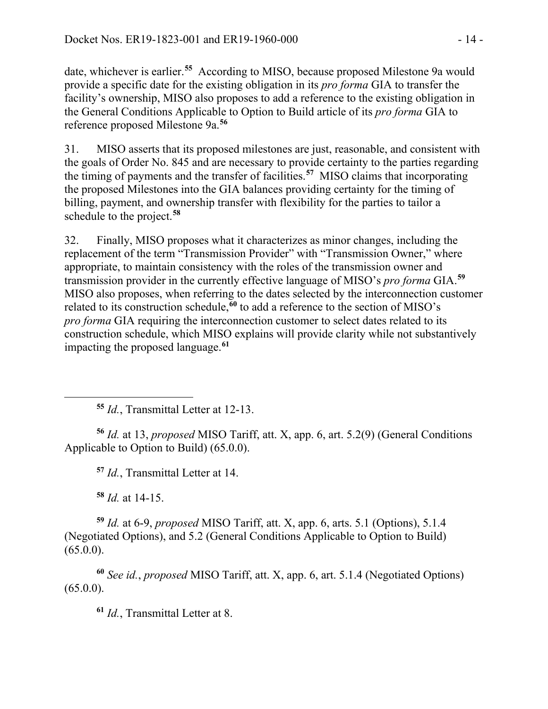date, whichever is earlier. **[55](#page-13-0)** According to MISO, because proposed Milestone 9a would provide a specific date for the existing obligation in its *pro forma* GIA to transfer the facility's ownership, MISO also proposes to add a reference to the existing obligation in the General Conditions Applicable to Option to Build article of its *pro forma* GIA to reference proposed Milestone 9a. **[56](#page-13-1)**

31. MISO asserts that its proposed milestones are just, reasonable, and consistent with the goals of Order No. 845 and are necessary to provide certainty to the parties regarding the timing of payments and the transfer of facilities.**[57](#page-13-2)** MISO claims that incorporating the proposed Milestones into the GIA balances providing certainty for the timing of billing, payment, and ownership transfer with flexibility for the parties to tailor a schedule to the project.**[58](#page-13-3)**

32. Finally, MISO proposes what it characterizes as minor changes, including the replacement of the term "Transmission Provider" with "Transmission Owner," where appropriate, to maintain consistency with the roles of the transmission owner and transmission provider in the currently effective language of MISO's *pro forma* GIA.**[59](#page-13-4)** MISO also proposes, when referring to the dates selected by the interconnection customer related to its construction schedule,**[60](#page-13-5)** to add a reference to the section of MISO's *pro forma* GIA requiring the interconnection customer to select dates related to its construction schedule, which MISO explains will provide clarity while not substantively impacting the proposed language.**[61](#page-13-6)**

**<sup>55</sup>** *Id.*, Transmittal Letter at 12-13.

<span id="page-13-2"></span><span id="page-13-1"></span>**<sup>56</sup>** *Id.* at 13, *proposed* MISO Tariff, att. X, app. 6, art. 5.2(9) (General Conditions Applicable to Option to Build) (65.0.0).

**<sup>57</sup>** *Id.*, Transmittal Letter at 14.

**<sup>58</sup>** *Id.* at 14-15.

<span id="page-13-0"></span> $\overline{a}$ 

<span id="page-13-4"></span><span id="page-13-3"></span>**<sup>59</sup>** *Id.* at 6-9, *proposed* MISO Tariff, att. X, app. 6, arts. 5.1 (Options), 5.1.4 (Negotiated Options), and 5.2 (General Conditions Applicable to Option to Build)  $(65.0.0)$ .

<span id="page-13-6"></span><span id="page-13-5"></span>**<sup>60</sup>** *See id.*, *proposed* MISO Tariff, att. X, app. 6, art. 5.1.4 (Negotiated Options)  $(65.0.0).$ 

**<sup>61</sup>** *Id.*, Transmittal Letter at 8.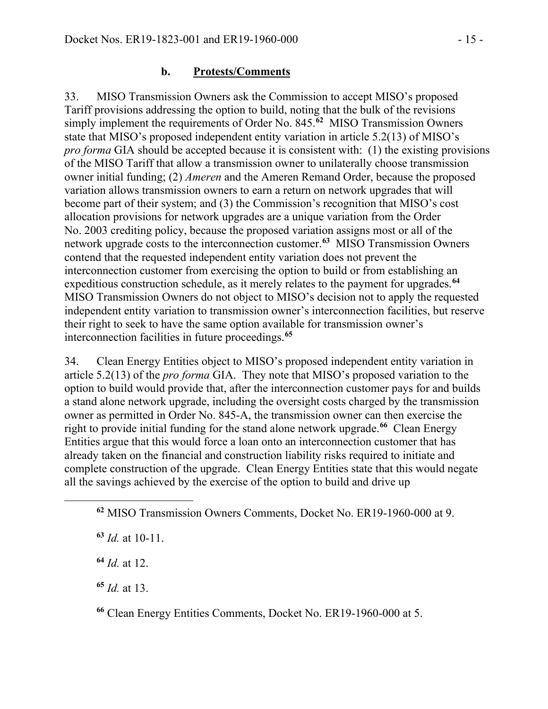#### **b. Protests/Comments**

33. MISO Transmission Owners ask the Commission to accept MISO's proposed Tariff provisions addressing the option to build, noting that the bulk of the revisions simply implement the requirements of Order No. 845.**[62](#page-14-0)** MISO Transmission Owners state that MISO's proposed independent entity variation in article 5.2(13) of MISO's *pro forma* GIA should be accepted because it is consistent with: (1) the existing provisions of the MISO Tariff that allow a transmission owner to unilaterally choose transmission owner initial funding; (2) *Ameren* and the Ameren Remand Order, because the proposed variation allows transmission owners to earn a return on network upgrades that will become part of their system; and (3) the Commission's recognition that MISO's cost allocation provisions for network upgrades are a unique variation from the Order No. 2003 crediting policy, because the proposed variation assigns most or all of the network upgrade costs to the interconnection customer.**[63](#page-14-1)** MISO Transmission Owners contend that the requested independent entity variation does not prevent the interconnection customer from exercising the option to build or from establishing an expeditious construction schedule, as it merely relates to the payment for upgrades.**[64](#page-14-2)** MISO Transmission Owners do not object to MISO's decision not to apply the requested independent entity variation to transmission owner's interconnection facilities, but reserve their right to seek to have the same option available for transmission owner's interconnection facilities in future proceedings.**[65](#page-14-3)**

34. Clean Energy Entities object to MISO's proposed independent entity variation in article 5.2(13) of the *pro forma* GIA. They note that MISO's proposed variation to the option to build would provide that, after the interconnection customer pays for and builds a stand alone network upgrade, including the oversight costs charged by the transmission owner as permitted in Order No. 845-A, the transmission owner can then exercise the right to provide initial funding for the stand alone network upgrade. **[66](#page-14-4)** Clean Energy Entities argue that this would force a loan onto an interconnection customer that has already taken on the financial and construction liability risks required to initiate and complete construction of the upgrade. Clean Energy Entities state that this would negate all the savings achieved by the exercise of the option to build and drive up

<span id="page-14-2"></span><span id="page-14-1"></span><span id="page-14-0"></span> $\overline{a}$ 

<span id="page-14-4"></span>**<sup>66</sup>** Clean Energy Entities Comments, Docket No. ER19-1960-000 at 5.

**<sup>62</sup>** MISO Transmission Owners Comments, Docket No. ER19-1960-000 at 9.

**<sup>63</sup>** *Id.* at 10-11.

**<sup>64</sup>** *Id.* at 12.

<span id="page-14-3"></span>**<sup>65</sup>** *Id.* at 13.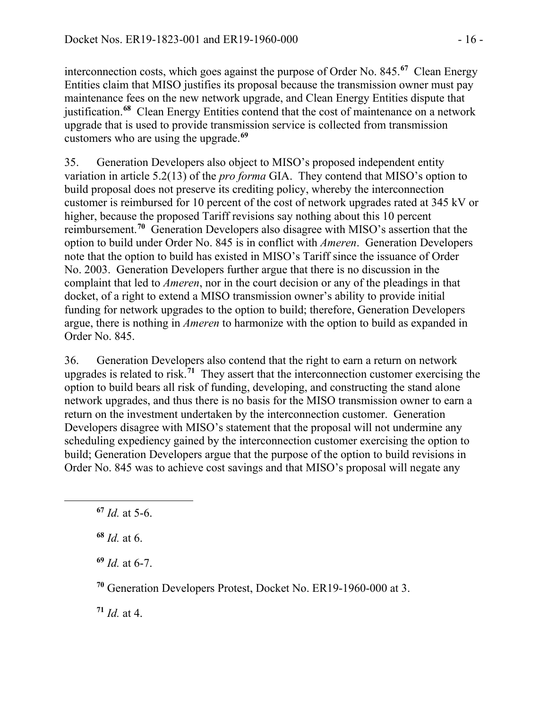interconnection costs, which goes against the purpose of Order No. 845.**[67](#page-15-0)** Clean Energy Entities claim that MISO justifies its proposal because the transmission owner must pay maintenance fees on the new network upgrade, and Clean Energy Entities dispute that justification. **[68](#page-15-1)** Clean Energy Entities contend that the cost of maintenance on a network upgrade that is used to provide transmission service is collected from transmission customers who are using the upgrade.**[69](#page-15-2)**

35. Generation Developers also object to MISO's proposed independent entity variation in article 5.2(13) of the *pro forma* GIA. They contend that MISO's option to build proposal does not preserve its crediting policy, whereby the interconnection customer is reimbursed for 10 percent of the cost of network upgrades rated at 345 kV or higher, because the proposed Tariff revisions say nothing about this 10 percent reimbursement.**[70](#page-15-3)** Generation Developers also disagree with MISO's assertion that the option to build under Order No. 845 is in conflict with *Ameren*. Generation Developers note that the option to build has existed in MISO's Tariff since the issuance of Order No. 2003. Generation Developers further argue that there is no discussion in the complaint that led to *Ameren*, nor in the court decision or any of the pleadings in that docket, of a right to extend a MISO transmission owner's ability to provide initial funding for network upgrades to the option to build; therefore, Generation Developers argue, there is nothing in *Ameren* to harmonize with the option to build as expanded in Order No. 845.

36. Generation Developers also contend that the right to earn a return on network upgrades is related to risk.**[71](#page-15-4)** They assert that the interconnection customer exercising the option to build bears all risk of funding, developing, and constructing the stand alone network upgrades, and thus there is no basis for the MISO transmission owner to earn a return on the investment undertaken by the interconnection customer. Generation Developers disagree with MISO's statement that the proposal will not undermine any scheduling expediency gained by the interconnection customer exercising the option to build; Generation Developers argue that the purpose of the option to build revisions in Order No. 845 was to achieve cost savings and that MISO's proposal will negate any

<span id="page-15-2"></span><span id="page-15-1"></span><span id="page-15-0"></span> $\overline{a}$ 

**<sup>69</sup>** *Id.* at 6-7.

<span id="page-15-3"></span>**<sup>70</sup>** Generation Developers Protest, Docket No. ER19-1960-000 at 3.

<span id="page-15-4"></span>**<sup>71</sup>** *Id.* at 4.

**<sup>67</sup>** *Id.* at 5-6.

**<sup>68</sup>** *Id.* at 6.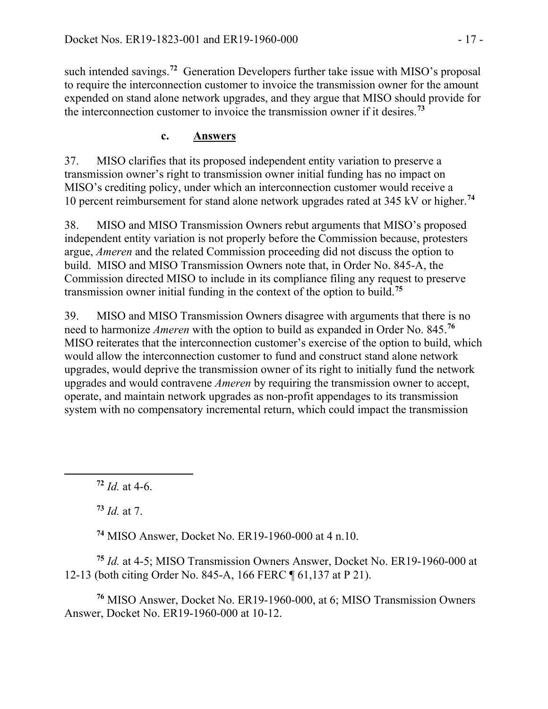such intended savings.**[72](#page-16-0)** Generation Developers further take issue with MISO's proposal to require the interconnection customer to invoice the transmission owner for the amount expended on stand alone network upgrades, and they argue that MISO should provide for the interconnection customer to invoice the transmission owner if it desires.**[73](#page-16-1)**

## **c. Answers**

37. MISO clarifies that its proposed independent entity variation to preserve a transmission owner's right to transmission owner initial funding has no impact on MISO's crediting policy, under which an interconnection customer would receive a 10 percent reimbursement for stand alone network upgrades rated at 345 kV or higher.**[74](#page-16-2)**

38. MISO and MISO Transmission Owners rebut arguments that MISO's proposed independent entity variation is not properly before the Commission because, protesters argue, *Ameren* and the related Commission proceeding did not discuss the option to build. MISO and MISO Transmission Owners note that, in Order No. 845-A, the Commission directed MISO to include in its compliance filing any request to preserve transmission owner initial funding in the context of the option to build.**[75](#page-16-3)**

39. MISO and MISO Transmission Owners disagree with arguments that there is no need to harmonize *Ameren* with the option to build as expanded in Order No. 845.**[76](#page-16-4)** MISO reiterates that the interconnection customer's exercise of the option to build, which would allow the interconnection customer to fund and construct stand alone network upgrades, would deprive the transmission owner of its right to initially fund the network upgrades and would contravene *Ameren* by requiring the transmission owner to accept, operate, and maintain network upgrades as non-profit appendages to its transmission system with no compensatory incremental return, which could impact the transmission

 $72$  *Id.* at 4-6.

**<sup>73</sup>** *Id.* at 7.

<span id="page-16-1"></span><span id="page-16-0"></span> $\overline{a}$ 

**<sup>74</sup>** MISO Answer, Docket No. ER19-1960-000 at 4 n.10.

<span id="page-16-3"></span><span id="page-16-2"></span>**<sup>75</sup>** *Id.* at 4-5; MISO Transmission Owners Answer, Docket No. ER19-1960-000 at 12-13 (both citing Order No. 845-A, 166 FERC ¶ 61,137 at P 21).

<span id="page-16-4"></span>**<sup>76</sup>** MISO Answer, Docket No. ER19-1960-000, at 6; MISO Transmission Owners Answer, Docket No. ER19-1960-000 at 10-12.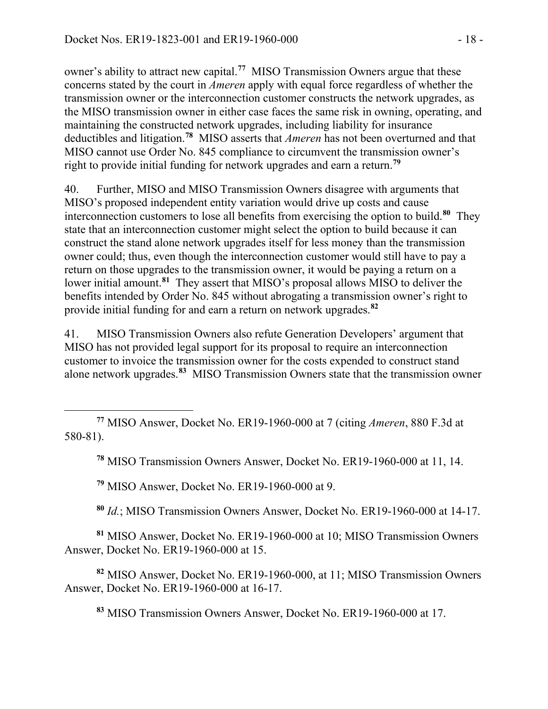owner's ability to attract new capital. **[77](#page-17-0)** MISO Transmission Owners argue that these concerns stated by the court in *Ameren* apply with equal force regardless of whether the transmission owner or the interconnection customer constructs the network upgrades, as the MISO transmission owner in either case faces the same risk in owning, operating, and maintaining the constructed network upgrades, including liability for insurance deductibles and litigation. **[78](#page-17-1)** MISO asserts that *Ameren* has not been overturned and that MISO cannot use Order No. 845 compliance to circumvent the transmission owner's right to provide initial funding for network upgrades and earn a return.**[79](#page-17-2)**

40. Further, MISO and MISO Transmission Owners disagree with arguments that MISO's proposed independent entity variation would drive up costs and cause interconnection customers to lose all benefits from exercising the option to build.**[80](#page-17-3)** They state that an interconnection customer might select the option to build because it can construct the stand alone network upgrades itself for less money than the transmission owner could; thus, even though the interconnection customer would still have to pay a return on those upgrades to the transmission owner, it would be paying a return on a lower initial amount.**[81](#page-17-4)** They assert that MISO's proposal allows MISO to deliver the benefits intended by Order No. 845 without abrogating a transmission owner's right to provide initial funding for and earn a return on network upgrades.**[82](#page-17-5)**

41. MISO Transmission Owners also refute Generation Developers' argument that MISO has not provided legal support for its proposal to require an interconnection customer to invoice the transmission owner for the costs expended to construct stand alone network upgrades.**[83](#page-17-6)** MISO Transmission Owners state that the transmission owner

**<sup>78</sup>** MISO Transmission Owners Answer, Docket No. ER19-1960-000 at 11, 14.

**<sup>79</sup>** MISO Answer, Docket No. ER19-1960-000 at 9.

 $\overline{a}$ 

**<sup>80</sup>** *Id.*; MISO Transmission Owners Answer, Docket No. ER19-1960-000 at 14-17.

<span id="page-17-4"></span><span id="page-17-3"></span><span id="page-17-2"></span>**<sup>81</sup>** MISO Answer, Docket No. ER19-1960-000 at 10; MISO Transmission Owners Answer, Docket No. ER19-1960-000 at 15.

<span id="page-17-6"></span><span id="page-17-5"></span>**<sup>82</sup>** MISO Answer, Docket No. ER19-1960-000, at 11; MISO Transmission Owners Answer, Docket No. ER19-1960-000 at 16-17.

**<sup>83</sup>** MISO Transmission Owners Answer, Docket No. ER19-1960-000 at 17.

<span id="page-17-1"></span><span id="page-17-0"></span>**<sup>77</sup>** MISO Answer, Docket No. ER19-1960-000 at 7 (citing *Ameren*, 880 F.3d at 580-81).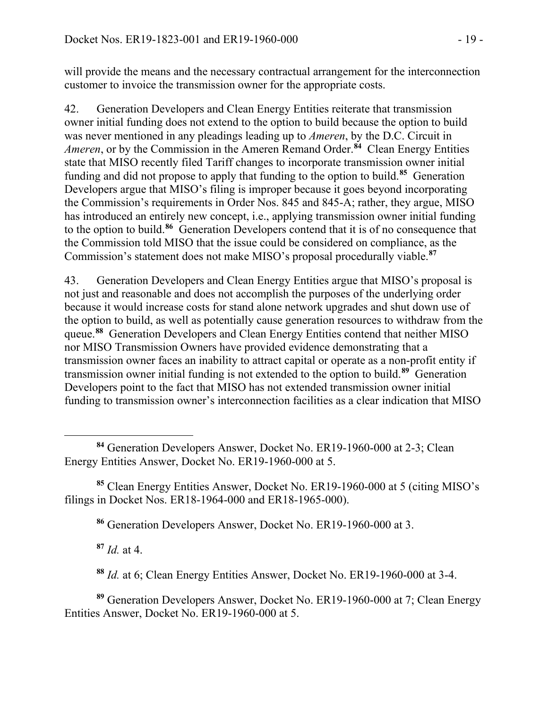will provide the means and the necessary contractual arrangement for the interconnection customer to invoice the transmission owner for the appropriate costs.

42. Generation Developers and Clean Energy Entities reiterate that transmission owner initial funding does not extend to the option to build because the option to build was never mentioned in any pleadings leading up to *Ameren*, by the D.C. Circuit in *Ameren*, or by the Commission in the Ameren Remand Order.**[84](#page-18-0)** Clean Energy Entities state that MISO recently filed Tariff changes to incorporate transmission owner initial funding and did not propose to apply that funding to the option to build.**[85](#page-18-1)** Generation Developers argue that MISO's filing is improper because it goes beyond incorporating the Commission's requirements in Order Nos. 845 and 845-A; rather, they argue, MISO has introduced an entirely new concept, i.e., applying transmission owner initial funding to the option to build.**[86](#page-18-2)** Generation Developers contend that it is of no consequence that the Commission told MISO that the issue could be considered on compliance, as the Commission's statement does not make MISO's proposal procedurally viable.**[87](#page-18-3)**

43. Generation Developers and Clean Energy Entities argue that MISO's proposal is not just and reasonable and does not accomplish the purposes of the underlying order because it would increase costs for stand alone network upgrades and shut down use of the option to build, as well as potentially cause generation resources to withdraw from the queue.**[88](#page-18-4)** Generation Developers and Clean Energy Entities contend that neither MISO nor MISO Transmission Owners have provided evidence demonstrating that a transmission owner faces an inability to attract capital or operate as a non-profit entity if transmission owner initial funding is not extended to the option to build.**[89](#page-18-5)** Generation Developers point to the fact that MISO has not extended transmission owner initial funding to transmission owner's interconnection facilities as a clear indication that MISO

<span id="page-18-2"></span><span id="page-18-1"></span>**<sup>85</sup>** Clean Energy Entities Answer, Docket No. ER19-1960-000 at 5 (citing MISO's filings in Docket Nos. ER18-1964-000 and ER18-1965-000).

**<sup>86</sup>** Generation Developers Answer, Docket No. ER19-1960-000 at 3.

**<sup>87</sup>** *Id.* at 4.

**<sup>88</sup>** *Id.* at 6; Clean Energy Entities Answer, Docket No. ER19-1960-000 at 3-4.

<span id="page-18-5"></span><span id="page-18-4"></span><span id="page-18-3"></span>**<sup>89</sup>** Generation Developers Answer, Docket No. ER19-1960-000 at 7; Clean Energy Entities Answer, Docket No. ER19-1960-000 at 5.

<span id="page-18-0"></span>**<sup>84</sup>** Generation Developers Answer, Docket No. ER19-1960-000 at 2-3; Clean Energy Entities Answer, Docket No. ER19-1960-000 at 5.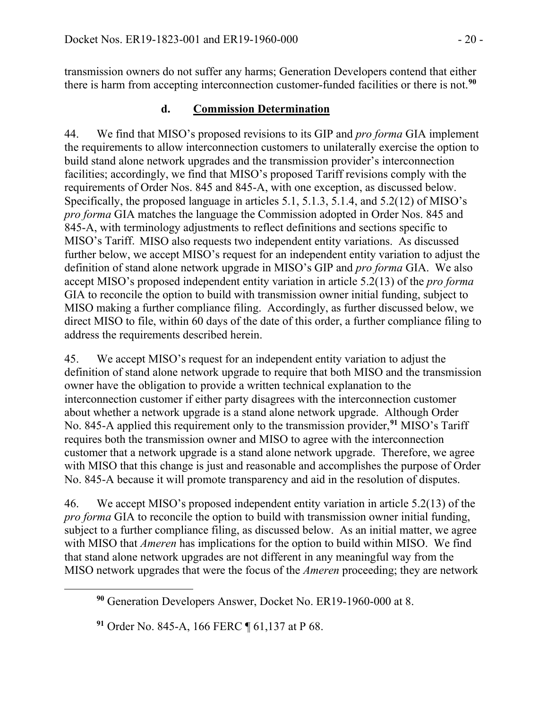transmission owners do not suffer any harms; Generation Developers contend that either there is harm from accepting interconnection customer-funded facilities or there is not.**[90](#page-19-0)**

# **d. Commission Determination**

44. We find that MISO's proposed revisions to its GIP and *pro forma* GIA implement the requirements to allow interconnection customers to unilaterally exercise the option to build stand alone network upgrades and the transmission provider's interconnection facilities; accordingly, we find that MISO's proposed Tariff revisions comply with the requirements of Order Nos. 845 and 845-A, with one exception, as discussed below. Specifically, the proposed language in articles 5.1, 5.1.3, 5.1.4, and 5.2(12) of MISO's *pro forma* GIA matches the language the Commission adopted in Order Nos. 845 and 845-A, with terminology adjustments to reflect definitions and sections specific to MISO's Tariff. MISO also requests two independent entity variations. As discussed further below, we accept MISO's request for an independent entity variation to adjust the definition of stand alone network upgrade in MISO's GIP and *pro forma* GIA. We also accept MISO's proposed independent entity variation in article 5.2(13) of the *pro forma* GIA to reconcile the option to build with transmission owner initial funding, subject to MISO making a further compliance filing. Accordingly, as further discussed below, we direct MISO to file, within 60 days of the date of this order, a further compliance filing to address the requirements described herein.

45. We accept MISO's request for an independent entity variation to adjust the definition of stand alone network upgrade to require that both MISO and the transmission owner have the obligation to provide a written technical explanation to the interconnection customer if either party disagrees with the interconnection customer about whether a network upgrade is a stand alone network upgrade. Although Order No. 845-A applied this requirement only to the transmission provider, **[91](#page-19-1)** MISO's Tariff requires both the transmission owner and MISO to agree with the interconnection customer that a network upgrade is a stand alone network upgrade. Therefore, we agree with MISO that this change is just and reasonable and accomplishes the purpose of Order No. 845-A because it will promote transparency and aid in the resolution of disputes.

46. We accept MISO's proposed independent entity variation in article 5.2(13) of the *pro forma* GIA to reconcile the option to build with transmission owner initial funding, subject to a further compliance filing, as discussed below. As an initial matter, we agree with MISO that *Ameren* has implications for the option to build within MISO. We find that stand alone network upgrades are not different in any meaningful way from the MISO network upgrades that were the focus of the *Ameren* proceeding; they are network

<span id="page-19-1"></span><span id="page-19-0"></span> $\overline{a}$ 

**<sup>90</sup>** Generation Developers Answer, Docket No. ER19-1960-000 at 8.

**<sup>91</sup>** Order No. 845-A, 166 FERC ¶ 61,137 at P 68.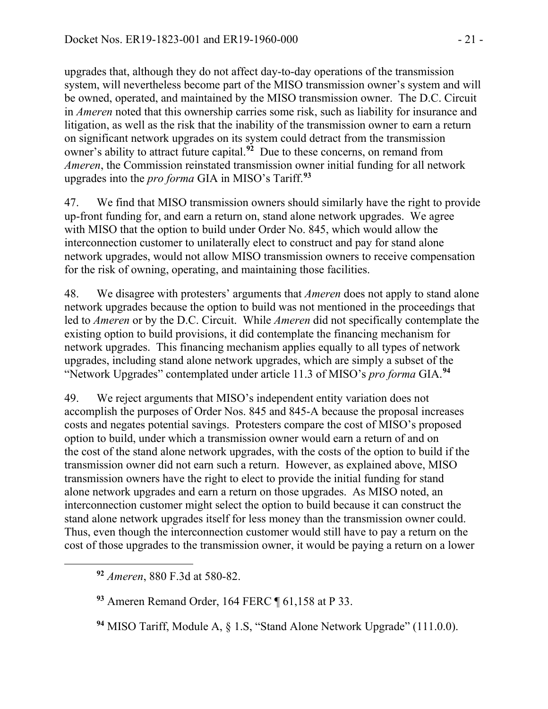upgrades that, although they do not affect day-to-day operations of the transmission system, will nevertheless become part of the MISO transmission owner's system and will be owned, operated, and maintained by the MISO transmission owner. The D.C. Circuit in *Ameren* noted that this ownership carries some risk, such as liability for insurance and litigation, as well as the risk that the inability of the transmission owner to earn a return on significant network upgrades on its system could detract from the transmission owner's ability to attract future capital.**[92](#page-20-0)** Due to these concerns, on remand from *Ameren*, the Commission reinstated transmission owner initial funding for all network upgrades into the *pro forma* GIA in MISO's Tariff.**[93](#page-20-1)**

47. We find that MISO transmission owners should similarly have the right to provide up-front funding for, and earn a return on, stand alone network upgrades. We agree with MISO that the option to build under Order No. 845, which would allow the interconnection customer to unilaterally elect to construct and pay for stand alone network upgrades, would not allow MISO transmission owners to receive compensation for the risk of owning, operating, and maintaining those facilities.

48. We disagree with protesters' arguments that *Ameren* does not apply to stand alone network upgrades because the option to build was not mentioned in the proceedings that led to *Ameren* or by the D.C. Circuit. While *Ameren* did not specifically contemplate the existing option to build provisions, it did contemplate the financing mechanism for network upgrades. This financing mechanism applies equally to all types of network upgrades, including stand alone network upgrades, which are simply a subset of the "Network Upgrades" contemplated under article 11.3 of MISO's *pro forma* GIA. **[94](#page-20-2)**

49. We reject arguments that MISO's independent entity variation does not accomplish the purposes of Order Nos. 845 and 845-A because the proposal increases costs and negates potential savings. Protesters compare the cost of MISO's proposed option to build, under which a transmission owner would earn a return of and on the cost of the stand alone network upgrades, with the costs of the option to build if the transmission owner did not earn such a return. However, as explained above, MISO transmission owners have the right to elect to provide the initial funding for stand alone network upgrades and earn a return on those upgrades. As MISO noted, an interconnection customer might select the option to build because it can construct the stand alone network upgrades itself for less money than the transmission owner could. Thus, even though the interconnection customer would still have to pay a return on the cost of those upgrades to the transmission owner, it would be paying a return on a lower

<span id="page-20-2"></span><span id="page-20-1"></span><span id="page-20-0"></span>

**<sup>93</sup>** Ameren Remand Order, 164 FERC ¶ 61,158 at P 33.

**<sup>92</sup>** *Ameren*, 880 F.3d at 580-82.

**<sup>94</sup>** MISO Tariff, Module A, § 1.S, "Stand Alone Network Upgrade" (111.0.0).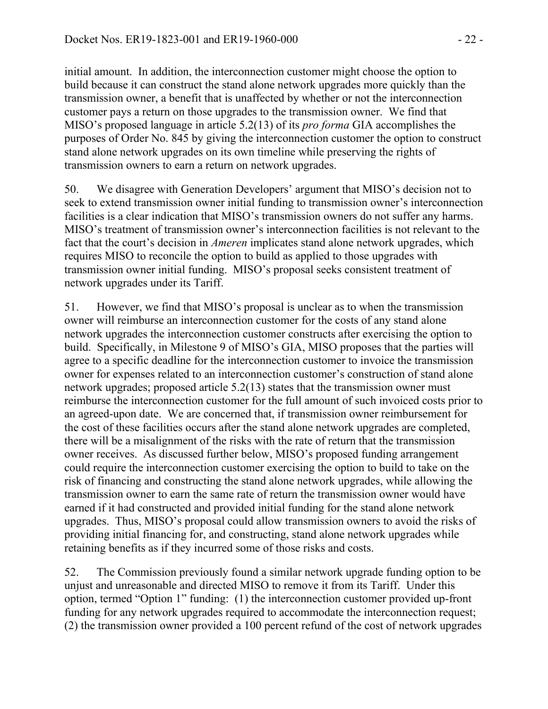initial amount. In addition, the interconnection customer might choose the option to build because it can construct the stand alone network upgrades more quickly than the transmission owner, a benefit that is unaffected by whether or not the interconnection customer pays a return on those upgrades to the transmission owner. We find that MISO's proposed language in article 5.2(13) of its *pro forma* GIA accomplishes the purposes of Order No. 845 by giving the interconnection customer the option to construct stand alone network upgrades on its own timeline while preserving the rights of transmission owners to earn a return on network upgrades.

50. We disagree with Generation Developers' argument that MISO's decision not to seek to extend transmission owner initial funding to transmission owner's interconnection facilities is a clear indication that MISO's transmission owners do not suffer any harms. MISO's treatment of transmission owner's interconnection facilities is not relevant to the fact that the court's decision in *Ameren* implicates stand alone network upgrades, which requires MISO to reconcile the option to build as applied to those upgrades with transmission owner initial funding. MISO's proposal seeks consistent treatment of network upgrades under its Tariff.

51. However, we find that MISO's proposal is unclear as to when the transmission owner will reimburse an interconnection customer for the costs of any stand alone network upgrades the interconnection customer constructs after exercising the option to build. Specifically, in Milestone 9 of MISO's GIA, MISO proposes that the parties will agree to a specific deadline for the interconnection customer to invoice the transmission owner for expenses related to an interconnection customer's construction of stand alone network upgrades; proposed article 5.2(13) states that the transmission owner must reimburse the interconnection customer for the full amount of such invoiced costs prior to an agreed-upon date. We are concerned that, if transmission owner reimbursement for the cost of these facilities occurs after the stand alone network upgrades are completed, there will be a misalignment of the risks with the rate of return that the transmission owner receives. As discussed further below, MISO's proposed funding arrangement could require the interconnection customer exercising the option to build to take on the risk of financing and constructing the stand alone network upgrades, while allowing the transmission owner to earn the same rate of return the transmission owner would have earned if it had constructed and provided initial funding for the stand alone network upgrades. Thus, MISO's proposal could allow transmission owners to avoid the risks of providing initial financing for, and constructing, stand alone network upgrades while retaining benefits as if they incurred some of those risks and costs.

52. The Commission previously found a similar network upgrade funding option to be unjust and unreasonable and directed MISO to remove it from its Tariff. Under this option, termed "Option 1" funding: (1) the interconnection customer provided up-front funding for any network upgrades required to accommodate the interconnection request; (2) the transmission owner provided a 100 percent refund of the cost of network upgrades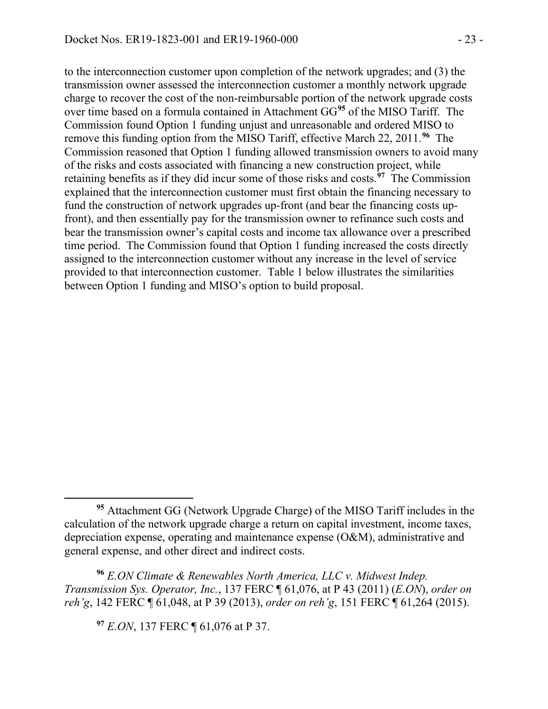to the interconnection customer upon completion of the network upgrades; and (3) the transmission owner assessed the interconnection customer a monthly network upgrade charge to recover the cost of the non-reimbursable portion of the network upgrade costs over time based on a formula contained in Attachment GG**[95](#page-22-0)** of the MISO Tariff. The Commission found Option 1 funding unjust and unreasonable and ordered MISO to remove this funding option from the MISO Tariff, effective March 22, 2011.**[96](#page-22-1)** The Commission reasoned that Option 1 funding allowed transmission owners to avoid many of the risks and costs associated with financing a new construction project, while retaining benefits as if they did incur some of those risks and costs.**[97](#page-22-2)** The Commission explained that the interconnection customer must first obtain the financing necessary to fund the construction of network upgrades up-front (and bear the financing costs upfront), and then essentially pay for the transmission owner to refinance such costs and bear the transmission owner's capital costs and income tax allowance over a prescribed time period. The Commission found that Option 1 funding increased the costs directly assigned to the interconnection customer without any increase in the level of service provided to that interconnection customer. Table 1 below illustrates the similarities between Option 1 funding and MISO's option to build proposal.

**<sup>97</sup>** *E.ON*, 137 FERC ¶ 61,076 at P 37.

 $\overline{a}$ 

<span id="page-22-0"></span>**<sup>95</sup>** Attachment GG (Network Upgrade Charge) of the MISO Tariff includes in the calculation of the network upgrade charge a return on capital investment, income taxes, depreciation expense, operating and maintenance expense (O&M), administrative and general expense, and other direct and indirect costs.

<span id="page-22-2"></span><span id="page-22-1"></span>**<sup>96</sup>** *E.ON Climate & Renewables North America, LLC v. Midwest Indep. Transmission Sys. Operator, Inc.*, 137 FERC ¶ 61,076, at P 43 (2011) (*E.ON*), *order on reh'g*, 142 FERC ¶ 61,048, at P 39 (2013), *order on reh'g*, 151 FERC ¶ 61,264 (2015).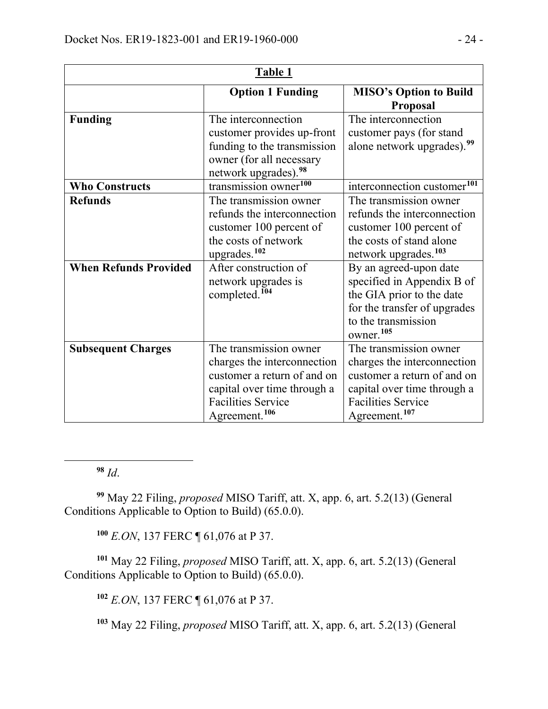| Table 1                                        |                                                                                                                                                                                                                   |                                                                                                                                                                                                                                                                                                                       |
|------------------------------------------------|-------------------------------------------------------------------------------------------------------------------------------------------------------------------------------------------------------------------|-----------------------------------------------------------------------------------------------------------------------------------------------------------------------------------------------------------------------------------------------------------------------------------------------------------------------|
|                                                | <b>Option 1 Funding</b>                                                                                                                                                                                           | <b>MISO's Option to Build</b><br><b>Proposal</b>                                                                                                                                                                                                                                                                      |
| <b>Funding</b>                                 | The interconnection<br>customer provides up-front<br>funding to the transmission<br>owner (for all necessary<br>network upgrades). <sup>98</sup>                                                                  | The interconnection<br>customer pays (for stand<br>alone network upgrades). <sup>99</sup>                                                                                                                                                                                                                             |
| <b>Who Constructs</b>                          | transmission owner <sup>100</sup>                                                                                                                                                                                 | interconnection customer <sup>101</sup>                                                                                                                                                                                                                                                                               |
| <b>Refunds</b><br><b>When Refunds Provided</b> | The transmission owner<br>refunds the interconnection<br>customer 100 percent of<br>the costs of network<br>upgrades. <sup>102</sup><br>After construction of<br>network upgrades is<br>completed. <sup>104</sup> | The transmission owner<br>refunds the interconnection<br>customer 100 percent of<br>the costs of stand alone<br>network upgrades. <sup>103</sup><br>By an agreed-upon date<br>specified in Appendix B of<br>the GIA prior to the date<br>for the transfer of upgrades<br>to the transmission<br>owner. <sup>105</sup> |
| <b>Subsequent Charges</b>                      | The transmission owner<br>charges the interconnection<br>customer a return of and on<br>capital over time through a<br><b>Facilities Service</b><br>Agreement. <sup>106</sup>                                     | The transmission owner<br>charges the interconnection<br>customer a return of and on<br>capital over time through a<br><b>Facilities Service</b><br>Agreement. <sup>107</sup>                                                                                                                                         |

**<sup>98</sup>** *Id*.

<span id="page-23-9"></span><span id="page-23-8"></span><span id="page-23-7"></span><span id="page-23-6"></span><span id="page-23-0"></span> $\overline{a}$ 

<span id="page-23-1"></span>**<sup>99</sup>** May 22 Filing, *proposed* MISO Tariff, att. X, app. 6, art. 5.2(13) (General Conditions Applicable to Option to Build) (65.0.0).

**<sup>100</sup>** *E.ON*, 137 FERC ¶ 61,076 at P 37.

<span id="page-23-5"></span><span id="page-23-4"></span><span id="page-23-3"></span><span id="page-23-2"></span>**<sup>101</sup>** May 22 Filing, *proposed* MISO Tariff, att. X, app. 6, art. 5.2(13) (General Conditions Applicable to Option to Build) (65.0.0).

**<sup>102</sup>** *E.ON*, 137 FERC ¶ 61,076 at P 37.

**<sup>103</sup>** May 22 Filing, *proposed* MISO Tariff, att. X, app. 6, art. 5.2(13) (General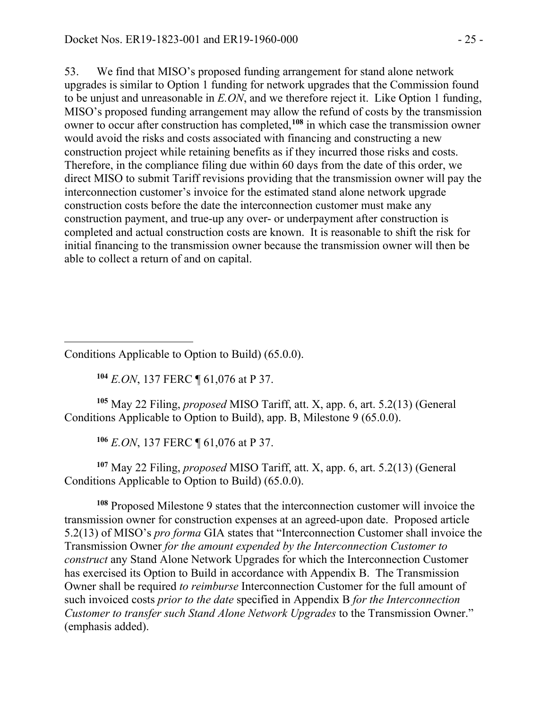53. We find that MISO's proposed funding arrangement for stand alone network upgrades is similar to Option 1 funding for network upgrades that the Commission found to be unjust and unreasonable in *E.ON*, and we therefore reject it. Like Option 1 funding, MISO's proposed funding arrangement may allow the refund of costs by the transmission owner to occur after construction has completed, **[108](#page-24-0)** in which case the transmission owner would avoid the risks and costs associated with financing and constructing a new construction project while retaining benefits as if they incurred those risks and costs. Therefore, in the compliance filing due within 60 days from the date of this order, we direct MISO to submit Tariff revisions providing that the transmission owner will pay the interconnection customer's invoice for the estimated stand alone network upgrade construction costs before the date the interconnection customer must make any construction payment, and true-up any over- or underpayment after construction is completed and actual construction costs are known. It is reasonable to shift the risk for initial financing to the transmission owner because the transmission owner will then be able to collect a return of and on capital.

 Conditions Applicable to Option to Build) (65.0.0).

**<sup>104</sup>** *E.ON*, 137 FERC ¶ 61,076 at P 37.

**<sup>105</sup>** May 22 Filing, *proposed* MISO Tariff, att. X, app. 6, art. 5.2(13) (General Conditions Applicable to Option to Build), app. B, Milestone 9 (65.0.0).

**<sup>106</sup>** *E.ON*, 137 FERC ¶ 61,076 at P 37.

**<sup>107</sup>** May 22 Filing, *proposed* MISO Tariff, att. X, app. 6, art. 5.2(13) (General Conditions Applicable to Option to Build) (65.0.0).

<span id="page-24-0"></span>**<sup>108</sup>** Proposed Milestone 9 states that the interconnection customer will invoice the transmission owner for construction expenses at an agreed-upon date. Proposed article 5.2(13) of MISO's *pro forma* GIA states that "Interconnection Customer shall invoice the Transmission Owner *for the amount expended by the Interconnection Customer to construct* any Stand Alone Network Upgrades for which the Interconnection Customer has exercised its Option to Build in accordance with Appendix B. The Transmission Owner shall be required *to reimburse* Interconnection Customer for the full amount of such invoiced costs *prior to the date* specified in Appendix B *for the Interconnection Customer to transfer such Stand Alone Network Upgrades* to the Transmission Owner." (emphasis added).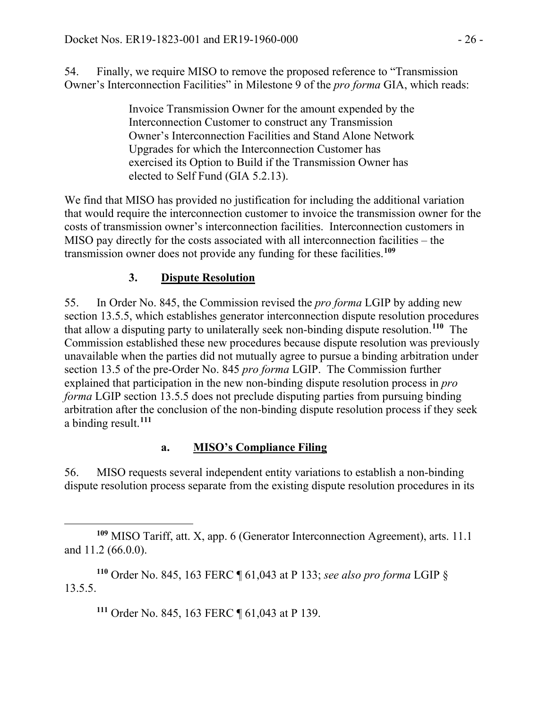54. Finally, we require MISO to remove the proposed reference to "Transmission Owner's Interconnection Facilities" in Milestone 9 of the *pro forma* GIA, which reads:

> Invoice Transmission Owner for the amount expended by the Interconnection Customer to construct any Transmission Owner's Interconnection Facilities and Stand Alone Network Upgrades for which the Interconnection Customer has exercised its Option to Build if the Transmission Owner has elected to Self Fund (GIA 5.2.13).

We find that MISO has provided no justification for including the additional variation that would require the interconnection customer to invoice the transmission owner for the costs of transmission owner's interconnection facilities. Interconnection customers in MISO pay directly for the costs associated with all interconnection facilities – the transmission owner does not provide any funding for these facilities.**[109](#page-25-0)**

# **3. Dispute Resolution**

55. In Order No. 845, the Commission revised the *pro forma* LGIP by adding new section 13.5.5, which establishes generator interconnection dispute resolution procedures that allow a disputing party to unilaterally seek non-binding dispute resolution.**[110](#page-25-1)** The Commission established these new procedures because dispute resolution was previously unavailable when the parties did not mutually agree to pursue a binding arbitration under section 13.5 of the pre-Order No. 845 *pro forma* LGIP. The Commission further explained that participation in the new non-binding dispute resolution process in *pro forma* LGIP section 13.5.5 does not preclude disputing parties from pursuing binding arbitration after the conclusion of the non-binding dispute resolution process if they seek a binding result. **[111](#page-25-2)**

# **a. MISO's Compliance Filing**

56. MISO requests several independent entity variations to establish a non-binding dispute resolution process separate from the existing dispute resolution procedures in its

**<sup>111</sup>** Order No. 845, 163 FERC ¶ 61,043 at P 139.

<span id="page-25-0"></span> $\overline{a}$ **<sup>109</sup>** MISO Tariff, att. X, app. 6 (Generator Interconnection Agreement), arts. 11.1 and 11.2 (66.0.0).

<span id="page-25-2"></span><span id="page-25-1"></span>**<sup>110</sup>** Order No. 845, 163 FERC ¶ 61,043 at P 133; *see also pro forma* LGIP § 13.5.5.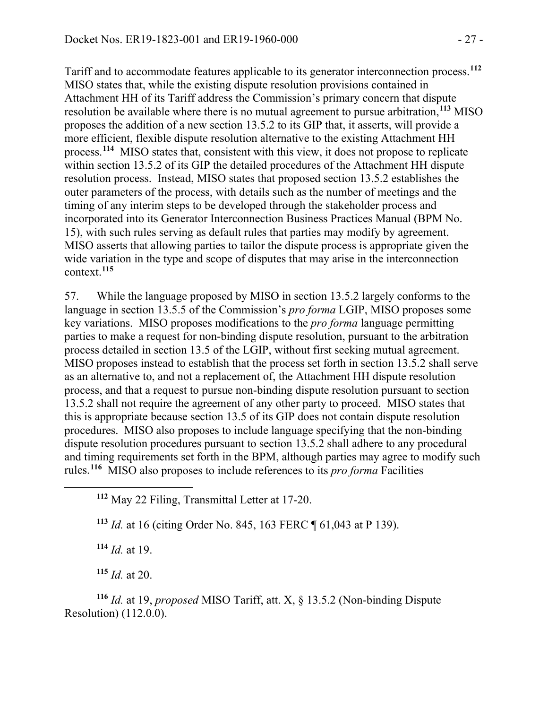Tariff and to accommodate features applicable to its generator interconnection process. **[112](#page-26-0)** MISO states that, while the existing dispute resolution provisions contained in Attachment HH of its Tariff address the Commission's primary concern that dispute resolution be available where there is no mutual agreement to pursue arbitration, **[113](#page-26-1)** MISO proposes the addition of a new section 13.5.2 to its GIP that, it asserts, will provide a more efficient, flexible dispute resolution alternative to the existing Attachment HH process. **[114](#page-26-2)** MISO states that, consistent with this view, it does not propose to replicate within section 13.5.2 of its GIP the detailed procedures of the Attachment HH dispute resolution process. Instead, MISO states that proposed section 13.5.2 establishes the outer parameters of the process, with details such as the number of meetings and the timing of any interim steps to be developed through the stakeholder process and incorporated into its Generator Interconnection Business Practices Manual (BPM No. 15), with such rules serving as default rules that parties may modify by agreement. MISO asserts that allowing parties to tailor the dispute process is appropriate given the wide variation in the type and scope of disputes that may arise in the interconnection context. **[115](#page-26-3)**

57. While the language proposed by MISO in section 13.5.2 largely conforms to the language in section 13.5.5 of the Commission's *pro forma* LGIP, MISO proposes some key variations. MISO proposes modifications to the *pro forma* language permitting parties to make a request for non-binding dispute resolution, pursuant to the arbitration process detailed in section 13.5 of the LGIP, without first seeking mutual agreement. MISO proposes instead to establish that the process set forth in section 13.5.2 shall serve as an alternative to, and not a replacement of, the Attachment HH dispute resolution process, and that a request to pursue non-binding dispute resolution pursuant to section 13.5.2 shall not require the agreement of any other party to proceed. MISO states that this is appropriate because section 13.5 of its GIP does not contain dispute resolution procedures. MISO also proposes to include language specifying that the non-binding dispute resolution procedures pursuant to section 13.5.2 shall adhere to any procedural and timing requirements set forth in the BPM, although parties may agree to modify such rules.**[116](#page-26-4)** MISO also proposes to include references to its *pro forma* Facilities

**<sup>113</sup>** *Id.* at 16 (citing Order No. 845, 163 FERC ¶ 61,043 at P 139).

**<sup>114</sup>** *Id.* at 19.

<span id="page-26-1"></span><span id="page-26-0"></span> $\overline{a}$ 

**<sup>115</sup>** *Id.* at 20.

<span id="page-26-4"></span><span id="page-26-3"></span><span id="page-26-2"></span>**<sup>116</sup>** *Id.* at 19, *proposed* MISO Tariff, att. X, § 13.5.2 (Non-binding Dispute Resolution) (112.0.0).

**<sup>112</sup>** May 22 Filing, Transmittal Letter at 17-20.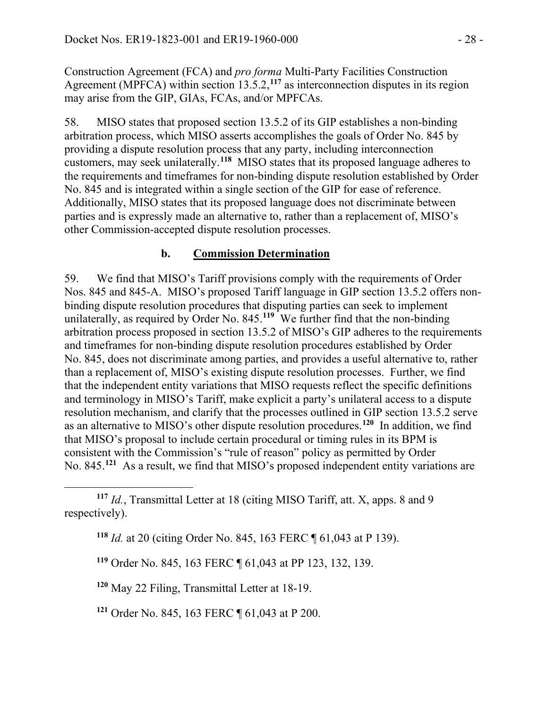Construction Agreement (FCA) and *pro forma* Multi-Party Facilities Construction Agreement (MPFCA) within section 13.5.2,**[117](#page-27-0)** as interconnection disputes in its region may arise from the GIP, GIAs, FCAs, and/or MPFCAs.

58. MISO states that proposed section 13.5.2 of its GIP establishes a non-binding arbitration process, which MISO asserts accomplishes the goals of Order No. 845 by providing a dispute resolution process that any party, including interconnection customers, may seek unilaterally.**[118](#page-27-1)** MISO states that its proposed language adheres to the requirements and timeframes for non-binding dispute resolution established by Order No. 845 and is integrated within a single section of the GIP for ease of reference. Additionally, MISO states that its proposed language does not discriminate between parties and is expressly made an alternative to, rather than a replacement of, MISO's other Commission-accepted dispute resolution processes.

### **b. Commission Determination**

59. We find that MISO's Tariff provisions comply with the requirements of Order Nos. 845 and 845-A. MISO's proposed Tariff language in GIP section 13.5.2 offers nonbinding dispute resolution procedures that disputing parties can seek to implement unilaterally, as required by Order No. 845.**[119](#page-27-2)** We further find that the non-binding arbitration process proposed in section 13.5.2 of MISO's GIP adheres to the requirements and timeframes for non-binding dispute resolution procedures established by Order No. 845, does not discriminate among parties, and provides a useful alternative to, rather than a replacement of, MISO's existing dispute resolution processes. Further, we find that the independent entity variations that MISO requests reflect the specific definitions and terminology in MISO's Tariff, make explicit a party's unilateral access to a dispute resolution mechanism, and clarify that the processes outlined in GIP section 13.5.2 serve as an alternative to MISO's other dispute resolution procedures. **[120](#page-27-3)** In addition, we find that MISO's proposal to include certain procedural or timing rules in its BPM is consistent with the Commission's "rule of reason" policy as permitted by Order No. 845.**[121](#page-27-4)** As a result, we find that MISO's proposed independent entity variations are

<span id="page-27-3"></span>**<sup>120</sup>** May 22 Filing, Transmittal Letter at 18-19.

<span id="page-27-4"></span>**<sup>121</sup>** Order No. 845, 163 FERC ¶ 61,043 at P 200.

<span id="page-27-1"></span><span id="page-27-0"></span> $\overline{a}$ **<sup>117</sup>** *Id.*, Transmittal Letter at 18 (citing MISO Tariff, att. X, apps. 8 and 9 respectively).

**<sup>118</sup>** *Id.* at 20 (citing Order No. 845, 163 FERC ¶ 61,043 at P 139).

<span id="page-27-2"></span>**<sup>119</sup>** Order No. 845, 163 FERC ¶ 61,043 at PP 123, 132, 139.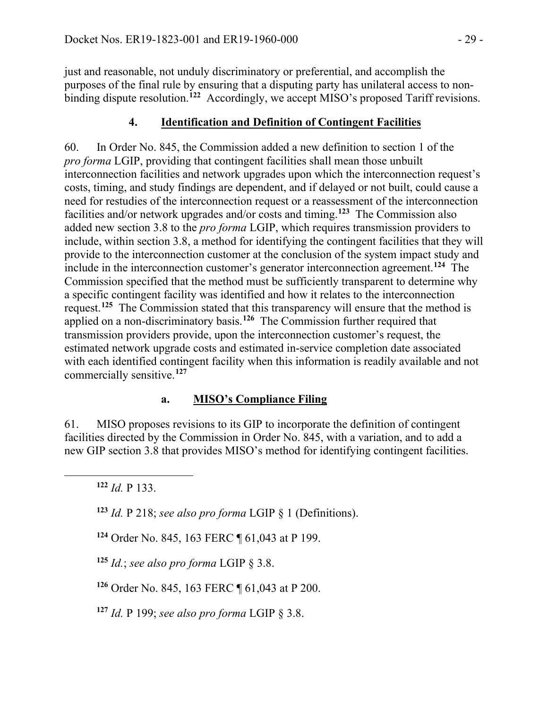just and reasonable, not unduly discriminatory or preferential, and accomplish the purposes of the final rule by ensuring that a disputing party has unilateral access to nonbinding dispute resolution. **[122](#page-28-0)** Accordingly, we accept MISO's proposed Tariff revisions.

# **4. Identification and Definition of Contingent Facilities**

60. In Order No. 845, the Commission added a new definition to section 1 of the *pro forma* LGIP, providing that contingent facilities shall mean those unbuilt interconnection facilities and network upgrades upon which the interconnection request's costs, timing, and study findings are dependent, and if delayed or not built, could cause a need for restudies of the interconnection request or a reassessment of the interconnection facilities and/or network upgrades and/or costs and timing.**[123](#page-28-1)** The Commission also added new section 3.8 to the *pro forma* LGIP, which requires transmission providers to include, within section 3.8, a method for identifying the contingent facilities that they will provide to the interconnection customer at the conclusion of the system impact study and include in the interconnection customer's generator interconnection agreement.**[124](#page-28-2)** The Commission specified that the method must be sufficiently transparent to determine why a specific contingent facility was identified and how it relates to the interconnection request.**[125](#page-28-3)** The Commission stated that this transparency will ensure that the method is applied on a non-discriminatory basis.**[126](#page-28-4)** The Commission further required that transmission providers provide, upon the interconnection customer's request, the estimated network upgrade costs and estimated in-service completion date associated with each identified contingent facility when this information is readily available and not commercially sensitive.**[127](#page-28-5)**

# **a. MISO's Compliance Filing**

61. MISO proposes revisions to its GIP to incorporate the definition of contingent facilities directed by the Commission in Order No. 845, with a variation, and to add a new GIP section 3.8 that provides MISO's method for identifying contingent facilities.

**<sup>122</sup>** *Id.* P 133.

<span id="page-28-2"></span><span id="page-28-1"></span><span id="page-28-0"></span> $\overline{a}$ 

**<sup>123</sup>** *Id.* P 218; *see also pro forma* LGIP § 1 (Definitions).

**<sup>124</sup>** Order No. 845, 163 FERC ¶ 61,043 at P 199.

<span id="page-28-3"></span>**<sup>125</sup>** *Id.*; *see also pro forma* LGIP § 3.8.

<span id="page-28-4"></span>**<sup>126</sup>** Order No. 845, 163 FERC ¶ 61,043 at P 200.

<span id="page-28-5"></span>**<sup>127</sup>** *Id.* P 199; *see also pro forma* LGIP § 3.8.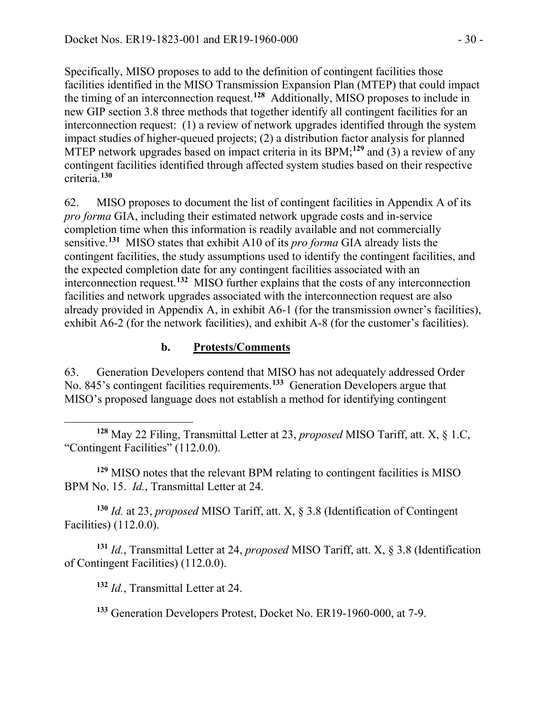Specifically, MISO proposes to add to the definition of contingent facilities those facilities identified in the MISO Transmission Expansion Plan (MTEP) that could impact the timing of an interconnection request.**[128](#page-29-0)** Additionally, MISO proposes to include in new GIP section 3.8 three methods that together identify all contingent facilities for an interconnection request: (1) a review of network upgrades identified through the system impact studies of higher-queued projects; (2) a distribution factor analysis for planned MTEP network upgrades based on impact criteria in its BPM;**[129](#page-29-1)** and (3) a review of any contingent facilities identified through affected system studies based on their respective criteria.**[130](#page-29-2)**

62. MISO proposes to document the list of contingent facilities in Appendix A of its *pro forma* GIA, including their estimated network upgrade costs and in-service completion time when this information is readily available and not commercially sensitive.**[131](#page-29-3)** MISO states that exhibit A10 of its *pro forma* GIA already lists the contingent facilities, the study assumptions used to identify the contingent facilities, and the expected completion date for any contingent facilities associated with an interconnection request.**[132](#page-29-4)** MISO further explains that the costs of any interconnection facilities and network upgrades associated with the interconnection request are also already provided in Appendix A, in exhibit A6-1 (for the transmission owner's facilities), exhibit A6-2 (for the network facilities), and exhibit A-8 (for the customer's facilities).

### **b. Protests/Comments**

63. Generation Developers contend that MISO has not adequately addressed Order No. 845's contingent facilities requirements.**[133](#page-29-5)** Generation Developers argue that MISO's proposed language does not establish a method for identifying contingent

<span id="page-29-0"></span> $\overline{a}$ **<sup>128</sup>** May 22 Filing, Transmittal Letter at 23, *proposed* MISO Tariff, att. X, § 1.C, "Contingent Facilities" (112.0.0).

<span id="page-29-1"></span>**<sup>129</sup>** MISO notes that the relevant BPM relating to contingent facilities is MISO BPM No. 15. *Id.*, Transmittal Letter at 24.

<span id="page-29-2"></span>**<sup>130</sup>** *Id.* at 23, *proposed* MISO Tariff, att. X, § 3.8 (Identification of Contingent Facilities) (112.0.0).

<span id="page-29-5"></span><span id="page-29-4"></span><span id="page-29-3"></span>**<sup>131</sup>** *Id.*, Transmittal Letter at 24, *proposed* MISO Tariff, att. X, § 3.8 (Identification of Contingent Facilities) (112.0.0).

**<sup>132</sup>** *Id.*, Transmittal Letter at 24.

**<sup>133</sup>** Generation Developers Protest, Docket No. ER19-1960-000, at 7-9.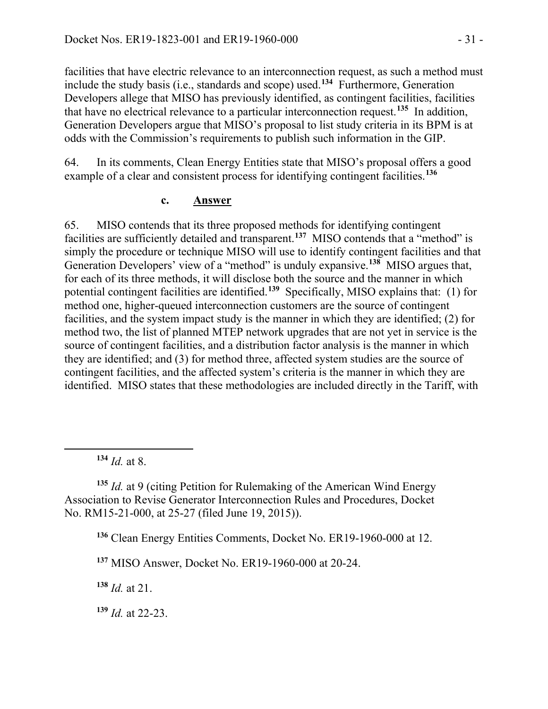facilities that have electric relevance to an interconnection request, as such a method must include the study basis (i.e., standards and scope) used.**[134](#page-30-0)** Furthermore, Generation Developers allege that MISO has previously identified, as contingent facilities, facilities that have no electrical relevance to a particular interconnection request. **[135](#page-30-1)** In addition, Generation Developers argue that MISO's proposal to list study criteria in its BPM is at odds with the Commission's requirements to publish such information in the GIP.

64. In its comments, Clean Energy Entities state that MISO's proposal offers a good example of a clear and consistent process for identifying contingent facilities. **[136](#page-30-2)**

#### **c. Answer**

65. MISO contends that its three proposed methods for identifying contingent facilities are sufficiently detailed and transparent.<sup>[137](#page-30-3)</sup> MISO contends that a "method" is simply the procedure or technique MISO will use to identify contingent facilities and that Generation Developers' view of a "method" is unduly expansive.**[138](#page-30-4)** MISO argues that, for each of its three methods, it will disclose both the source and the manner in which potential contingent facilities are identified.**[139](#page-30-5)** Specifically, MISO explains that: (1) for method one, higher-queued interconnection customers are the source of contingent facilities, and the system impact study is the manner in which they are identified; (2) for method two, the list of planned MTEP network upgrades that are not yet in service is the source of contingent facilities, and a distribution factor analysis is the manner in which they are identified; and (3) for method three, affected system studies are the source of contingent facilities, and the affected system's criteria is the manner in which they are identified. MISO states that these methodologies are included directly in the Tariff, with

**<sup>134</sup>** *Id.* at 8.

<span id="page-30-0"></span>

<span id="page-30-2"></span><span id="page-30-1"></span>**<sup>135</sup>** *Id.* at 9 (citing Petition for Rulemaking of the American Wind Energy Association to Revise Generator Interconnection Rules and Procedures, Docket No. RM15-21-000, at 25-27 (filed June 19, 2015)).

**<sup>136</sup>** Clean Energy Entities Comments, Docket No. ER19-1960-000 at 12.

<span id="page-30-3"></span>**<sup>137</sup>** MISO Answer, Docket No. ER19-1960-000 at 20-24.

<span id="page-30-4"></span>**<sup>138</sup>** *Id.* at 21.

<span id="page-30-5"></span>**<sup>139</sup>** *Id.* at 22-23.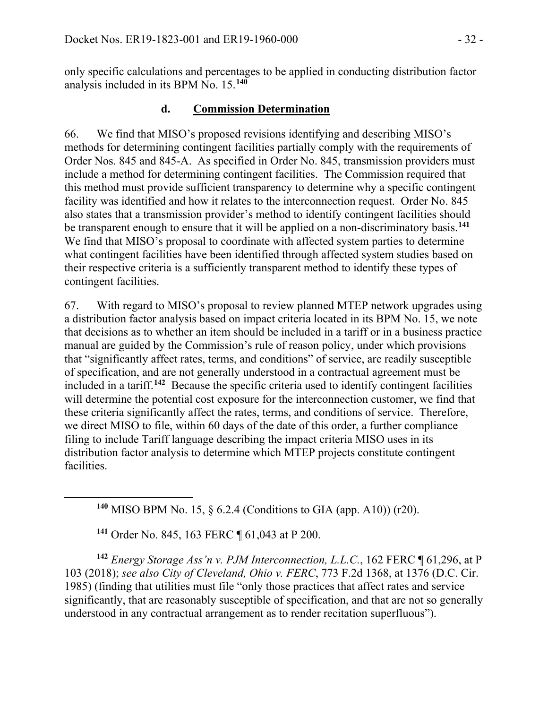only specific calculations and percentages to be applied in conducting distribution factor analysis included in its BPM No. 15. **[140](#page-31-0)**

### **d. Commission Determination**

66. We find that MISO's proposed revisions identifying and describing MISO's methods for determining contingent facilities partially comply with the requirements of Order Nos. 845 and 845-A. As specified in Order No. 845, transmission providers must include a method for determining contingent facilities. The Commission required that this method must provide sufficient transparency to determine why a specific contingent facility was identified and how it relates to the interconnection request. Order No. 845 also states that a transmission provider's method to identify contingent facilities should be transparent enough to ensure that it will be applied on a non-discriminatory basis.**[141](#page-31-1)** We find that MISO's proposal to coordinate with affected system parties to determine what contingent facilities have been identified through affected system studies based on their respective criteria is a sufficiently transparent method to identify these types of contingent facilities.

67. With regard to MISO's proposal to review planned MTEP network upgrades using a distribution factor analysis based on impact criteria located in its BPM No. 15, we note that decisions as to whether an item should be included in a tariff or in a business practice manual are guided by the Commission's rule of reason policy, under which provisions that "significantly affect rates, terms, and conditions" of service, are readily susceptible of specification, and are not generally understood in a contractual agreement must be included in a tariff.**[142](#page-31-2)** Because the specific criteria used to identify contingent facilities will determine the potential cost exposure for the interconnection customer, we find that these criteria significantly affect the rates, terms, and conditions of service. Therefore, we direct MISO to file, within 60 days of the date of this order, a further compliance filing to include Tariff language describing the impact criteria MISO uses in its distribution factor analysis to determine which MTEP projects constitute contingent facilities.

**<sup>140</sup>** MISO BPM No. 15, § 6.2.4 (Conditions to GIA (app. A10)) (r20).

**<sup>141</sup>** Order No. 845, 163 FERC ¶ 61,043 at P 200.

<span id="page-31-0"></span>

<span id="page-31-2"></span><span id="page-31-1"></span>**<sup>142</sup>** *Energy Storage Ass'n v. PJM Interconnection, L.L.C.*, 162 FERC ¶ 61,296, at P 103 (2018); *see also City of Cleveland, Ohio v. FERC*, 773 F.2d 1368, at 1376 (D.C. Cir. 1985) (finding that utilities must file "only those practices that affect rates and service significantly, that are reasonably susceptible of specification, and that are not so generally understood in any contractual arrangement as to render recitation superfluous").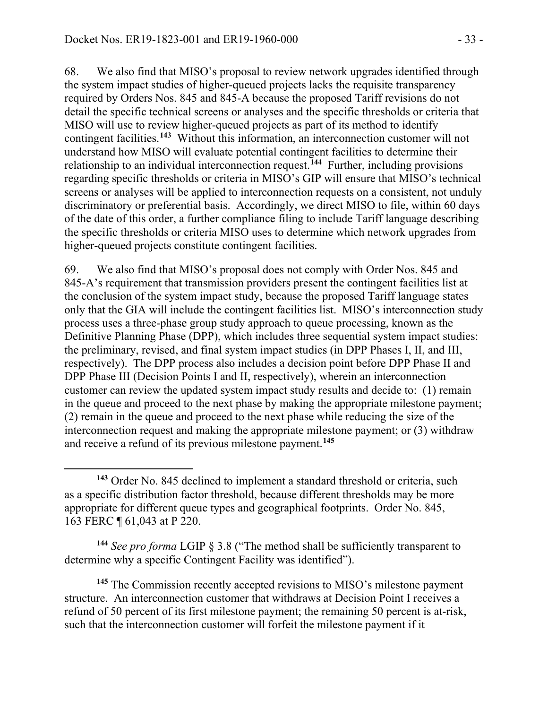68. We also find that MISO's proposal to review network upgrades identified through the system impact studies of higher-queued projects lacks the requisite transparency required by Orders Nos. 845 and 845-A because the proposed Tariff revisions do not detail the specific technical screens or analyses and the specific thresholds or criteria that MISO will use to review higher-queued projects as part of its method to identify contingent facilities.**[143](#page-32-0)** Without this information, an interconnection customer will not understand how MISO will evaluate potential contingent facilities to determine their relationship to an individual interconnection request.**[144](#page-32-1)** Further, including provisions regarding specific thresholds or criteria in MISO's GIP will ensure that MISO's technical screens or analyses will be applied to interconnection requests on a consistent, not unduly discriminatory or preferential basis. Accordingly, we direct MISO to file, within 60 days of the date of this order, a further compliance filing to include Tariff language describing the specific thresholds or criteria MISO uses to determine which network upgrades from higher-queued projects constitute contingent facilities.

69. We also find that MISO's proposal does not comply with Order Nos. 845 and 845-A's requirement that transmission providers present the contingent facilities list at the conclusion of the system impact study, because the proposed Tariff language states only that the GIA will include the contingent facilities list. MISO's interconnection study process uses a three-phase group study approach to queue processing, known as the Definitive Planning Phase (DPP), which includes three sequential system impact studies: the preliminary, revised, and final system impact studies (in DPP Phases I, II, and III, respectively). The DPP process also includes a decision point before DPP Phase II and DPP Phase III (Decision Points I and II, respectively), wherein an interconnection customer can review the updated system impact study results and decide to: (1) remain in the queue and proceed to the next phase by making the appropriate milestone payment; (2) remain in the queue and proceed to the next phase while reducing the size of the interconnection request and making the appropriate milestone payment; or (3) withdraw and receive a refund of its previous milestone payment.**[145](#page-32-2)**

<span id="page-32-1"></span>**<sup>144</sup>** *See pro forma* LGIP § 3.8 ("The method shall be sufficiently transparent to determine why a specific Contingent Facility was identified").

<span id="page-32-2"></span>**<sup>145</sup>** The Commission recently accepted revisions to MISO's milestone payment structure. An interconnection customer that withdraws at Decision Point I receives a refund of 50 percent of its first milestone payment; the remaining 50 percent is at-risk, such that the interconnection customer will forfeit the milestone payment if it

<span id="page-32-0"></span>**<sup>143</sup>** Order No. 845 declined to implement a standard threshold or criteria, such as a specific distribution factor threshold, because different thresholds may be more appropriate for different queue types and geographical footprints. Order No. 845, 163 FERC ¶ 61,043 at P 220.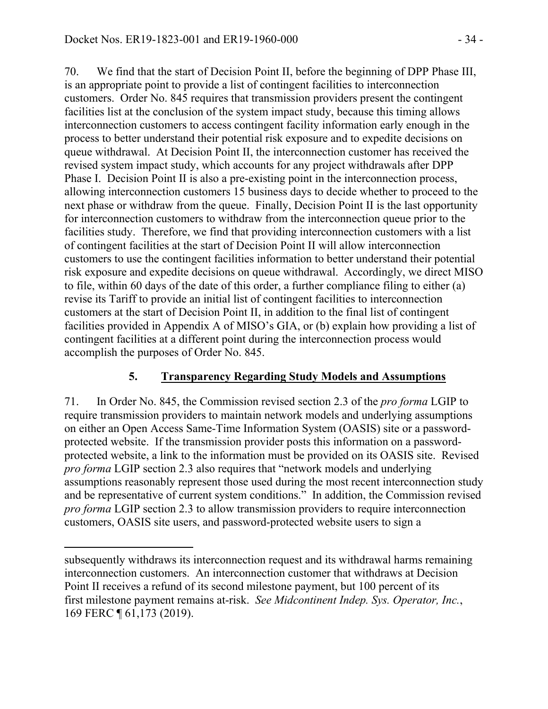70. We find that the start of Decision Point II, before the beginning of DPP Phase III, is an appropriate point to provide a list of contingent facilities to interconnection customers. Order No. 845 requires that transmission providers present the contingent facilities list at the conclusion of the system impact study, because this timing allows interconnection customers to access contingent facility information early enough in the process to better understand their potential risk exposure and to expedite decisions on queue withdrawal. At Decision Point II, the interconnection customer has received the revised system impact study, which accounts for any project withdrawals after DPP Phase I. Decision Point II is also a pre-existing point in the interconnection process, allowing interconnection customers 15 business days to decide whether to proceed to the next phase or withdraw from the queue. Finally, Decision Point II is the last opportunity for interconnection customers to withdraw from the interconnection queue prior to the facilities study. Therefore, we find that providing interconnection customers with a list of contingent facilities at the start of Decision Point II will allow interconnection customers to use the contingent facilities information to better understand their potential risk exposure and expedite decisions on queue withdrawal. Accordingly, we direct MISO to file, within 60 days of the date of this order, a further compliance filing to either (a) revise its Tariff to provide an initial list of contingent facilities to interconnection customers at the start of Decision Point II, in addition to the final list of contingent facilities provided in Appendix A of MISO's GIA, or (b) explain how providing a list of contingent facilities at a different point during the interconnection process would accomplish the purposes of Order No. 845.

## **5. Transparency Regarding Study Models and Assumptions**

71. In Order No. 845, the Commission revised section 2.3 of the *pro forma* LGIP to require transmission providers to maintain network models and underlying assumptions on either an Open Access Same-Time Information System (OASIS) site or a passwordprotected website. If the transmission provider posts this information on a passwordprotected website, a link to the information must be provided on its OASIS site. Revised *pro forma* LGIP section 2.3 also requires that "network models and underlying assumptions reasonably represent those used during the most recent interconnection study and be representative of current system conditions." In addition, the Commission revised *pro forma* LGIP section 2.3 to allow transmission providers to require interconnection customers, OASIS site users, and password-protected website users to sign a

 $\overline{a}$ 

subsequently withdraws its interconnection request and its withdrawal harms remaining interconnection customers. An interconnection customer that withdraws at Decision Point II receives a refund of its second milestone payment, but 100 percent of its first milestone payment remains at-risk. *See Midcontinent Indep. Sys. Operator, Inc.*, 169 FERC ¶ 61,173 (2019).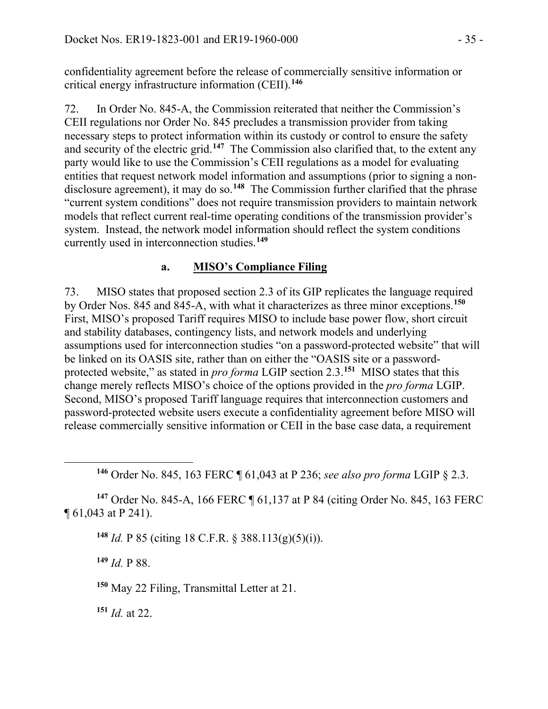confidentiality agreement before the release of commercially sensitive information or critical energy infrastructure information (CEII).**[146](#page-34-0)**

72. In Order No. 845-A, the Commission reiterated that neither the Commission's CEII regulations nor Order No. 845 precludes a transmission provider from taking necessary steps to protect information within its custody or control to ensure the safety and security of the electric grid. **[147](#page-34-1)** The Commission also clarified that, to the extent any party would like to use the Commission's CEII regulations as a model for evaluating entities that request network model information and assumptions (prior to signing a non-disclosure agreement), it may do so.<sup>[148](#page-34-2)</sup> The Commission further clarified that the phrase "current system conditions" does not require transmission providers to maintain network models that reflect current real-time operating conditions of the transmission provider's system. Instead, the network model information should reflect the system conditions currently used in interconnection studies.**[149](#page-34-3)**

#### **a. MISO's Compliance Filing**

73. MISO states that proposed section 2.3 of its GIP replicates the language required by Order Nos. 845 and 845-A, with what it characterizes as three minor exceptions.**[150](#page-34-4)** First, MISO's proposed Tariff requires MISO to include base power flow, short circuit and stability databases, contingency lists, and network models and underlying assumptions used for interconnection studies "on a password-protected website" that will be linked on its OASIS site, rather than on either the "OASIS site or a passwordprotected website," as stated in *pro forma* LGIP section 2.3.**[151](#page-34-5)** MISO states that this change merely reflects MISO's choice of the options provided in the *pro forma* LGIP. Second, MISO's proposed Tariff language requires that interconnection customers and password-protected website users execute a confidentiality agreement before MISO will release commercially sensitive information or CEII in the base case data, a requirement

**<sup>146</sup>** Order No. 845, 163 FERC ¶ 61,043 at P 236; *see also pro forma* LGIP § 2.3.

<span id="page-34-3"></span><span id="page-34-2"></span><span id="page-34-1"></span>**<sup>147</sup>** Order No. 845-A, 166 FERC ¶ 61,137 at P 84 (citing Order No. 845, 163 FERC ¶ 61,043 at P 241).

**<sup>148</sup>** *Id.* P 85 (citing 18 C.F.R. § 388.113(g)(5)(i)).

**<sup>149</sup>** *Id.* P 88.

<span id="page-34-0"></span>

<span id="page-34-4"></span>**<sup>150</sup>** May 22 Filing, Transmittal Letter at 21.

<span id="page-34-5"></span>**<sup>151</sup>** *Id.* at 22.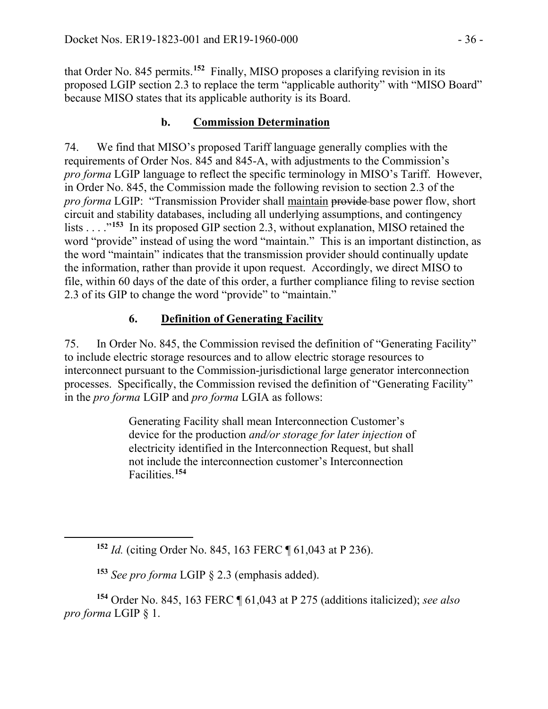that Order No. 845 permits. **[152](#page-35-0)** Finally, MISO proposes a clarifying revision in its proposed LGIP section 2.3 to replace the term "applicable authority" with "MISO Board" because MISO states that its applicable authority is its Board.

# **b. Commission Determination**

74. We find that MISO's proposed Tariff language generally complies with the requirements of Order Nos. 845 and 845-A, with adjustments to the Commission's *pro forma* LGIP language to reflect the specific terminology in MISO's Tariff. However, in Order No. 845, the Commission made the following revision to section 2.3 of the *pro forma* LGIP: "Transmission Provider shall maintain provide base power flow, short circuit and stability databases, including all underlying assumptions, and contingency lists . . . ."**[153](#page-35-1)** In its proposed GIP section 2.3, without explanation, MISO retained the word "provide" instead of using the word "maintain." This is an important distinction, as the word "maintain" indicates that the transmission provider should continually update the information, rather than provide it upon request. Accordingly, we direct MISO to file, within 60 days of the date of this order, a further compliance filing to revise section 2.3 of its GIP to change the word "provide" to "maintain."

# **6. Definition of Generating Facility**

75. In Order No. 845, the Commission revised the definition of "Generating Facility" to include electric storage resources and to allow electric storage resources to interconnect pursuant to the Commission-jurisdictional large generator interconnection processes. Specifically, the Commission revised the definition of "Generating Facility" in the *pro forma* LGIP and *pro forma* LGIA as follows:

> Generating Facility shall mean Interconnection Customer's device for the production *and/or storage for later injection* of electricity identified in the Interconnection Request, but shall not include the interconnection customer's Interconnection Facilities.**[154](#page-35-2)**

<span id="page-35-0"></span> $\overline{a}$ 

**<sup>152</sup>** *Id.* (citing Order No. 845, 163 FERC ¶ 61,043 at P 236).

**<sup>153</sup>** *See pro forma* LGIP § 2.3 (emphasis added).

<span id="page-35-2"></span><span id="page-35-1"></span>**<sup>154</sup>** Order No. 845, 163 FERC ¶ 61,043 at P 275 (additions italicized); *see also pro forma* LGIP § 1.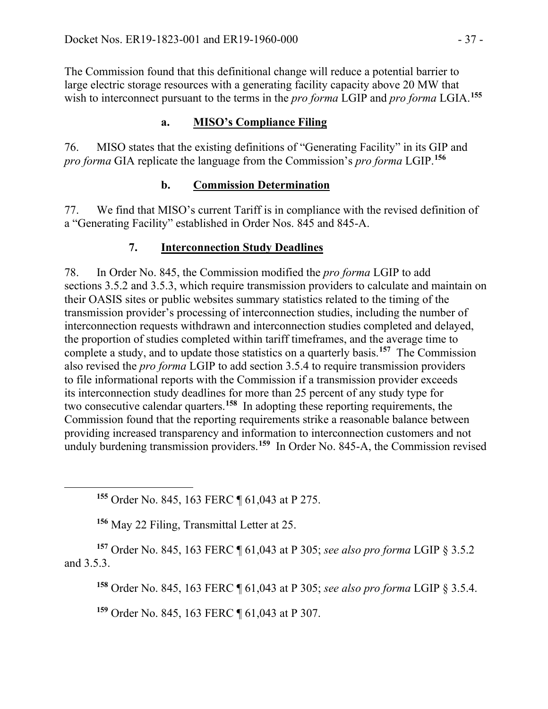The Commission found that this definitional change will reduce a potential barrier to large electric storage resources with a generating facility capacity above 20 MW that wish to interconnect pursuant to the terms in the *pro forma* LGIP and *pro forma* LGIA. **[155](#page-36-0)**

# **a. MISO's Compliance Filing**

76. MISO states that the existing definitions of "Generating Facility" in its GIP and *pro forma* GIA replicate the language from the Commission's *pro forma* LGIP.**[156](#page-36-1)**

## **b. Commission Determination**

77. We find that MISO's current Tariff is in compliance with the revised definition of a "Generating Facility" established in Order Nos. 845 and 845-A.

# **7. Interconnection Study Deadlines**

78. In Order No. 845, the Commission modified the *pro forma* LGIP to add sections 3.5.2 and 3.5.3, which require transmission providers to calculate and maintain on their OASIS sites or public websites summary statistics related to the timing of the transmission provider's processing of interconnection studies, including the number of interconnection requests withdrawn and interconnection studies completed and delayed, the proportion of studies completed within tariff timeframes, and the average time to complete a study, and to update those statistics on a quarterly basis. **[157](#page-36-2)** The Commission also revised the *pro forma* LGIP to add section 3.5.4 to require transmission providers to file informational reports with the Commission if a transmission provider exceeds its interconnection study deadlines for more than 25 percent of any study type for two consecutive calendar quarters.**[158](#page-36-3)** In adopting these reporting requirements, the Commission found that the reporting requirements strike a reasonable balance between providing increased transparency and information to interconnection customers and not unduly burdening transmission providers.**[159](#page-36-4)** In Order No. 845-A, the Commission revised

**<sup>155</sup>** Order No. 845, 163 FERC ¶ 61,043 at P 275.

**<sup>156</sup>** May 22 Filing, Transmittal Letter at 25.

<span id="page-36-0"></span> $\overline{a}$ 

<span id="page-36-4"></span><span id="page-36-3"></span><span id="page-36-2"></span><span id="page-36-1"></span>**<sup>157</sup>** Order No. 845, 163 FERC ¶ 61,043 at P 305; *see also pro forma* LGIP § 3.5.2 and 3.5.3.

**<sup>158</sup>** Order No. 845, 163 FERC ¶ 61,043 at P 305; *see also pro forma* LGIP § 3.5.4.

**<sup>159</sup>** Order No. 845, 163 FERC ¶ 61,043 at P 307.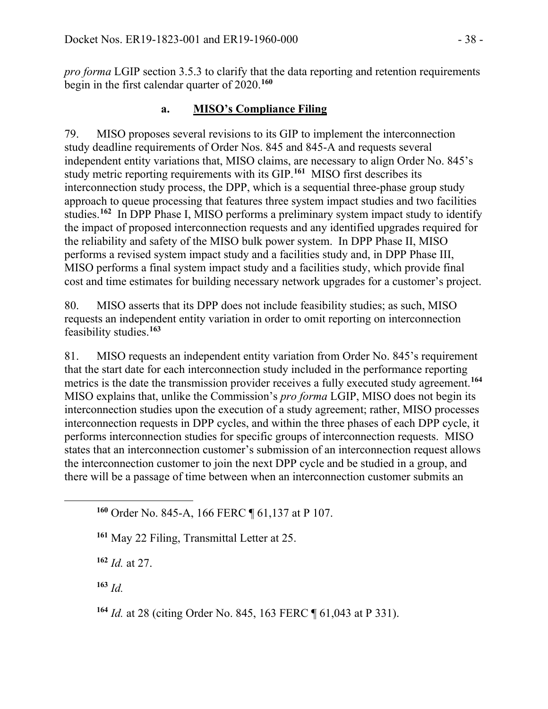*pro forma* LGIP section 3.5.3 to clarify that the data reporting and retention requirements begin in the first calendar quarter of 2020.**[160](#page-37-0)**

### **a. MISO's Compliance Filing**

79. MISO proposes several revisions to its GIP to implement the interconnection study deadline requirements of Order Nos. 845 and 845-A and requests several independent entity variations that, MISO claims, are necessary to align Order No. 845's study metric reporting requirements with its GIP. **[161](#page-37-1)** MISO first describes its interconnection study process, the DPP, which is a sequential three-phase group study approach to queue processing that features three system impact studies and two facilities studies. **[162](#page-37-2)** In DPP Phase I, MISO performs a preliminary system impact study to identify the impact of proposed interconnection requests and any identified upgrades required for the reliability and safety of the MISO bulk power system. In DPP Phase II, MISO performs a revised system impact study and a facilities study and, in DPP Phase III, MISO performs a final system impact study and a facilities study, which provide final cost and time estimates for building necessary network upgrades for a customer's project.

80. MISO asserts that its DPP does not include feasibility studies; as such, MISO requests an independent entity variation in order to omit reporting on interconnection feasibility studies.**[163](#page-37-3)**

81. MISO requests an independent entity variation from Order No. 845's requirement that the start date for each interconnection study included in the performance reporting metrics is the date the transmission provider receives a fully executed study agreement.**[164](#page-37-4)** MISO explains that, unlike the Commission's *pro forma* LGIP, MISO does not begin its interconnection studies upon the execution of a study agreement; rather, MISO processes interconnection requests in DPP cycles, and within the three phases of each DPP cycle, it performs interconnection studies for specific groups of interconnection requests. MISO states that an interconnection customer's submission of an interconnection request allows the interconnection customer to join the next DPP cycle and be studied in a group, and there will be a passage of time between when an interconnection customer submits an

**<sup>160</sup>** Order No. 845-A, 166 FERC ¶ 61,137 at P 107.

**<sup>161</sup>** May 22 Filing, Transmittal Letter at 25.

**<sup>162</sup>** *Id.* at 27.

<span id="page-37-3"></span>**<sup>163</sup>** *Id.*

<span id="page-37-2"></span><span id="page-37-1"></span><span id="page-37-0"></span> $\overline{a}$ 

<span id="page-37-4"></span>**<sup>164</sup>** *Id.* at 28 (citing Order No. 845, 163 FERC ¶ 61,043 at P 331).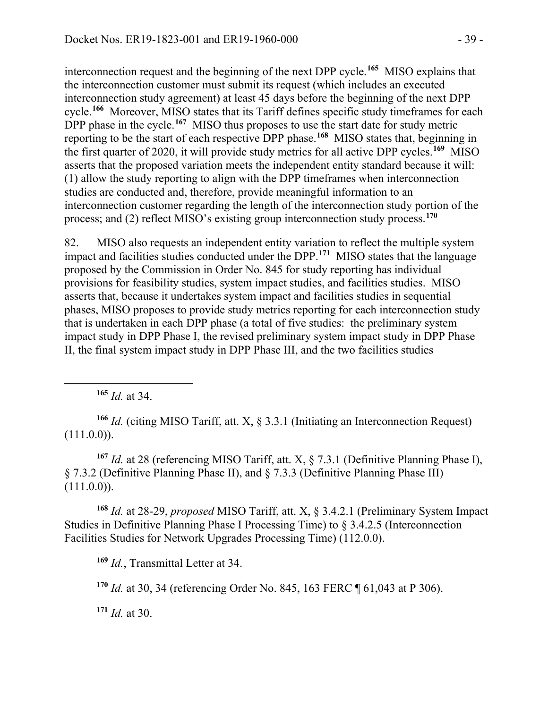interconnection request and the beginning of the next DPP cycle.**[165](#page-38-0)** MISO explains that the interconnection customer must submit its request (which includes an executed interconnection study agreement) at least 45 days before the beginning of the next DPP cycle.**[166](#page-38-1)** Moreover, MISO states that its Tariff defines specific study timeframes for each DPP phase in the cycle.<sup>[167](#page-38-2)</sup> MISO thus proposes to use the start date for study metric reporting to be the start of each respective DPP phase.**[168](#page-38-3)** MISO states that, beginning in the first quarter of 2020, it will provide study metrics for all active DPP cycles.**[169](#page-38-4)** MISO asserts that the proposed variation meets the independent entity standard because it will: (1) allow the study reporting to align with the DPP timeframes when interconnection studies are conducted and, therefore, provide meaningful information to an interconnection customer regarding the length of the interconnection study portion of the process; and (2) reflect MISO's existing group interconnection study process. **[170](#page-38-5)**

82. MISO also requests an independent entity variation to reflect the multiple system impact and facilities studies conducted under the DPP.**[171](#page-38-6)** MISO states that the language proposed by the Commission in Order No. 845 for study reporting has individual provisions for feasibility studies, system impact studies, and facilities studies. MISO asserts that, because it undertakes system impact and facilities studies in sequential phases, MISO proposes to provide study metrics reporting for each interconnection study that is undertaken in each DPP phase (a total of five studies: the preliminary system impact study in DPP Phase I, the revised preliminary system impact study in DPP Phase II, the final system impact study in DPP Phase III, and the two facilities studies

**<sup>165</sup>** *Id.* at 34.

<span id="page-38-0"></span> $\overline{a}$ 

<span id="page-38-1"></span>**<sup>166</sup>** *Id.* (citing MISO Tariff, att. X, § 3.3.1 (Initiating an Interconnection Request)  $(111.0.0)$ ).

<span id="page-38-2"></span>**<sup>167</sup>** *Id.* at 28 (referencing MISO Tariff, att. X, § 7.3.1 (Definitive Planning Phase I), § 7.3.2 (Definitive Planning Phase II), and § 7.3.3 (Definitive Planning Phase III)  $(111.0.0)$ ).

<span id="page-38-4"></span><span id="page-38-3"></span>**<sup>168</sup>** *Id.* at 28-29, *proposed* MISO Tariff, att. X, § 3.4.2.1 (Preliminary System Impact Studies in Definitive Planning Phase I Processing Time) to § 3.4.2.5 (Interconnection Facilities Studies for Network Upgrades Processing Time) (112.0.0).

**<sup>169</sup>** *Id.*, Transmittal Letter at 34.

<span id="page-38-5"></span>**<sup>170</sup>** *Id.* at 30, 34 (referencing Order No. 845, 163 FERC ¶ 61,043 at P 306).

<span id="page-38-6"></span>**<sup>171</sup>** *Id.* at 30.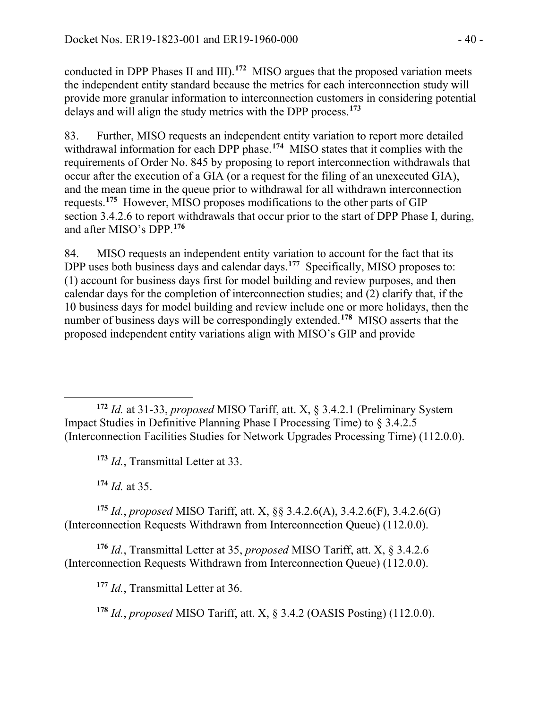conducted in DPP Phases II and III).**[172](#page-39-0)** MISO argues that the proposed variation meets the independent entity standard because the metrics for each interconnection study will provide more granular information to interconnection customers in considering potential delays and will align the study metrics with the DPP process. **[173](#page-39-1)**

83. Further, MISO requests an independent entity variation to report more detailed withdrawal information for each DPP phase.<sup>[174](#page-39-2)</sup> MISO states that it complies with the requirements of Order No. 845 by proposing to report interconnection withdrawals that occur after the execution of a GIA (or a request for the filing of an unexecuted GIA), and the mean time in the queue prior to withdrawal for all withdrawn interconnection requests. **[175](#page-39-3)** However, MISO proposes modifications to the other parts of GIP section 3.4.2.6 to report withdrawals that occur prior to the start of DPP Phase I, during, and after MISO's DPP.**[176](#page-39-4)**

84. MISO requests an independent entity variation to account for the fact that its DPP uses both business days and calendar days.<sup>[177](#page-39-5)</sup> Specifically, MISO proposes to: (1) account for business days first for model building and review purposes, and then calendar days for the completion of interconnection studies; and (2) clarify that, if the 10 business days for model building and review include one or more holidays, then the number of business days will be correspondingly extended.**[178](#page-39-6)** MISO asserts that the proposed independent entity variations align with MISO's GIP and provide

<span id="page-39-0"></span> $\overline{a}$ **<sup>172</sup>** *Id.* at 31-33, *proposed* MISO Tariff, att. X, § 3.4.2.1 (Preliminary System Impact Studies in Definitive Planning Phase I Processing Time) to § 3.4.2.5 (Interconnection Facilities Studies for Network Upgrades Processing Time) (112.0.0).

**<sup>173</sup>** *Id.*, Transmittal Letter at 33.

**<sup>174</sup>** *Id.* at 35.

<span id="page-39-3"></span><span id="page-39-2"></span><span id="page-39-1"></span>**<sup>175</sup>** *Id.*, *proposed* MISO Tariff, att. X, §§ 3.4.2.6(A), 3.4.2.6(F), 3.4.2.6(G) (Interconnection Requests Withdrawn from Interconnection Queue) (112.0.0).

<span id="page-39-6"></span><span id="page-39-5"></span><span id="page-39-4"></span>**<sup>176</sup>** *Id.*, Transmittal Letter at 35, *proposed* MISO Tariff, att. X, § 3.4.2.6 (Interconnection Requests Withdrawn from Interconnection Queue) (112.0.0).

**<sup>177</sup>** *Id.*, Transmittal Letter at 36.

**<sup>178</sup>** *Id.*, *proposed* MISO Tariff, att. X, § 3.4.2 (OASIS Posting) (112.0.0).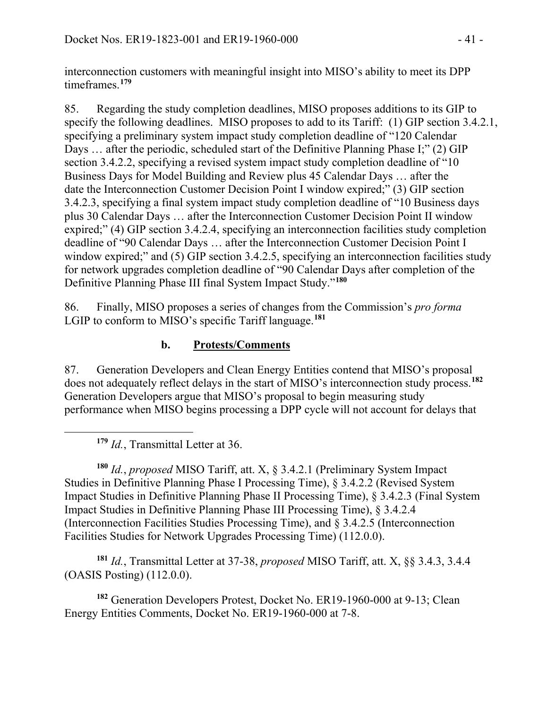interconnection customers with meaningful insight into MISO's ability to meet its DPP timeframes.**[179](#page-40-0)**

85. Regarding the study completion deadlines, MISO proposes additions to its GIP to specify the following deadlines. MISO proposes to add to its Tariff: (1) GIP section 3.4.2.1, specifying a preliminary system impact study completion deadline of "120 Calendar Days ... after the periodic, scheduled start of the Definitive Planning Phase I;" (2) GIP section 3.4.2.2, specifying a revised system impact study completion deadline of "10 Business Days for Model Building and Review plus 45 Calendar Days … after the date the Interconnection Customer Decision Point I window expired;" (3) GIP section 3.4.2.3, specifying a final system impact study completion deadline of "10 Business days plus 30 Calendar Days … after the Interconnection Customer Decision Point II window expired;" (4) GIP section 3.4.2.4, specifying an interconnection facilities study completion deadline of "90 Calendar Days … after the Interconnection Customer Decision Point I window expired;" and (5) GIP section 3.4.2.5, specifying an interconnection facilities study for network upgrades completion deadline of "90 Calendar Days after completion of the Definitive Planning Phase III final System Impact Study."**[180](#page-40-1)**

86. Finally, MISO proposes a series of changes from the Commission's *pro forma* LGIP to conform to MISO's specific Tariff language. **[181](#page-40-2)**

# **b. Protests/Comments**

87. Generation Developers and Clean Energy Entities contend that MISO's proposal does not adequately reflect delays in the start of MISO's interconnection study process.**[182](#page-40-3)** Generation Developers argue that MISO's proposal to begin measuring study performance when MISO begins processing a DPP cycle will not account for delays that

**<sup>179</sup>** *Id.*, Transmittal Letter at 36.

<span id="page-40-0"></span> $\overline{a}$ 

<span id="page-40-1"></span>**<sup>180</sup>** *Id.*, *proposed* MISO Tariff, att. X, § 3.4.2.1 (Preliminary System Impact Studies in Definitive Planning Phase I Processing Time), § 3.4.2.2 (Revised System Impact Studies in Definitive Planning Phase II Processing Time), § 3.4.2.3 (Final System Impact Studies in Definitive Planning Phase III Processing Time), § 3.4.2.4 (Interconnection Facilities Studies Processing Time), and § 3.4.2.5 (Interconnection Facilities Studies for Network Upgrades Processing Time) (112.0.0).

<span id="page-40-2"></span>**<sup>181</sup>** *Id.*, Transmittal Letter at 37-38, *proposed* MISO Tariff, att. X, §§ 3.4.3, 3.4.4 (OASIS Posting) (112.0.0).

<span id="page-40-3"></span>**<sup>182</sup>** Generation Developers Protest, Docket No. ER19-1960-000 at 9-13; Clean Energy Entities Comments, Docket No. ER19-1960-000 at 7-8.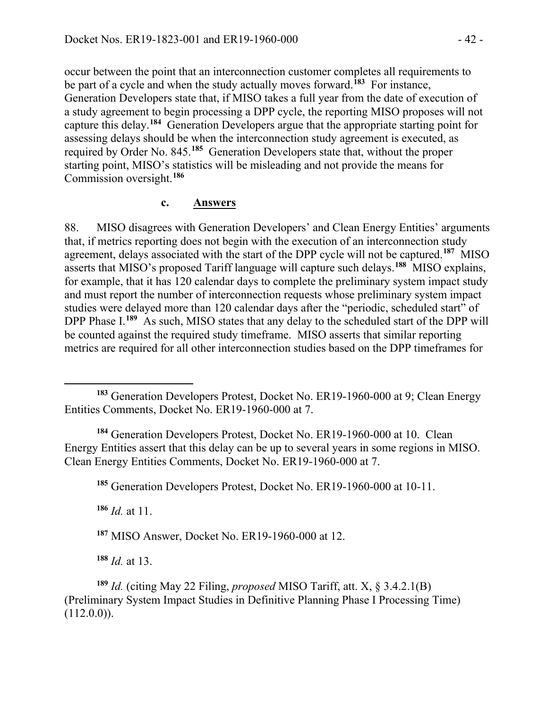occur between the point that an interconnection customer completes all requirements to be part of a cycle and when the study actually moves forward.**[183](#page-41-0)** For instance, Generation Developers state that, if MISO takes a full year from the date of execution of a study agreement to begin processing a DPP cycle, the reporting MISO proposes will not capture this delay. **[184](#page-41-1)** Generation Developers argue that the appropriate starting point for assessing delays should be when the interconnection study agreement is executed, as required by Order No. 845.**[185](#page-41-2)** Generation Developers state that, without the proper starting point, MISO's statistics will be misleading and not provide the means for Commission oversight.**[186](#page-41-3)**

#### **c. Answers**

88. MISO disagrees with Generation Developers' and Clean Energy Entities' arguments that, if metrics reporting does not begin with the execution of an interconnection study agreement, delays associated with the start of the DPP cycle will not be captured. **[187](#page-41-4)** MISO asserts that MISO's proposed Tariff language will capture such delays.**[188](#page-41-5)** MISO explains, for example, that it has 120 calendar days to complete the preliminary system impact study and must report the number of interconnection requests whose preliminary system impact studies were delayed more than 120 calendar days after the "periodic, scheduled start" of DPP Phase I.<sup>[189](#page-41-6)</sup> As such, MISO states that any delay to the scheduled start of the DPP will be counted against the required study timeframe. MISO asserts that similar reporting metrics are required for all other interconnection studies based on the DPP timeframes for

<span id="page-41-2"></span><span id="page-41-1"></span>**<sup>184</sup>** Generation Developers Protest, Docket No. ER19-1960-000 at 10. Clean Energy Entities assert that this delay can be up to several years in some regions in MISO. Clean Energy Entities Comments, Docket No. ER19-1960-000 at 7.

**<sup>185</sup>** Generation Developers Protest, Docket No. ER19-1960-000 at 10-11.

<span id="page-41-3"></span>**<sup>186</sup>** *Id.* at 11.

 $\overline{a}$ 

**<sup>187</sup>** MISO Answer, Docket No. ER19-1960-000 at 12.

**<sup>188</sup>** *Id.* at 13.

<span id="page-41-6"></span><span id="page-41-5"></span><span id="page-41-4"></span>**<sup>189</sup>** *Id.* (citing May 22 Filing, *proposed* MISO Tariff, att. X, § 3.4.2.1(B) (Preliminary System Impact Studies in Definitive Planning Phase I Processing Time)  $(112.0.0)$ .

<span id="page-41-0"></span>**<sup>183</sup>** Generation Developers Protest, Docket No. ER19-1960-000 at 9; Clean Energy Entities Comments, Docket No. ER19-1960-000 at 7.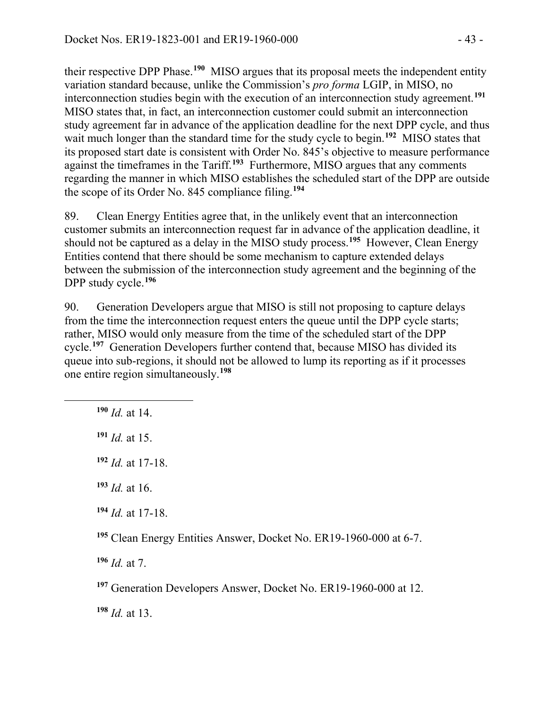their respective DPP Phase.**[190](#page-42-0)** MISO argues that its proposal meets the independent entity variation standard because, unlike the Commission's *pro forma* LGIP, in MISO, no interconnection studies begin with the execution of an interconnection study agreement.**[191](#page-42-1)** MISO states that, in fact, an interconnection customer could submit an interconnection study agreement far in advance of the application deadline for the next DPP cycle, and thus wait much longer than the standard time for the study cycle to begin.<sup>[192](#page-42-2)</sup> MISO states that its proposed start date is consistent with Order No. 845's objective to measure performance against the timeframes in the Tariff.**[193](#page-42-3)** Furthermore, MISO argues that any comments regarding the manner in which MISO establishes the scheduled start of the DPP are outside the scope of its Order No. 845 compliance filing.**[194](#page-42-4)**

89. Clean Energy Entities agree that, in the unlikely event that an interconnection customer submits an interconnection request far in advance of the application deadline, it should not be captured as a delay in the MISO study process. **[195](#page-42-5)** However, Clean Energy Entities contend that there should be some mechanism to capture extended delays between the submission of the interconnection study agreement and the beginning of the DPP study cycle.**[196](#page-42-6)**

90. Generation Developers argue that MISO is still not proposing to capture delays from the time the interconnection request enters the queue until the DPP cycle starts; rather, MISO would only measure from the time of the scheduled start of the DPP cycle. **[197](#page-42-7)** Generation Developers further contend that, because MISO has divided its queue into sub-regions, it should not be allowed to lump its reporting as if it processes one entire region simultaneously. **[198](#page-42-8)**

**<sup>190</sup>** *Id.* at 14.

<span id="page-42-2"></span><span id="page-42-1"></span><span id="page-42-0"></span>

**<sup>191</sup>** *Id.* at 15.

**<sup>192</sup>** *Id.* at 17-18.

<span id="page-42-3"></span>**<sup>193</sup>** *Id.* at 16.

<span id="page-42-4"></span>**<sup>194</sup>** *Id.* at 17-18.

<span id="page-42-5"></span>**<sup>195</sup>** Clean Energy Entities Answer, Docket No. ER19-1960-000 at 6-7.

<span id="page-42-6"></span>**<sup>196</sup>** *Id.* at 7.

<span id="page-42-7"></span>**<sup>197</sup>** Generation Developers Answer, Docket No. ER19-1960-000 at 12.

<span id="page-42-8"></span>**<sup>198</sup>** *Id.* at 13.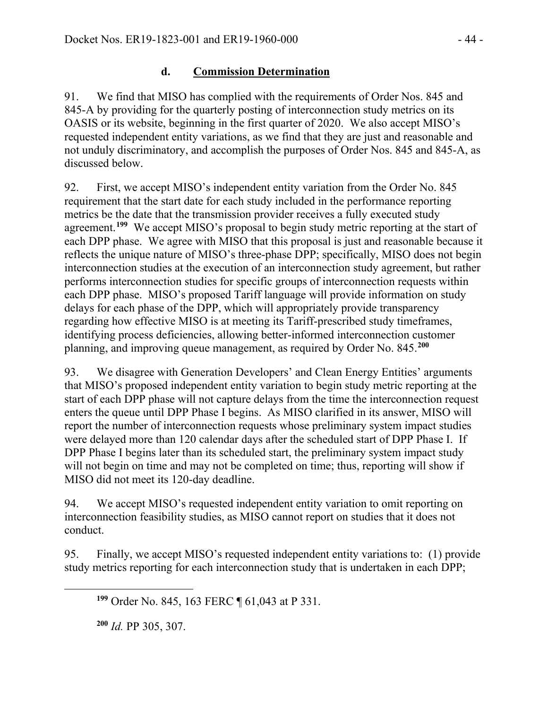# **d. Commission Determination**

91. We find that MISO has complied with the requirements of Order Nos. 845 and 845-A by providing for the quarterly posting of interconnection study metrics on its OASIS or its website, beginning in the first quarter of 2020. We also accept MISO's requested independent entity variations, as we find that they are just and reasonable and not unduly discriminatory, and accomplish the purposes of Order Nos. 845 and 845-A, as discussed below.

92. First, we accept MISO's independent entity variation from the Order No. 845 requirement that the start date for each study included in the performance reporting metrics be the date that the transmission provider receives a fully executed study agreement.<sup>[199](#page-43-0)</sup> We accept MISO's proposal to begin study metric reporting at the start of each DPP phase. We agree with MISO that this proposal is just and reasonable because it reflects the unique nature of MISO's three-phase DPP; specifically, MISO does not begin interconnection studies at the execution of an interconnection study agreement, but rather performs interconnection studies for specific groups of interconnection requests within each DPP phase. MISO's proposed Tariff language will provide information on study delays for each phase of the DPP, which will appropriately provide transparency regarding how effective MISO is at meeting its Tariff-prescribed study timeframes, identifying process deficiencies, allowing better-informed interconnection customer planning, and improving queue management, as required by Order No. 845.**[200](#page-43-1)**

93. We disagree with Generation Developers' and Clean Energy Entities' arguments that MISO's proposed independent entity variation to begin study metric reporting at the start of each DPP phase will not capture delays from the time the interconnection request enters the queue until DPP Phase I begins. As MISO clarified in its answer, MISO will report the number of interconnection requests whose preliminary system impact studies were delayed more than 120 calendar days after the scheduled start of DPP Phase I. If DPP Phase I begins later than its scheduled start, the preliminary system impact study will not begin on time and may not be completed on time; thus, reporting will show if MISO did not meet its 120-day deadline.

94. We accept MISO's requested independent entity variation to omit reporting on interconnection feasibility studies, as MISO cannot report on studies that it does not conduct.

95. Finally, we accept MISO's requested independent entity variations to: (1) provide study metrics reporting for each interconnection study that is undertaken in each DPP;

**<sup>200</sup>** *Id.* PP 305, 307.

<span id="page-43-1"></span><span id="page-43-0"></span> $\overline{a}$ 

**<sup>199</sup>** Order No. 845, 163 FERC ¶ 61,043 at P 331.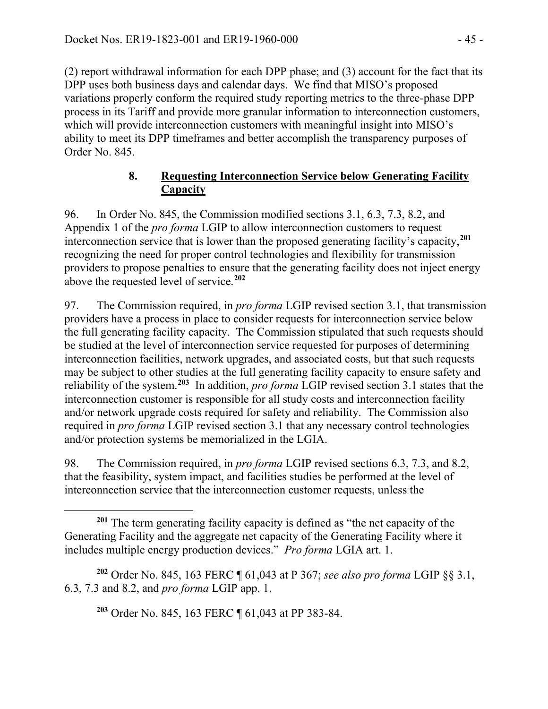(2) report withdrawal information for each DPP phase; and (3) account for the fact that its DPP uses both business days and calendar days. We find that MISO's proposed variations properly conform the required study reporting metrics to the three-phase DPP process in its Tariff and provide more granular information to interconnection customers, which will provide interconnection customers with meaningful insight into MISO's ability to meet its DPP timeframes and better accomplish the transparency purposes of Order No. 845.

# **8. Requesting Interconnection Service below Generating Facility Capacity**

96. In Order No. 845, the Commission modified sections 3.1, 6.3, 7.3, 8.2, and Appendix 1 of the *pro forma* LGIP to allow interconnection customers to request interconnection service that is lower than the proposed generating facility's capacity,**[201](#page-44-0)** recognizing the need for proper control technologies and flexibility for transmission providers to propose penalties to ensure that the generating facility does not inject energy above the requested level of service.**[202](#page-44-1)**

97. The Commission required, in *pro forma* LGIP revised section 3.1, that transmission providers have a process in place to consider requests for interconnection service below the full generating facility capacity. The Commission stipulated that such requests should be studied at the level of interconnection service requested for purposes of determining interconnection facilities, network upgrades, and associated costs, but that such requests may be subject to other studies at the full generating facility capacity to ensure safety and reliability of the system. **[203](#page-44-2)** In addition, *pro forma* LGIP revised section 3.1 states that the interconnection customer is responsible for all study costs and interconnection facility and/or network upgrade costs required for safety and reliability. The Commission also required in *pro forma* LGIP revised section 3.1 that any necessary control technologies and/or protection systems be memorialized in the LGIA.

98. The Commission required, in *pro forma* LGIP revised sections 6.3, 7.3, and 8.2, that the feasibility, system impact, and facilities studies be performed at the level of interconnection service that the interconnection customer requests, unless the

**<sup>203</sup>** Order No. 845, 163 FERC ¶ 61,043 at PP 383-84.

 $\overline{a}$ 

<span id="page-44-0"></span>**<sup>201</sup>** The term generating facility capacity is defined as "the net capacity of the Generating Facility and the aggregate net capacity of the Generating Facility where it includes multiple energy production devices." *Pro forma* LGIA art. 1.

<span id="page-44-2"></span><span id="page-44-1"></span>**<sup>202</sup>** Order No. 845, 163 FERC ¶ 61,043 at P 367; *see also pro forma* LGIP §§ 3.1, 6.3, 7.3 and 8.2, and *pro forma* LGIP app. 1.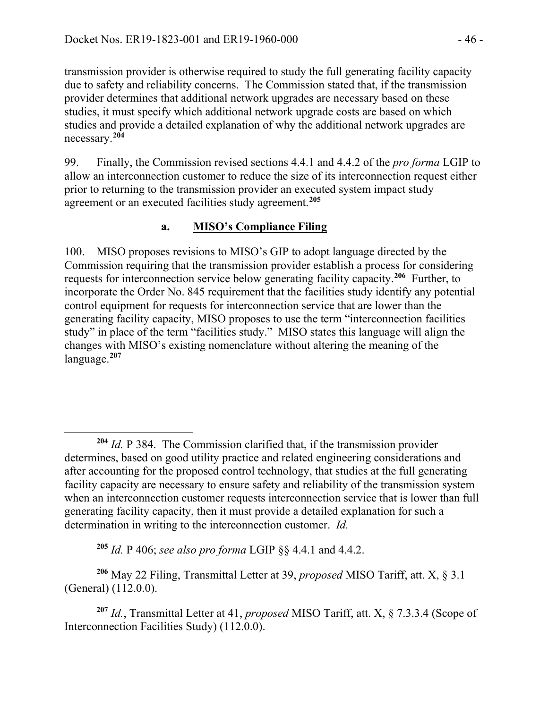transmission provider is otherwise required to study the full generating facility capacity due to safety and reliability concerns. The Commission stated that, if the transmission provider determines that additional network upgrades are necessary based on these studies, it must specify which additional network upgrade costs are based on which studies and provide a detailed explanation of why the additional network upgrades are necessary.**[204](#page-45-0)**

99. Finally, the Commission revised sections 4.4.1 and 4.4.2 of the *pro forma* LGIP to allow an interconnection customer to reduce the size of its interconnection request either prior to returning to the transmission provider an executed system impact study agreement or an executed facilities study agreement. **[205](#page-45-1)**

### **a. MISO's Compliance Filing**

100. MISO proposes revisions to MISO's GIP to adopt language directed by the Commission requiring that the transmission provider establish a process for considering requests for interconnection service below generating facility capacity. **[206](#page-45-2)** Further, to incorporate the Order No. 845 requirement that the facilities study identify any potential control equipment for requests for interconnection service that are lower than the generating facility capacity, MISO proposes to use the term "interconnection facilities study" in place of the term "facilities study." MISO states this language will align the changes with MISO's existing nomenclature without altering the meaning of the language. **[207](#page-45-3)**

**<sup>205</sup>** *Id.* P 406; *see also pro forma* LGIP §§ 4.4.1 and 4.4.2.

 $\overline{a}$ 

<span id="page-45-2"></span><span id="page-45-1"></span>**<sup>206</sup>** May 22 Filing, Transmittal Letter at 39, *proposed* MISO Tariff, att. X, § 3.1 (General) (112.0.0).

<span id="page-45-3"></span>**<sup>207</sup>** *Id.*, Transmittal Letter at 41, *proposed* MISO Tariff, att. X, § 7.3.3.4 (Scope of Interconnection Facilities Study) (112.0.0).

<span id="page-45-0"></span>**<sup>204</sup>** *Id.* P 384. The Commission clarified that, if the transmission provider determines, based on good utility practice and related engineering considerations and after accounting for the proposed control technology, that studies at the full generating facility capacity are necessary to ensure safety and reliability of the transmission system when an interconnection customer requests interconnection service that is lower than full generating facility capacity, then it must provide a detailed explanation for such a determination in writing to the interconnection customer. *Id.*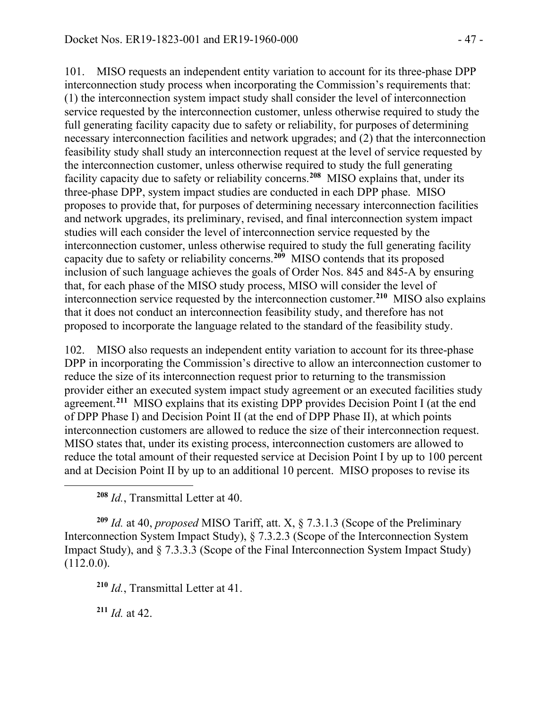101. MISO requests an independent entity variation to account for its three-phase DPP interconnection study process when incorporating the Commission's requirements that: (1) the interconnection system impact study shall consider the level of interconnection service requested by the interconnection customer, unless otherwise required to study the full generating facility capacity due to safety or reliability, for purposes of determining necessary interconnection facilities and network upgrades; and (2) that the interconnection feasibility study shall study an interconnection request at the level of service requested by the interconnection customer, unless otherwise required to study the full generating facility capacity due to safety or reliability concerns. **[208](#page-46-0)** MISO explains that, under its three-phase DPP, system impact studies are conducted in each DPP phase. MISO proposes to provide that, for purposes of determining necessary interconnection facilities and network upgrades, its preliminary, revised, and final interconnection system impact studies will each consider the level of interconnection service requested by the interconnection customer, unless otherwise required to study the full generating facility capacity due to safety or reliability concerns.**[209](#page-46-1)** MISO contends that its proposed inclusion of such language achieves the goals of Order Nos. 845 and 845-A by ensuring that, for each phase of the MISO study process, MISO will consider the level of interconnection service requested by the interconnection customer.**[210](#page-46-2)** MISO also explains that it does not conduct an interconnection feasibility study, and therefore has not proposed to incorporate the language related to the standard of the feasibility study.

102. MISO also requests an independent entity variation to account for its three-phase DPP in incorporating the Commission's directive to allow an interconnection customer to reduce the size of its interconnection request prior to returning to the transmission provider either an executed system impact study agreement or an executed facilities study agreement. **[211](#page-46-3)** MISO explains that its existing DPP provides Decision Point I (at the end of DPP Phase I) and Decision Point II (at the end of DPP Phase II), at which points interconnection customers are allowed to reduce the size of their interconnection request. MISO states that, under its existing process, interconnection customers are allowed to reduce the total amount of their requested service at Decision Point I by up to 100 percent and at Decision Point II by up to an additional 10 percent. MISO proposes to revise its

**<sup>208</sup>** *Id.*, Transmittal Letter at 40.

<span id="page-46-2"></span><span id="page-46-1"></span>**<sup>209</sup>** *Id.* at 40, *proposed* MISO Tariff, att. X, § 7.3.1.3 (Scope of the Preliminary Interconnection System Impact Study), § 7.3.2.3 (Scope of the Interconnection System Impact Study), and § 7.3.3.3 (Scope of the Final Interconnection System Impact Study) (112.0.0).

**<sup>210</sup>** *Id.*, Transmittal Letter at 41.

<span id="page-46-3"></span>**<sup>211</sup>** *Id.* at 42.

<span id="page-46-0"></span> $\overline{a}$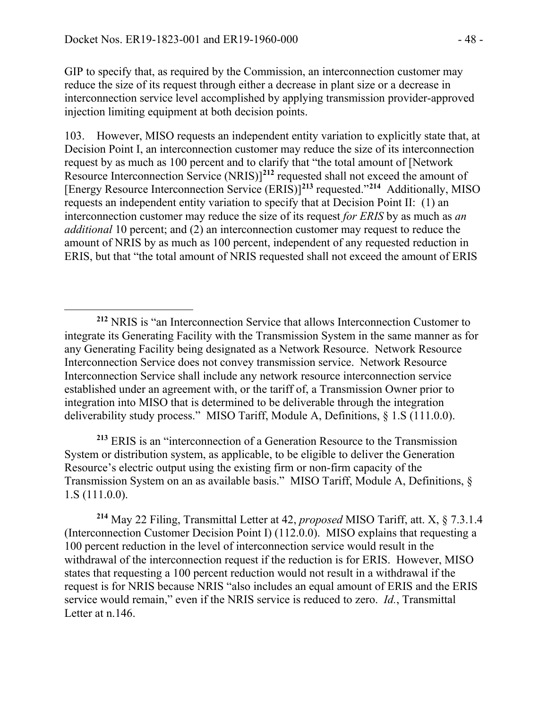$\overline{a}$ 

GIP to specify that, as required by the Commission, an interconnection customer may reduce the size of its request through either a decrease in plant size or a decrease in interconnection service level accomplished by applying transmission provider-approved injection limiting equipment at both decision points.

103. However, MISO requests an independent entity variation to explicitly state that, at Decision Point I, an interconnection customer may reduce the size of its interconnection request by as much as 100 percent and to clarify that "the total amount of [Network Resource Interconnection Service (NRIS)] **[212](#page-47-0)** requested shall not exceed the amount of [Energy Resource Interconnection Service (ERIS)] **[213](#page-47-1)** requested."**[214](#page-47-2)** Additionally, MISO requests an independent entity variation to specify that at Decision Point II: (1) an interconnection customer may reduce the size of its request *for ERIS* by as much as *an additional* 10 percent; and (2) an interconnection customer may request to reduce the amount of NRIS by as much as 100 percent, independent of any requested reduction in ERIS, but that "the total amount of NRIS requested shall not exceed the amount of ERIS

<span id="page-47-1"></span>**<sup>213</sup>** ERIS is an "interconnection of a Generation Resource to the Transmission System or distribution system, as applicable, to be eligible to deliver the Generation Resource's electric output using the existing firm or non-firm capacity of the Transmission System on an as available basis." MISO Tariff, Module A, Definitions, § 1.S (111.0.0).

<span id="page-47-2"></span>**<sup>214</sup>** May 22 Filing, Transmittal Letter at 42, *proposed* MISO Tariff, att. X, § 7.3.1.4 (Interconnection Customer Decision Point I) (112.0.0). MISO explains that requesting a 100 percent reduction in the level of interconnection service would result in the withdrawal of the interconnection request if the reduction is for ERIS. However, MISO states that requesting a 100 percent reduction would not result in a withdrawal if the request is for NRIS because NRIS "also includes an equal amount of ERIS and the ERIS service would remain," even if the NRIS service is reduced to zero. *Id.*, Transmittal Letter at n.146.

<span id="page-47-0"></span>**<sup>212</sup>** NRIS is "an Interconnection Service that allows Interconnection Customer to integrate its Generating Facility with the Transmission System in the same manner as for any Generating Facility being designated as a Network Resource. Network Resource Interconnection Service does not convey transmission service. Network Resource Interconnection Service shall include any network resource interconnection service established under an agreement with, or the tariff of, a Transmission Owner prior to integration into MISO that is determined to be deliverable through the integration deliverability study process." MISO Tariff, Module A, Definitions, § 1.S (111.0.0).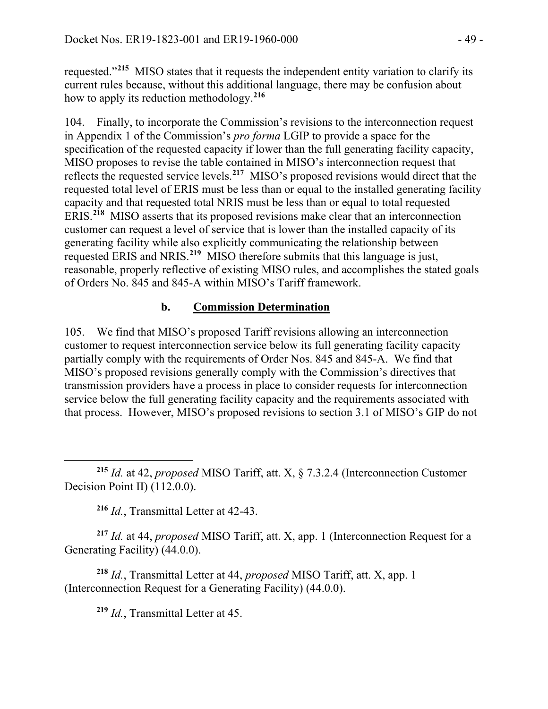requested."**[215](#page-48-0)** MISO states that it requests the independent entity variation to clarify its current rules because, without this additional language, there may be confusion about how to apply its reduction methodology.**[216](#page-48-1)**

104. Finally, to incorporate the Commission's revisions to the interconnection request in Appendix 1 of the Commission's *pro forma* LGIP to provide a space for the specification of the requested capacity if lower than the full generating facility capacity, MISO proposes to revise the table contained in MISO's interconnection request that reflects the requested service levels. **[217](#page-48-2)** MISO's proposed revisions would direct that the requested total level of ERIS must be less than or equal to the installed generating facility capacity and that requested total NRIS must be less than or equal to total requested ERIS. **[218](#page-48-3)** MISO asserts that its proposed revisions make clear that an interconnection customer can request a level of service that is lower than the installed capacity of its generating facility while also explicitly communicating the relationship between requested ERIS and NRIS.**[219](#page-48-4)** MISO therefore submits that this language is just, reasonable, properly reflective of existing MISO rules, and accomplishes the stated goals of Orders No. 845 and 845-A within MISO's Tariff framework.

## **b. Commission Determination**

105. We find that MISO's proposed Tariff revisions allowing an interconnection customer to request interconnection service below its full generating facility capacity partially comply with the requirements of Order Nos. 845 and 845-A. We find that MISO's proposed revisions generally comply with the Commission's directives that transmission providers have a process in place to consider requests for interconnection service below the full generating facility capacity and the requirements associated with that process. However, MISO's proposed revisions to section 3.1 of MISO's GIP do not

<span id="page-48-0"></span> $\overline{a}$ **<sup>215</sup>** *Id.* at 42, *proposed* MISO Tariff, att. X, § 7.3.2.4 (Interconnection Customer Decision Point II) (112.0.0).

**<sup>216</sup>** *Id.*, Transmittal Letter at 42-43.

<span id="page-48-2"></span><span id="page-48-1"></span>**<sup>217</sup>** *Id.* at 44, *proposed* MISO Tariff, att. X, app. 1 (Interconnection Request for a Generating Facility) (44.0.0).

<span id="page-48-4"></span><span id="page-48-3"></span>**<sup>218</sup>** *Id.*, Transmittal Letter at 44, *proposed* MISO Tariff, att. X, app. 1 (Interconnection Request for a Generating Facility) (44.0.0).

**<sup>219</sup>** *Id.*, Transmittal Letter at 45.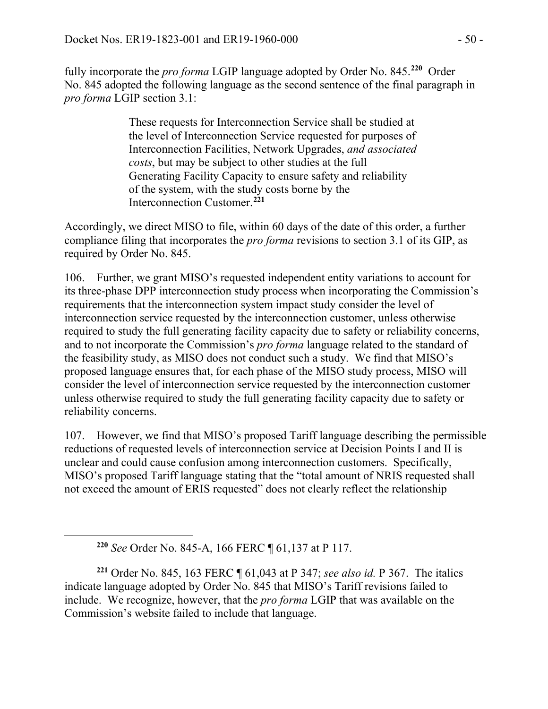fully incorporate the *pro forma* LGIP language adopted by Order No. 845.**[220](#page-49-0)** Order No. 845 adopted the following language as the second sentence of the final paragraph in *pro forma* LGIP section 3.1:

> These requests for Interconnection Service shall be studied at the level of Interconnection Service requested for purposes of Interconnection Facilities, Network Upgrades, *and associated costs*, but may be subject to other studies at the full Generating Facility Capacity to ensure safety and reliability of the system, with the study costs borne by the Interconnection Customer.**[221](#page-49-1)**

Accordingly, we direct MISO to file, within 60 days of the date of this order, a further compliance filing that incorporates the *pro forma* revisions to section 3.1 of its GIP, as required by Order No. 845.

106. Further, we grant MISO's requested independent entity variations to account for its three-phase DPP interconnection study process when incorporating the Commission's requirements that the interconnection system impact study consider the level of interconnection service requested by the interconnection customer, unless otherwise required to study the full generating facility capacity due to safety or reliability concerns, and to not incorporate the Commission's *pro forma* language related to the standard of the feasibility study, as MISO does not conduct such a study. We find that MISO's proposed language ensures that, for each phase of the MISO study process, MISO will consider the level of interconnection service requested by the interconnection customer unless otherwise required to study the full generating facility capacity due to safety or reliability concerns.

107. However, we find that MISO's proposed Tariff language describing the permissible reductions of requested levels of interconnection service at Decision Points I and II is unclear and could cause confusion among interconnection customers. Specifically, MISO's proposed Tariff language stating that the "total amount of NRIS requested shall not exceed the amount of ERIS requested" does not clearly reflect the relationship

<span id="page-49-0"></span> $\overline{a}$ 

**<sup>220</sup>** *See* Order No. 845-A, 166 FERC ¶ 61,137 at P 117.

<span id="page-49-1"></span>**<sup>221</sup>** Order No. 845, 163 FERC ¶ 61,043 at P 347; *see also id.* P 367. The italics indicate language adopted by Order No. 845 that MISO's Tariff revisions failed to include. We recognize, however, that the *pro forma* LGIP that was available on the Commission's website failed to include that language.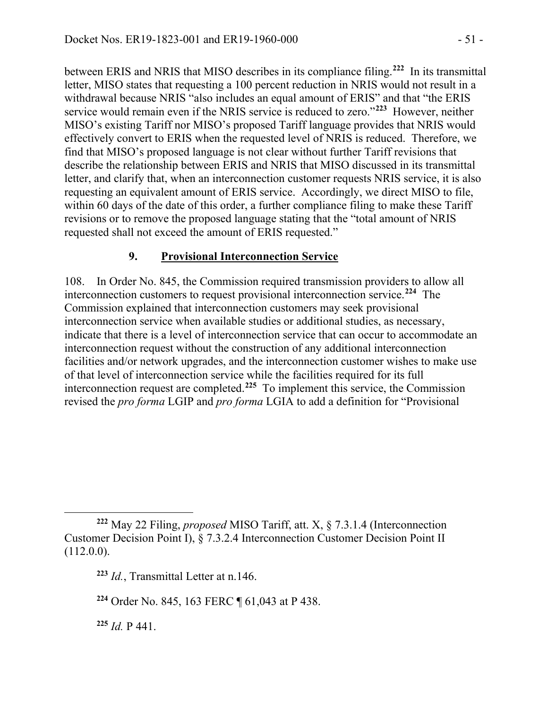between ERIS and NRIS that MISO describes in its compliance filing.**[222](#page-50-0)** In its transmittal letter, MISO states that requesting a 100 percent reduction in NRIS would not result in a withdrawal because NRIS "also includes an equal amount of ERIS" and that "the ERIS service would remain even if the NRIS service is reduced to zero."**[223](#page-50-1)** However, neither MISO's existing Tariff nor MISO's proposed Tariff language provides that NRIS would effectively convert to ERIS when the requested level of NRIS is reduced. Therefore, we find that MISO's proposed language is not clear without further Tariff revisions that describe the relationship between ERIS and NRIS that MISO discussed in its transmittal letter, and clarify that, when an interconnection customer requests NRIS service, it is also requesting an equivalent amount of ERIS service. Accordingly, we direct MISO to file, within 60 days of the date of this order, a further compliance filing to make these Tariff revisions or to remove the proposed language stating that the "total amount of NRIS requested shall not exceed the amount of ERIS requested."

# **9. Provisional Interconnection Service**

108. In Order No. 845, the Commission required transmission providers to allow all interconnection customers to request provisional interconnection service.**[224](#page-50-2)** The Commission explained that interconnection customers may seek provisional interconnection service when available studies or additional studies, as necessary, indicate that there is a level of interconnection service that can occur to accommodate an interconnection request without the construction of any additional interconnection facilities and/or network upgrades, and the interconnection customer wishes to make use of that level of interconnection service while the facilities required for its full interconnection request are completed.**[225](#page-50-3)** To implement this service, the Commission revised the *pro forma* LGIP and *pro forma* LGIA to add a definition for "Provisional

<span id="page-50-3"></span>**<sup>225</sup>** *Id.* P 441.

<span id="page-50-1"></span><span id="page-50-0"></span> $\overline{a}$ **<sup>222</sup>** May 22 Filing, *proposed* MISO Tariff, att. X, § 7.3.1.4 (Interconnection Customer Decision Point I), § 7.3.2.4 Interconnection Customer Decision Point II (112.0.0).

**<sup>223</sup>** *Id.*, Transmittal Letter at n.146.

<span id="page-50-2"></span>**<sup>224</sup>** Order No. 845, 163 FERC ¶ 61,043 at P 438.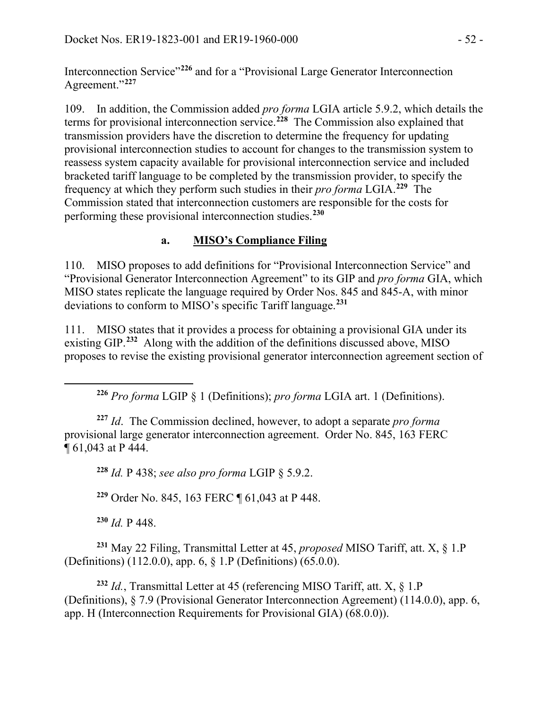Interconnection Service"**[226](#page-51-0)** and for a "Provisional Large Generator Interconnection Agreement."**[227](#page-51-1)**

109. In addition, the Commission added *pro forma* LGIA article 5.9.2, which details the terms for provisional interconnection service.**[228](#page-51-2)** The Commission also explained that transmission providers have the discretion to determine the frequency for updating provisional interconnection studies to account for changes to the transmission system to reassess system capacity available for provisional interconnection service and included bracketed tariff language to be completed by the transmission provider, to specify the frequency at which they perform such studies in their *pro forma* LGIA.**[229](#page-51-3)** The Commission stated that interconnection customers are responsible for the costs for performing these provisional interconnection studies.**[230](#page-51-4)**

# **a. MISO's Compliance Filing**

110. MISO proposes to add definitions for "Provisional Interconnection Service" and "Provisional Generator Interconnection Agreement" to its GIP and *pro forma* GIA, which MISO states replicate the language required by Order Nos. 845 and 845-A, with minor deviations to conform to MISO's specific Tariff language. **[231](#page-51-5)**

111. MISO states that it provides a process for obtaining a provisional GIA under its existing GIP.<sup>[232](#page-51-6)</sup> Along with the addition of the definitions discussed above, MISO proposes to revise the existing provisional generator interconnection agreement section of

**<sup>226</sup>** *Pro forma* LGIP § 1 (Definitions); *pro forma* LGIA art. 1 (Definitions).

<span id="page-51-2"></span><span id="page-51-1"></span>**<sup>227</sup>** *Id*. The Commission declined, however, to adopt a separate *pro forma* provisional large generator interconnection agreement. Order No. 845, 163 FERC ¶ 61,043 at P 444.

**<sup>228</sup>** *Id.* P 438; *see also pro forma* LGIP § 5.9.2.

**<sup>229</sup>** Order No. 845, 163 FERC ¶ 61,043 at P 448.

**<sup>230</sup>** *Id.* P 448.

<span id="page-51-0"></span> $\overline{a}$ 

<span id="page-51-5"></span><span id="page-51-4"></span><span id="page-51-3"></span>**<sup>231</sup>** May 22 Filing, Transmittal Letter at 45, *proposed* MISO Tariff, att. X, § 1.P (Definitions) (112.0.0), app. 6, § 1.P (Definitions) (65.0.0).

<span id="page-51-6"></span>**<sup>232</sup>** *Id.*, Transmittal Letter at 45 (referencing MISO Tariff, att. X, § 1.P (Definitions), § 7.9 (Provisional Generator Interconnection Agreement) (114.0.0), app. 6, app. H (Interconnection Requirements for Provisional GIA) (68.0.0)).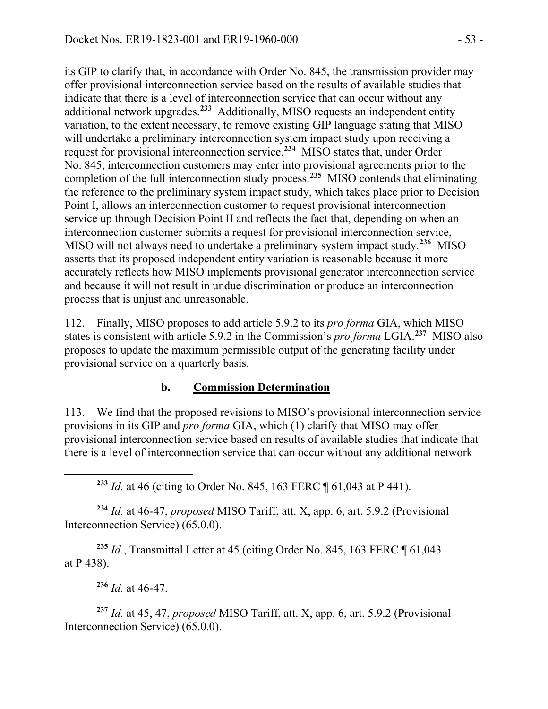its GIP to clarify that, in accordance with Order No. 845, the transmission provider may offer provisional interconnection service based on the results of available studies that indicate that there is a level of interconnection service that can occur without any additional network upgrades.**[233](#page-52-0)** Additionally, MISO requests an independent entity variation, to the extent necessary, to remove existing GIP language stating that MISO will undertake a preliminary interconnection system impact study upon receiving a request for provisional interconnection service.**[234](#page-52-1)** MISO states that, under Order No. 845, interconnection customers may enter into provisional agreements prior to the completion of the full interconnection study process. **[235](#page-52-2)** MISO contends that eliminating the reference to the preliminary system impact study, which takes place prior to Decision Point I, allows an interconnection customer to request provisional interconnection service up through Decision Point II and reflects the fact that, depending on when an interconnection customer submits a request for provisional interconnection service, MISO will not always need to undertake a preliminary system impact study.**[236](#page-52-3)** MISO asserts that its proposed independent entity variation is reasonable because it more accurately reflects how MISO implements provisional generator interconnection service and because it will not result in undue discrimination or produce an interconnection process that is unjust and unreasonable.

112. Finally, MISO proposes to add article 5.9.2 to its *pro forma* GIA, which MISO states is consistent with article 5.9.2 in the Commission's *pro forma* LGIA. **[237](#page-52-4)** MISO also proposes to update the maximum permissible output of the generating facility under provisional service on a quarterly basis.

# **b. Commission Determination**

113. We find that the proposed revisions to MISO's provisional interconnection service provisions in its GIP and *pro forma* GIA, which (1) clarify that MISO may offer provisional interconnection service based on results of available studies that indicate that there is a level of interconnection service that can occur without any additional network

**<sup>233</sup>** *Id.* at 46 (citing to Order No. 845, 163 FERC ¶ 61,043 at P 441).

<span id="page-52-1"></span>**<sup>234</sup>** *Id.* at 46-47, *proposed* MISO Tariff, att. X, app. 6, art. 5.9.2 (Provisional Interconnection Service) (65.0.0).

<span id="page-52-2"></span>**<sup>235</sup>** *Id.*, Transmittal Letter at 45 (citing Order No. 845, 163 FERC ¶ 61,043 at P 438).

**<sup>236</sup>** *Id.* at 46-47.

<span id="page-52-0"></span> $\overline{a}$ 

<span id="page-52-4"></span><span id="page-52-3"></span>**<sup>237</sup>** *Id.* at 45, 47, *proposed* MISO Tariff, att. X, app. 6, art. 5.9.2 (Provisional Interconnection Service) (65.0.0).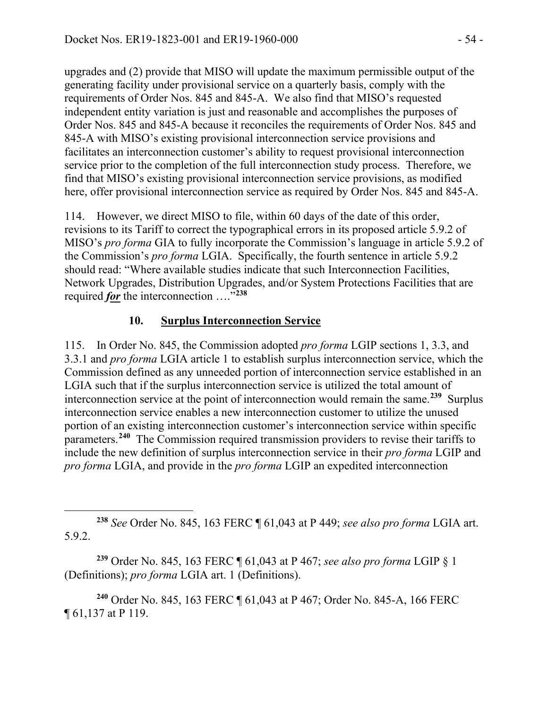upgrades and (2) provide that MISO will update the maximum permissible output of the generating facility under provisional service on a quarterly basis, comply with the requirements of Order Nos. 845 and 845-A. We also find that MISO's requested independent entity variation is just and reasonable and accomplishes the purposes of Order Nos. 845 and 845-A because it reconciles the requirements of Order Nos. 845 and 845-A with MISO's existing provisional interconnection service provisions and facilitates an interconnection customer's ability to request provisional interconnection service prior to the completion of the full interconnection study process. Therefore, we find that MISO's existing provisional interconnection service provisions, as modified here, offer provisional interconnection service as required by Order Nos. 845 and 845-A.

114. However, we direct MISO to file, within 60 days of the date of this order, revisions to its Tariff to correct the typographical errors in its proposed article 5.9.2 of MISO's *pro forma* GIA to fully incorporate the Commission's language in article 5.9.2 of the Commission's *pro forma* LGIA. Specifically, the fourth sentence in article 5.9.2 should read: "Where available studies indicate that such Interconnection Facilities, Network Upgrades, Distribution Upgrades, and/or System Protections Facilities that are required *for* the interconnection …."**[238](#page-53-0)**

# **10. Surplus Interconnection Service**

115. In Order No. 845, the Commission adopted *pro forma* LGIP sections 1, 3.3, and 3.3.1 and *pro forma* LGIA article 1 to establish surplus interconnection service, which the Commission defined as any unneeded portion of interconnection service established in an LGIA such that if the surplus interconnection service is utilized the total amount of interconnection service at the point of interconnection would remain the same.**[239](#page-53-1)** Surplus interconnection service enables a new interconnection customer to utilize the unused portion of an existing interconnection customer's interconnection service within specific parameters. **[240](#page-53-2)** The Commission required transmission providers to revise their tariffs to include the new definition of surplus interconnection service in their *pro forma* LGIP and *pro forma* LGIA, and provide in the *pro forma* LGIP an expedited interconnection

<span id="page-53-1"></span>**<sup>239</sup>** Order No. 845, 163 FERC ¶ 61,043 at P 467; *see also pro forma* LGIP § 1 (Definitions); *pro forma* LGIA art. 1 (Definitions).

<span id="page-53-2"></span>**<sup>240</sup>** Order No. 845, 163 FERC ¶ 61,043 at P 467; Order No. 845-A, 166 FERC ¶ 61,137 at P 119.

<span id="page-53-0"></span> $\overline{a}$ **<sup>238</sup>** *See* Order No. 845, 163 FERC ¶ 61,043 at P 449; *see also pro forma* LGIA art. 5.9.2.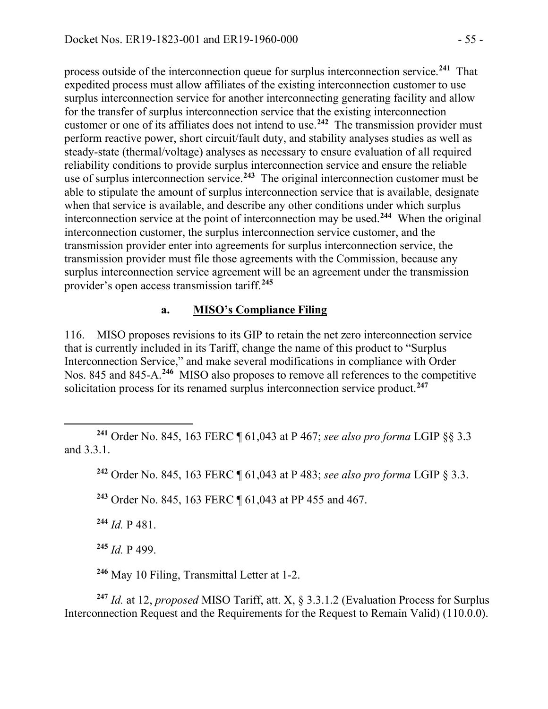process outside of the interconnection queue for surplus interconnection service. **[241](#page-54-0)** That expedited process must allow affiliates of the existing interconnection customer to use surplus interconnection service for another interconnecting generating facility and allow for the transfer of surplus interconnection service that the existing interconnection customer or one of its affiliates does not intend to use. **[242](#page-54-1)** The transmission provider must perform reactive power, short circuit/fault duty, and stability analyses studies as well as steady-state (thermal/voltage) analyses as necessary to ensure evaluation of all required reliability conditions to provide surplus interconnection service and ensure the reliable use of surplus interconnection service.**[243](#page-54-2)** The original interconnection customer must be able to stipulate the amount of surplus interconnection service that is available, designate when that service is available, and describe any other conditions under which surplus interconnection service at the point of interconnection may be used.**[244](#page-54-3)** When the original interconnection customer, the surplus interconnection service customer, and the transmission provider enter into agreements for surplus interconnection service, the transmission provider must file those agreements with the Commission, because any surplus interconnection service agreement will be an agreement under the transmission provider's open access transmission tariff. **[245](#page-54-4)**

#### **a. MISO's Compliance Filing**

116. MISO proposes revisions to its GIP to retain the net zero interconnection service that is currently included in its Tariff, change the name of this product to "Surplus Interconnection Service," and make several modifications in compliance with Order Nos. 845 and 845-A.**[246](#page-54-5)** MISO also proposes to remove all references to the competitive solicitation process for its renamed surplus interconnection service product.**[247](#page-54-6)**

<span id="page-54-1"></span><span id="page-54-0"></span> $\overline{a}$ **<sup>241</sup>** Order No. 845, 163 FERC ¶ 61,043 at P 467; *see also pro forma* LGIP §§ 3.3 and 3.3.1.

**<sup>242</sup>** Order No. 845, 163 FERC ¶ 61,043 at P 483; *see also pro forma* LGIP § 3.3.

<span id="page-54-2"></span>**<sup>243</sup>** Order No. 845, 163 FERC ¶ 61,043 at PP 455 and 467.

<span id="page-54-3"></span>**<sup>244</sup>** *Id.* P 481.

**<sup>245</sup>** *Id.* P 499.

**<sup>246</sup>** May 10 Filing, Transmittal Letter at 1-2.

<span id="page-54-6"></span><span id="page-54-5"></span><span id="page-54-4"></span>**<sup>247</sup>** *Id.* at 12, *proposed* MISO Tariff, att. X, § 3.3.1.2 (Evaluation Process for Surplus Interconnection Request and the Requirements for the Request to Remain Valid) (110.0.0).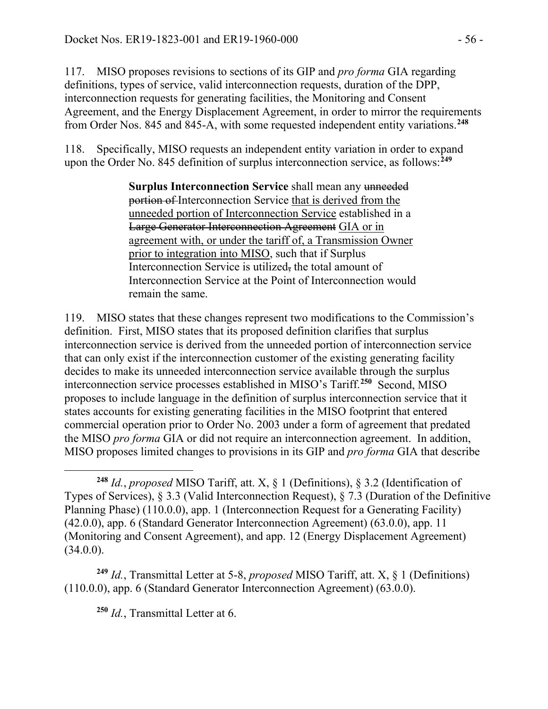117. MISO proposes revisions to sections of its GIP and *pro forma* GIA regarding definitions, types of service, valid interconnection requests, duration of the DPP, interconnection requests for generating facilities, the Monitoring and Consent Agreement, and the Energy Displacement Agreement, in order to mirror the requirements from Order Nos. 845 and 845-A, with some requested independent entity variations. **[248](#page-55-0)**

118. Specifically, MISO requests an independent entity variation in order to expand upon the Order No. 845 definition of surplus interconnection service, as follows:**[249](#page-55-1)**

> **Surplus Interconnection Service** shall mean any unneeded portion of Interconnection Service that is derived from the unneeded portion of Interconnection Service established in a Large Generator Interconnection Agreement GIA or in agreement with, or under the tariff of, a Transmission Owner prior to integration into MISO, such that if Surplus Interconnection Service is utilized, the total amount of Interconnection Service at the Point of Interconnection would remain the same.

119. MISO states that these changes represent two modifications to the Commission's definition. First, MISO states that its proposed definition clarifies that surplus interconnection service is derived from the unneeded portion of interconnection service that can only exist if the interconnection customer of the existing generating facility decides to make its unneeded interconnection service available through the surplus interconnection service processes established in MISO's Tariff.**[250](#page-55-2)** Second, MISO proposes to include language in the definition of surplus interconnection service that it states accounts for existing generating facilities in the MISO footprint that entered commercial operation prior to Order No. 2003 under a form of agreement that predated the MISO *pro forma* GIA or did not require an interconnection agreement. In addition, MISO proposes limited changes to provisions in its GIP and *pro forma* GIA that describe

<span id="page-55-2"></span><span id="page-55-1"></span>**<sup>249</sup>** *Id.*, Transmittal Letter at 5-8, *proposed* MISO Tariff, att. X, § 1 (Definitions) (110.0.0), app. 6 (Standard Generator Interconnection Agreement) (63.0.0).

**<sup>250</sup>** *Id.*, Transmittal Letter at 6.

<span id="page-55-0"></span>**<sup>248</sup>** *Id.*, *proposed* MISO Tariff, att. X, § 1 (Definitions), § 3.2 (Identification of Types of Services), § 3.3 (Valid Interconnection Request), § 7.3 (Duration of the Definitive Planning Phase) (110.0.0), app. 1 (Interconnection Request for a Generating Facility) (42.0.0), app. 6 (Standard Generator Interconnection Agreement) (63.0.0), app. 11 (Monitoring and Consent Agreement), and app. 12 (Energy Displacement Agreement)  $(34.0.0)$ .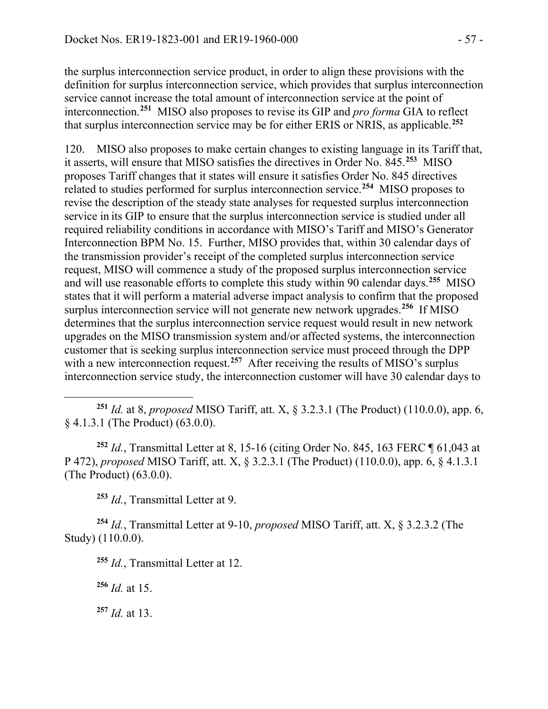the surplus interconnection service product, in order to align these provisions with the definition for surplus interconnection service, which provides that surplus interconnection service cannot increase the total amount of interconnection service at the point of interconnection.**[251](#page-56-0)** MISO also proposes to revise its GIP and *pro forma* GIA to reflect that surplus interconnection service may be for either ERIS or NRIS, as applicable.**[252](#page-56-1)**

120. MISO also proposes to make certain changes to existing language in its Tariff that, it asserts, will ensure that MISO satisfies the directives in Order No. 845.**[253](#page-56-2)** MISO proposes Tariff changes that it states will ensure it satisfies Order No. 845 directives related to studies performed for surplus interconnection service.**[254](#page-56-3)** MISO proposes to revise the description of the steady state analyses for requested surplus interconnection service in its GIP to ensure that the surplus interconnection service is studied under all required reliability conditions in accordance with MISO's Tariff and MISO's Generator Interconnection BPM No. 15. Further, MISO provides that, within 30 calendar days of the transmission provider's receipt of the completed surplus interconnection service request, MISO will commence a study of the proposed surplus interconnection service and will use reasonable efforts to complete this study within 90 calendar days.**[255](#page-56-4)** MISO states that it will perform a material adverse impact analysis to confirm that the proposed surplus interconnection service will not generate new network upgrades.**[256](#page-56-5)** If MISO determines that the surplus interconnection service request would result in new network upgrades on the MISO transmission system and/or affected systems, the interconnection customer that is seeking surplus interconnection service must proceed through the DPP with a new interconnection request.<sup>[257](#page-56-6)</sup> After receiving the results of MISO's surplus interconnection service study, the interconnection customer will have 30 calendar days to

<span id="page-56-0"></span>**<sup>251</sup>** *Id.* at 8, *proposed* MISO Tariff, att. X, § 3.2.3.1 (The Product) (110.0.0), app. 6, § 4.1.3.1 (The Product) (63.0.0).

<span id="page-56-1"></span>**<sup>252</sup>** *Id.*, Transmittal Letter at 8, 15-16 (citing Order No. 845, 163 FERC ¶ 61,043 at P 472), *proposed* MISO Tariff, att. X, § 3.2.3.1 (The Product) (110.0.0), app. 6, § 4.1.3.1 (The Product) (63.0.0).

**<sup>253</sup>** *Id.*, Transmittal Letter at 9.

<span id="page-56-5"></span><span id="page-56-4"></span><span id="page-56-3"></span><span id="page-56-2"></span>**<sup>254</sup>** *Id.*, Transmittal Letter at 9-10, *proposed* MISO Tariff, att. X, § 3.2.3.2 (The Study) (110.0.0).

**<sup>256</sup>** *Id.* at 15.

 $\overline{a}$ 

<span id="page-56-6"></span>**<sup>257</sup>** *Id.* at 13.

**<sup>255</sup>** *Id.*, Transmittal Letter at 12.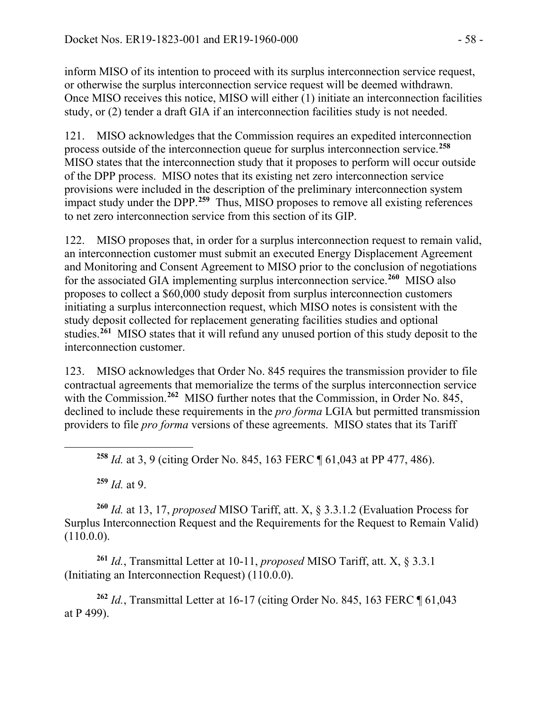inform MISO of its intention to proceed with its surplus interconnection service request, or otherwise the surplus interconnection service request will be deemed withdrawn. Once MISO receives this notice, MISO will either (1) initiate an interconnection facilities study, or (2) tender a draft GIA if an interconnection facilities study is not needed.

121. MISO acknowledges that the Commission requires an expedited interconnection process outside of the interconnection queue for surplus interconnection service.**[258](#page-57-0)** MISO states that the interconnection study that it proposes to perform will occur outside of the DPP process. MISO notes that its existing net zero interconnection service provisions were included in the description of the preliminary interconnection system impact study under the DPP.**[259](#page-57-1)** Thus, MISO proposes to remove all existing references to net zero interconnection service from this section of its GIP.

122. MISO proposes that, in order for a surplus interconnection request to remain valid, an interconnection customer must submit an executed Energy Displacement Agreement and Monitoring and Consent Agreement to MISO prior to the conclusion of negotiations for the associated GIA implementing surplus interconnection service. **[260](#page-57-2)** MISO also proposes to collect a \$60,000 study deposit from surplus interconnection customers initiating a surplus interconnection request, which MISO notes is consistent with the study deposit collected for replacement generating facilities studies and optional studies.**[261](#page-57-3)** MISO states that it will refund any unused portion of this study deposit to the interconnection customer.

123. MISO acknowledges that Order No. 845 requires the transmission provider to file contractual agreements that memorialize the terms of the surplus interconnection service with the Commission.<sup>[262](#page-57-4)</sup> MISO further notes that the Commission, in Order No. 845, declined to include these requirements in the *pro forma* LGIA but permitted transmission providers to file *pro forma* versions of these agreements. MISO states that its Tariff

 $259$  *Id.* at 9.

<span id="page-57-0"></span> $\overline{a}$ 

<span id="page-57-2"></span><span id="page-57-1"></span>**<sup>260</sup>** *Id.* at 13, 17, *proposed* MISO Tariff, att. X, § 3.3.1.2 (Evaluation Process for Surplus Interconnection Request and the Requirements for the Request to Remain Valid)  $(110.0.0)$ .

<span id="page-57-3"></span>**<sup>261</sup>** *Id.*, Transmittal Letter at 10-11, *proposed* MISO Tariff, att. X, § 3.3.1 (Initiating an Interconnection Request) (110.0.0).

<span id="page-57-4"></span>**<sup>262</sup>** *Id.*, Transmittal Letter at 16-17 (citing Order No. 845, 163 FERC ¶ 61,043 at P 499).

**<sup>258</sup>** *Id.* at 3, 9 (citing Order No. 845, 163 FERC ¶ 61,043 at PP 477, 486).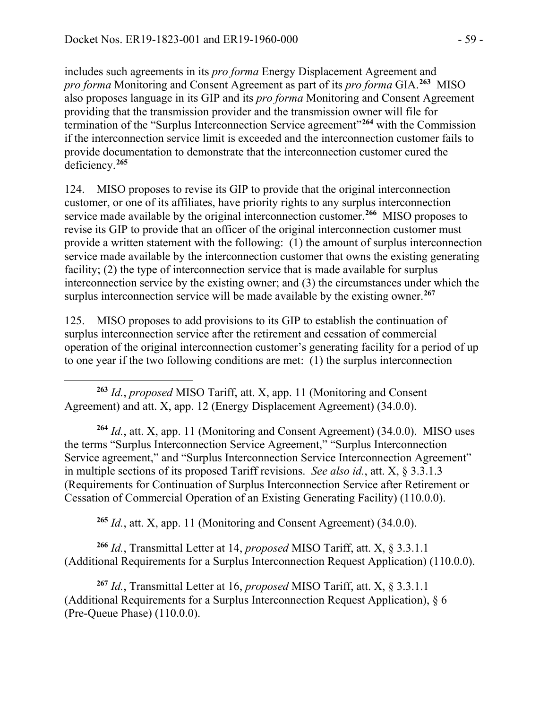includes such agreements in its *pro forma* Energy Displacement Agreement and *pro forma* Monitoring and Consent Agreement as part of its *pro forma* GIA.**[263](#page-58-0)** MISO also proposes language in its GIP and its *pro forma* Monitoring and Consent Agreement providing that the transmission provider and the transmission owner will file for termination of the "Surplus Interconnection Service agreement"**[264](#page-58-1)** with the Commission if the interconnection service limit is exceeded and the interconnection customer fails to provide documentation to demonstrate that the interconnection customer cured the deficiency. **[265](#page-58-2)**

124. MISO proposes to revise its GIP to provide that the original interconnection customer, or one of its affiliates, have priority rights to any surplus interconnection service made available by the original interconnection customer.**[266](#page-58-3)** MISO proposes to revise its GIP to provide that an officer of the original interconnection customer must provide a written statement with the following: (1) the amount of surplus interconnection service made available by the interconnection customer that owns the existing generating facility; (2) the type of interconnection service that is made available for surplus interconnection service by the existing owner; and (3) the circumstances under which the surplus interconnection service will be made available by the existing owner.**[267](#page-58-4)**

125. MISO proposes to add provisions to its GIP to establish the continuation of surplus interconnection service after the retirement and cessation of commercial operation of the original interconnection customer's generating facility for a period of up to one year if the two following conditions are met: (1) the surplus interconnection

<span id="page-58-0"></span> $\overline{a}$ **<sup>263</sup>** *Id.*, *proposed* MISO Tariff, att. X, app. 11 (Monitoring and Consent Agreement) and att. X, app. 12 (Energy Displacement Agreement) (34.0.0).

<span id="page-58-1"></span>**<sup>264</sup>** *Id.*, att. X, app. 11 (Monitoring and Consent Agreement) (34.0.0).MISO uses the terms "Surplus Interconnection Service Agreement," "Surplus Interconnection Service agreement," and "Surplus Interconnection Service Interconnection Agreement" in multiple sections of its proposed Tariff revisions. *See also id.*, att. X, § 3.3.1.3 (Requirements for Continuation of Surplus Interconnection Service after Retirement or Cessation of Commercial Operation of an Existing Generating Facility) (110.0.0).

**<sup>265</sup>** *Id.*, att. X, app. 11 (Monitoring and Consent Agreement) (34.0.0).

<span id="page-58-3"></span><span id="page-58-2"></span>**<sup>266</sup>** *Id.*, Transmittal Letter at 14, *proposed* MISO Tariff, att. X, § 3.3.1.1 (Additional Requirements for a Surplus Interconnection Request Application) (110.0.0).

<span id="page-58-4"></span>**<sup>267</sup>** *Id.*, Transmittal Letter at 16, *proposed* MISO Tariff, att. X, § 3.3.1.1 (Additional Requirements for a Surplus Interconnection Request Application), § 6 (Pre-Queue Phase) (110.0.0).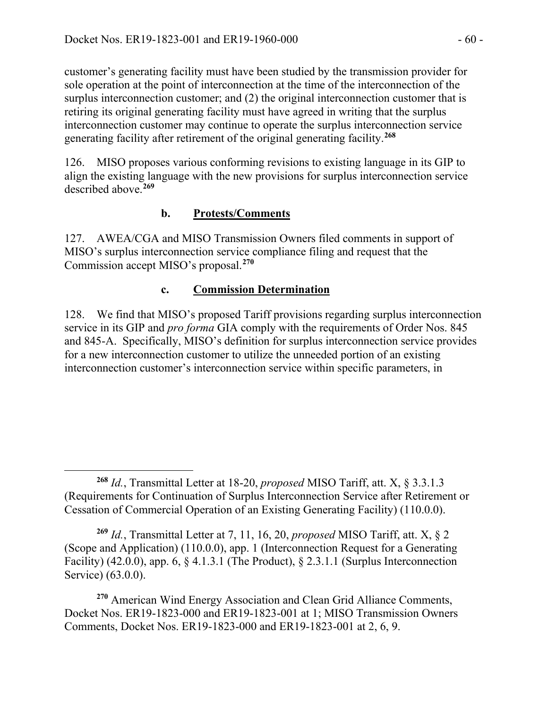customer's generating facility must have been studied by the transmission provider for sole operation at the point of interconnection at the time of the interconnection of the surplus interconnection customer; and (2) the original interconnection customer that is retiring its original generating facility must have agreed in writing that the surplus interconnection customer may continue to operate the surplus interconnection service generating facility after retirement of the original generating facility.**[268](#page-59-0)**

126. MISO proposes various conforming revisions to existing language in its GIP to align the existing language with the new provisions for surplus interconnection service described above. **[269](#page-59-1)**

# **b. Protests/Comments**

127. AWEA/CGA and MISO Transmission Owners filed comments in support of MISO's surplus interconnection service compliance filing and request that the Commission accept MISO's proposal. **[270](#page-59-2)**

# **c. Commission Determination**

128. We find that MISO's proposed Tariff provisions regarding surplus interconnection service in its GIP and *pro forma* GIA comply with the requirements of Order Nos. 845 and 845-A. Specifically, MISO's definition for surplus interconnection service provides for a new interconnection customer to utilize the unneeded portion of an existing interconnection customer's interconnection service within specific parameters, in

<span id="page-59-1"></span>**<sup>269</sup>** *Id.*, Transmittal Letter at 7, 11, 16, 20, *proposed* MISO Tariff, att. X, § 2 (Scope and Application) (110.0.0), app. 1 (Interconnection Request for a Generating Facility) (42.0.0), app. 6,  $\S 4.1.3.1$  (The Product),  $\S 2.3.1.1$  (Surplus Interconnection Service) (63.0.0).

<span id="page-59-2"></span>**<sup>270</sup>** American Wind Energy Association and Clean Grid Alliance Comments, Docket Nos. ER19-1823-000 and ER19-1823-001 at 1; MISO Transmission Owners Comments, Docket Nos. ER19-1823-000 and ER19-1823-001 at 2, 6, 9.

<span id="page-59-0"></span>**<sup>268</sup>** *Id.*, Transmittal Letter at 18-20, *proposed* MISO Tariff, att. X, § 3.3.1.3 (Requirements for Continuation of Surplus Interconnection Service after Retirement or Cessation of Commercial Operation of an Existing Generating Facility) (110.0.0).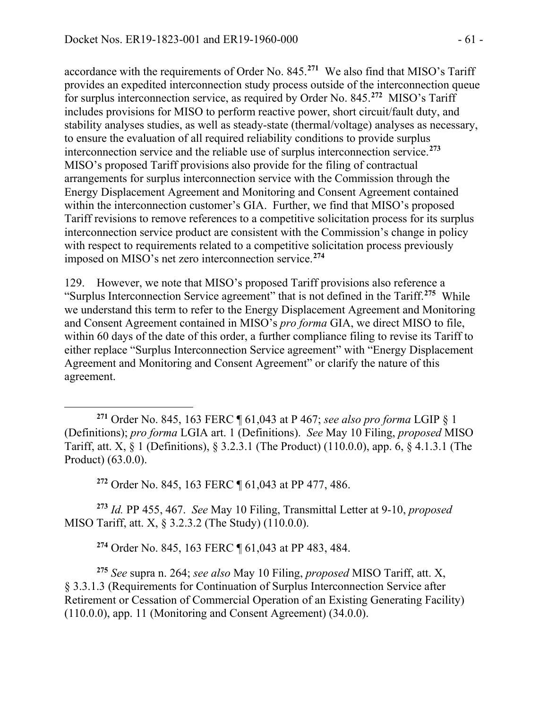accordance with the requirements of Order No. 845.**[271](#page-60-0)** We also find that MISO's Tariff provides an expedited interconnection study process outside of the interconnection queue for surplus interconnection service, as required by Order No. 845.**[272](#page-60-1)** MISO's Tariff includes provisions for MISO to perform reactive power, short circuit/fault duty, and stability analyses studies, as well as steady-state (thermal/voltage) analyses as necessary, to ensure the evaluation of all required reliability conditions to provide surplus interconnection service and the reliable use of surplus interconnection service.**[273](#page-60-2)** MISO's proposed Tariff provisions also provide for the filing of contractual arrangements for surplus interconnection service with the Commission through the Energy Displacement Agreement and Monitoring and Consent Agreement contained within the interconnection customer's GIA. Further, we find that MISO's proposed Tariff revisions to remove references to a competitive solicitation process for its surplus interconnection service product are consistent with the Commission's change in policy with respect to requirements related to a competitive solicitation process previously imposed on MISO's net zero interconnection service. **[274](#page-60-3)**

129. However, we note that MISO's proposed Tariff provisions also reference a "Surplus Interconnection Service agreement" that is not defined in the Tariff.**[275](#page-60-4)** While we understand this term to refer to the Energy Displacement Agreement and Monitoring and Consent Agreement contained in MISO's *pro forma* GIA, we direct MISO to file, within 60 days of the date of this order, a further compliance filing to revise its Tariff to either replace "Surplus Interconnection Service agreement" with "Energy Displacement Agreement and Monitoring and Consent Agreement" or clarify the nature of this agreement.

**<sup>272</sup>** Order No. 845, 163 FERC ¶ 61,043 at PP 477, 486.

<span id="page-60-2"></span><span id="page-60-1"></span>**<sup>273</sup>** *Id.* PP 455, 467. *See* May 10 Filing, Transmittal Letter at 9-10, *proposed* MISO Tariff, att. X, § 3.2.3.2 (The Study) (110.0.0).

**<sup>274</sup>** Order No. 845, 163 FERC ¶ 61,043 at PP 483, 484.

<span id="page-60-4"></span><span id="page-60-3"></span>**<sup>275</sup>** *See* supra n. 264; *see also* May 10 Filing, *proposed* MISO Tariff, att. X, § 3.3.1.3 (Requirements for Continuation of Surplus Interconnection Service after Retirement or Cessation of Commercial Operation of an Existing Generating Facility) (110.0.0), app. 11 (Monitoring and Consent Agreement) (34.0.0).

<span id="page-60-0"></span> $\overline{a}$ **<sup>271</sup>** Order No. 845, 163 FERC ¶ 61,043 at P 467; *see also pro forma* LGIP § 1 (Definitions); *pro forma* LGIA art. 1 (Definitions). *See* May 10 Filing, *proposed* MISO Tariff, att. X, § 1 (Definitions), § 3.2.3.1 (The Product) (110.0.0), app. 6, § 4.1.3.1 (The Product) (63.0.0).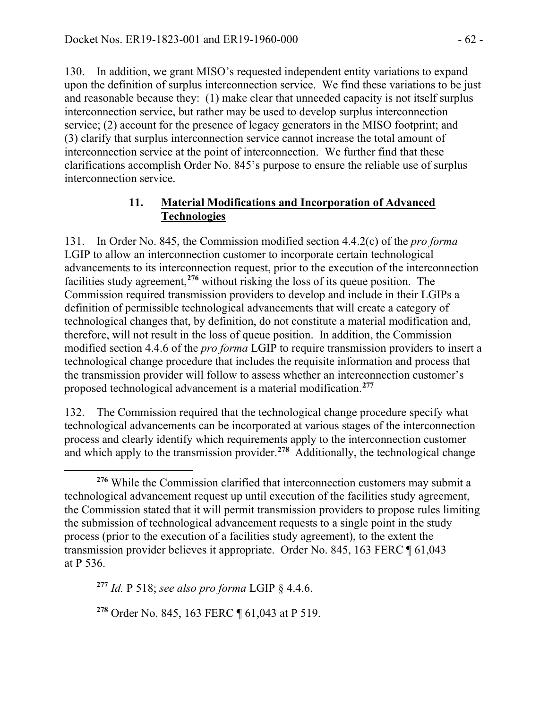130. In addition, we grant MISO's requested independent entity variations to expand upon the definition of surplus interconnection service. We find these variations to be just and reasonable because they: (1) make clear that unneeded capacity is not itself surplus interconnection service, but rather may be used to develop surplus interconnection service; (2) account for the presence of legacy generators in the MISO footprint; and (3) clarify that surplus interconnection service cannot increase the total amount of interconnection service at the point of interconnection. We further find that these clarifications accomplish Order No. 845's purpose to ensure the reliable use of surplus interconnection service.

### **11. Material Modifications and Incorporation of Advanced Technologies**

131. In Order No. 845, the Commission modified section 4.4.2(c) of the *pro forma* LGIP to allow an interconnection customer to incorporate certain technological advancements to its interconnection request, prior to the execution of the interconnection facilities study agreement,**[276](#page-61-0)** without risking the loss of its queue position. The Commission required transmission providers to develop and include in their LGIPs a definition of permissible technological advancements that will create a category of technological changes that, by definition, do not constitute a material modification and, therefore, will not result in the loss of queue position. In addition, the Commission modified section 4.4.6 of the *pro forma* LGIP to require transmission providers to insert a technological change procedure that includes the requisite information and process that the transmission provider will follow to assess whether an interconnection customer's proposed technological advancement is a material modification.**[277](#page-61-1)**

132. The Commission required that the technological change procedure specify what technological advancements can be incorporated at various stages of the interconnection process and clearly identify which requirements apply to the interconnection customer and which apply to the transmission provider.**[278](#page-61-2)** Additionally, the technological change

<span id="page-61-2"></span>**<sup>278</sup>** Order No. 845, 163 FERC ¶ 61,043 at P 519.

<span id="page-61-0"></span>**<sup>276</sup>** While the Commission clarified that interconnection customers may submit a technological advancement request up until execution of the facilities study agreement, the Commission stated that it will permit transmission providers to propose rules limiting the submission of technological advancement requests to a single point in the study process (prior to the execution of a facilities study agreement), to the extent the transmission provider believes it appropriate. Order No. 845, 163 FERC ¶ 61,043 at P 536.

<span id="page-61-1"></span>**<sup>277</sup>** *Id.* P 518; *see also pro forma* LGIP § 4.4.6.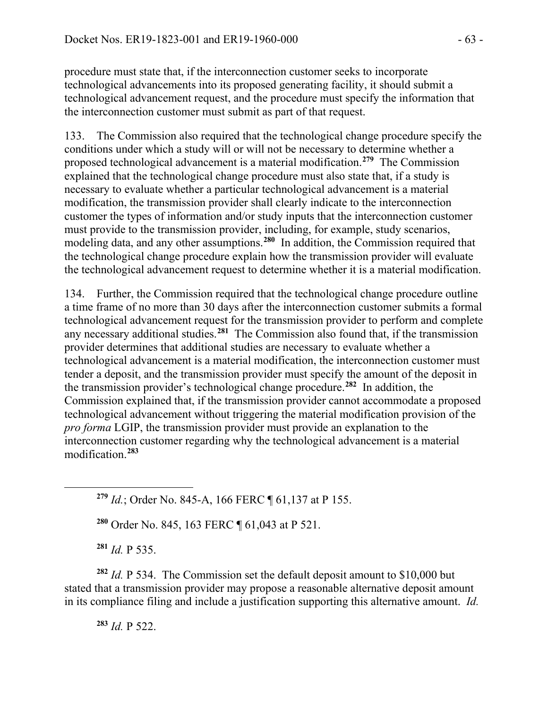procedure must state that, if the interconnection customer seeks to incorporate technological advancements into its proposed generating facility, it should submit a technological advancement request, and the procedure must specify the information that the interconnection customer must submit as part of that request.

133. The Commission also required that the technological change procedure specify the conditions under which a study will or will not be necessary to determine whether a proposed technological advancement is a material modification.**[279](#page-62-0)** The Commission explained that the technological change procedure must also state that, if a study is necessary to evaluate whether a particular technological advancement is a material modification, the transmission provider shall clearly indicate to the interconnection customer the types of information and/or study inputs that the interconnection customer must provide to the transmission provider, including, for example, study scenarios, modeling data, and any other assumptions.**[280](#page-62-1)** In addition, the Commission required that the technological change procedure explain how the transmission provider will evaluate the technological advancement request to determine whether it is a material modification.

134. Further, the Commission required that the technological change procedure outline a time frame of no more than 30 days after the interconnection customer submits a formal technological advancement request for the transmission provider to perform and complete any necessary additional studies.**[281](#page-62-2)** The Commission also found that, if the transmission provider determines that additional studies are necessary to evaluate whether a technological advancement is a material modification, the interconnection customer must tender a deposit, and the transmission provider must specify the amount of the deposit in the transmission provider's technological change procedure.**[282](#page-62-3)** In addition, the Commission explained that, if the transmission provider cannot accommodate a proposed technological advancement without triggering the material modification provision of the *pro forma* LGIP, the transmission provider must provide an explanation to the interconnection customer regarding why the technological advancement is a material modification.**[283](#page-62-4)**

**<sup>279</sup>** *Id.*; Order No. 845-A, 166 FERC ¶ 61,137 at P 155.

**<sup>280</sup>** Order No. 845, 163 FERC ¶ 61,043 at P 521.

**<sup>281</sup>** *Id.* P 535.

<span id="page-62-1"></span><span id="page-62-0"></span> $\overline{a}$ 

<span id="page-62-4"></span><span id="page-62-3"></span><span id="page-62-2"></span>**<sup>282</sup>** *Id.* P 534. The Commission set the default deposit amount to \$10,000 but stated that a transmission provider may propose a reasonable alternative deposit amount in its compliance filing and include a justification supporting this alternative amount. *Id.*

**<sup>283</sup>** *Id.* P 522.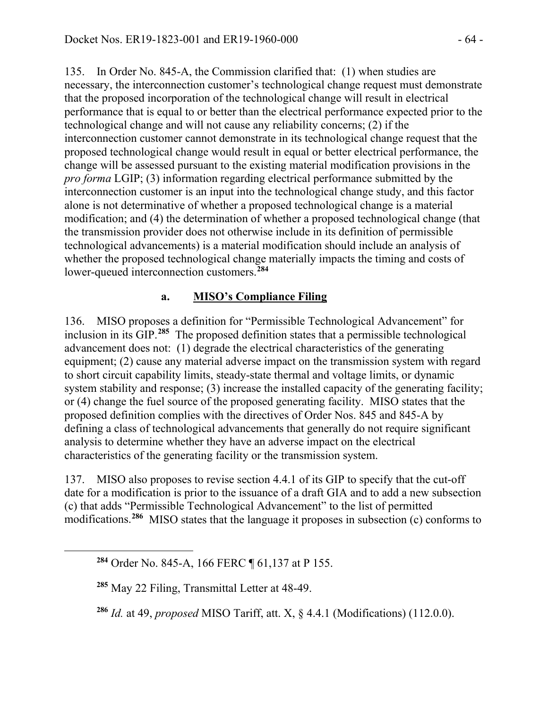135. In Order No. 845-A, the Commission clarified that: (1) when studies are necessary, the interconnection customer's technological change request must demonstrate that the proposed incorporation of the technological change will result in electrical performance that is equal to or better than the electrical performance expected prior to the technological change and will not cause any reliability concerns; (2) if the interconnection customer cannot demonstrate in its technological change request that the proposed technological change would result in equal or better electrical performance, the change will be assessed pursuant to the existing material modification provisions in the *pro forma* LGIP; (3) information regarding electrical performance submitted by the interconnection customer is an input into the technological change study, and this factor alone is not determinative of whether a proposed technological change is a material modification; and (4) the determination of whether a proposed technological change (that the transmission provider does not otherwise include in its definition of permissible technological advancements) is a material modification should include an analysis of whether the proposed technological change materially impacts the timing and costs of lower-queued interconnection customers.**[284](#page-63-0)**

### **a. MISO's Compliance Filing**

136. MISO proposes a definition for "Permissible Technological Advancement" for inclusion in its GIP.**[285](#page-63-1)** The proposed definition states that a permissible technological advancement does not: (1) degrade the electrical characteristics of the generating equipment; (2) cause any material adverse impact on the transmission system with regard to short circuit capability limits, steady-state thermal and voltage limits, or dynamic system stability and response; (3) increase the installed capacity of the generating facility; or (4) change the fuel source of the proposed generating facility. MISO states that the proposed definition complies with the directives of Order Nos. 845 and 845-A by defining a class of technological advancements that generally do not require significant analysis to determine whether they have an adverse impact on the electrical characteristics of the generating facility or the transmission system.

137. MISO also proposes to revise section 4.4.1 of its GIP to specify that the cut-off date for a modification is prior to the issuance of a draft GIA and to add a new subsection (c) that adds "Permissible Technological Advancement" to the list of permitted modifications.**[286](#page-63-2)** MISO states that the language it proposes in subsection (c) conforms to

<span id="page-63-2"></span><span id="page-63-1"></span><span id="page-63-0"></span> $\overline{a}$ 

**<sup>286</sup>** *Id.* at 49, *proposed* MISO Tariff, att. X, § 4.4.1 (Modifications) (112.0.0).

**<sup>284</sup>** Order No. 845-A, 166 FERC ¶ 61,137 at P 155.

**<sup>285</sup>** May 22 Filing, Transmittal Letter at 48-49.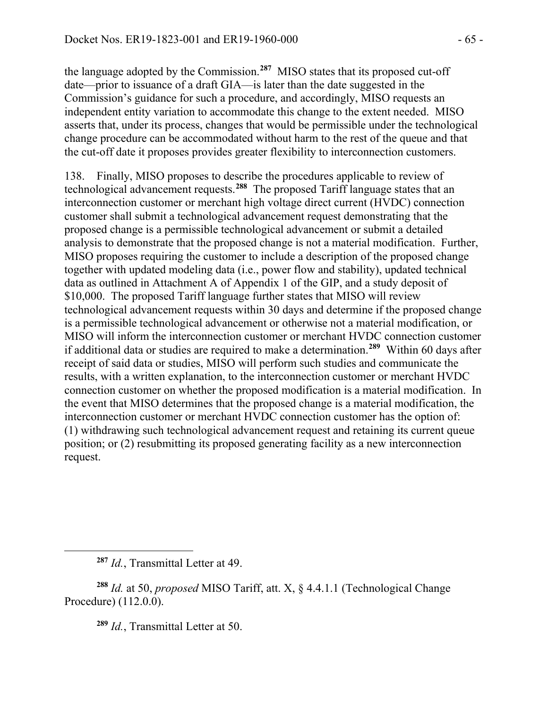the language adopted by the Commission.**[287](#page-64-0)** MISO states that its proposed cut-off date—prior to issuance of a draft GIA—is later than the date suggested in the Commission's guidance for such a procedure, and accordingly, MISO requests an independent entity variation to accommodate this change to the extent needed. MISO asserts that, under its process, changes that would be permissible under the technological change procedure can be accommodated without harm to the rest of the queue and that the cut-off date it proposes provides greater flexibility to interconnection customers.

138. Finally, MISO proposes to describe the procedures applicable to review of technological advancement requests.**[288](#page-64-1)** The proposed Tariff language states that an interconnection customer or merchant high voltage direct current (HVDC) connection customer shall submit a technological advancement request demonstrating that the proposed change is a permissible technological advancement or submit a detailed analysis to demonstrate that the proposed change is not a material modification. Further, MISO proposes requiring the customer to include a description of the proposed change together with updated modeling data (i.e., power flow and stability), updated technical data as outlined in Attachment A of Appendix 1 of the GIP, and a study deposit of \$10,000. The proposed Tariff language further states that MISO will review technological advancement requests within 30 days and determine if the proposed change is a permissible technological advancement or otherwise not a material modification, or MISO will inform the interconnection customer or merchant HVDC connection customer if additional data or studies are required to make a determination.**[289](#page-64-2)** Within 60 days after receipt of said data or studies, MISO will perform such studies and communicate the results, with a written explanation, to the interconnection customer or merchant HVDC connection customer on whether the proposed modification is a material modification. In the event that MISO determines that the proposed change is a material modification, the interconnection customer or merchant HVDC connection customer has the option of: (1) withdrawing such technological advancement request and retaining its current queue position; or (2) resubmitting its proposed generating facility as a new interconnection request.

<span id="page-64-0"></span> $\overline{a}$ 

**<sup>289</sup>** *Id.*, Transmittal Letter at 50.

**<sup>287</sup>** *Id.*, Transmittal Letter at 49.

<span id="page-64-2"></span><span id="page-64-1"></span>**<sup>288</sup>** *Id.* at 50, *proposed* MISO Tariff, att. X, § 4.4.1.1 (Technological Change Procedure) (112.0.0).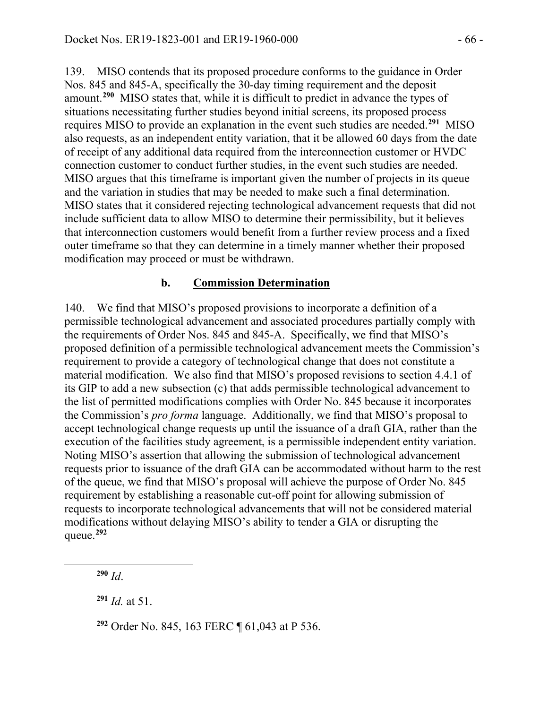139. MISO contends that its proposed procedure conforms to the guidance in Order Nos. 845 and 845-A, specifically the 30-day timing requirement and the deposit amount.**[290](#page-65-0)** MISO states that, while it is difficult to predict in advance the types of situations necessitating further studies beyond initial screens, its proposed process requires MISO to provide an explanation in the event such studies are needed.**[291](#page-65-1)** MISO also requests, as an independent entity variation, that it be allowed 60 days from the date of receipt of any additional data required from the interconnection customer or HVDC connection customer to conduct further studies, in the event such studies are needed. MISO argues that this timeframe is important given the number of projects in its queue and the variation in studies that may be needed to make such a final determination. MISO states that it considered rejecting technological advancement requests that did not include sufficient data to allow MISO to determine their permissibility, but it believes that interconnection customers would benefit from a further review process and a fixed outer timeframe so that they can determine in a timely manner whether their proposed modification may proceed or must be withdrawn.

### **b. Commission Determination**

140. We find that MISO's proposed provisions to incorporate a definition of a permissible technological advancement and associated procedures partially comply with the requirements of Order Nos. 845 and 845-A. Specifically, we find that MISO's proposed definition of a permissible technological advancement meets the Commission's requirement to provide a category of technological change that does not constitute a material modification. We also find that MISO's proposed revisions to section 4.4.1 of its GIP to add a new subsection (c) that adds permissible technological advancement to the list of permitted modifications complies with Order No. 845 because it incorporates the Commission's *pro forma* language. Additionally, we find that MISO's proposal to accept technological change requests up until the issuance of a draft GIA, rather than the execution of the facilities study agreement, is a permissible independent entity variation. Noting MISO's assertion that allowing the submission of technological advancement requests prior to issuance of the draft GIA can be accommodated without harm to the rest of the queue, we find that MISO's proposal will achieve the purpose of Order No. 845 requirement by establishing a reasonable cut-off point for allowing submission of requests to incorporate technological advancements that will not be considered material modifications without delaying MISO's ability to tender a GIA or disrupting the queue. **[292](#page-65-2)**

<span id="page-65-2"></span><span id="page-65-1"></span><span id="page-65-0"></span>

**<sup>290</sup>** *Id*.

**<sup>291</sup>** *Id.* at 51.

**<sup>292</sup>** Order No. 845, 163 FERC ¶ 61,043 at P 536.